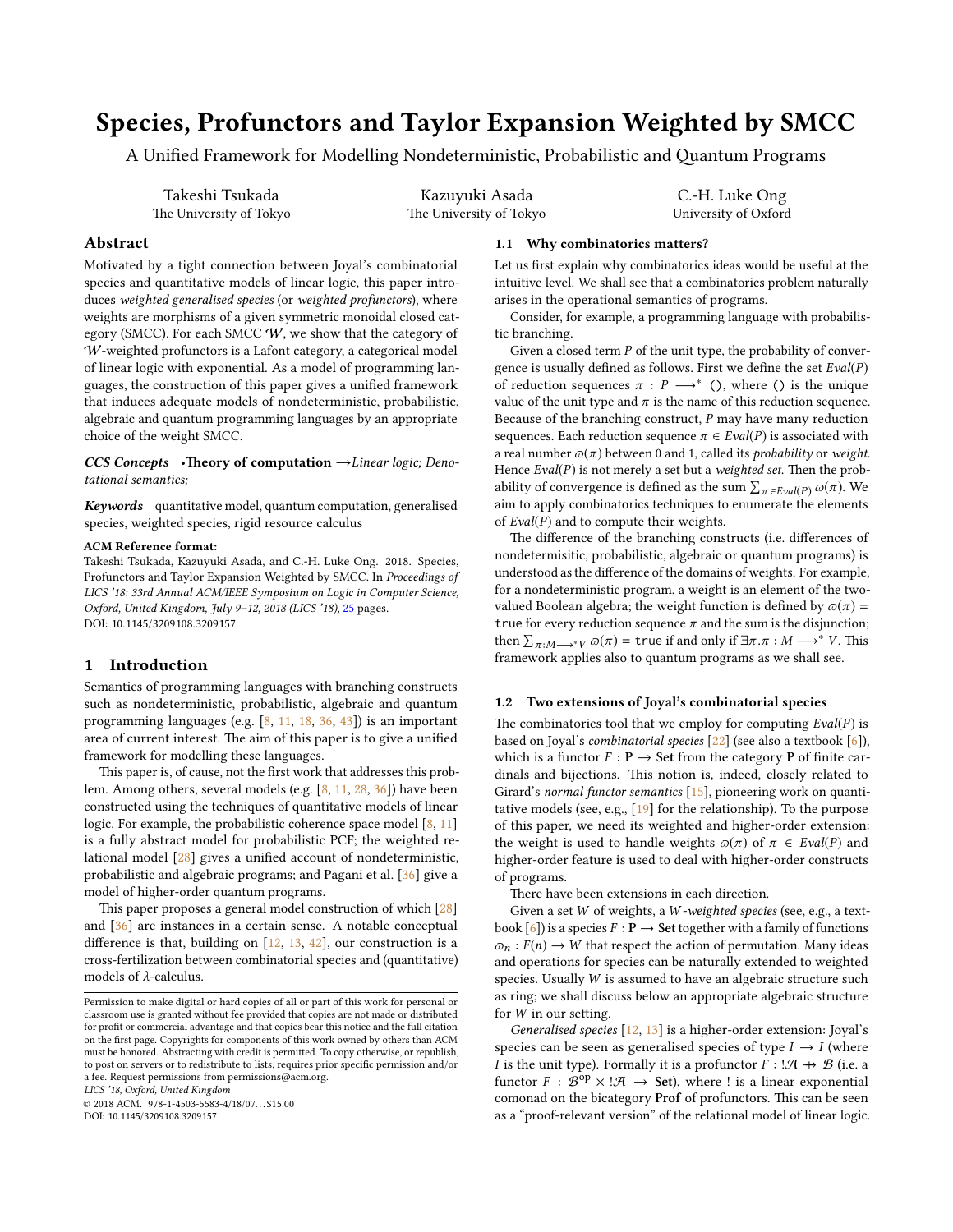# Species, Profunctors and Taylor Expansion Weighted by SMCC

A Unified Framework for Modelling Nondeterministic, Probabilistic and Quantum Programs

Takeshi Tsukada The University of Tokyo

Kazuyuki Asada The University of Tokyo

C.-H. Luke Ong University of Oxford

# Abstract

Motivated by a tight connection between Joyal's combinatorial species and quantitative models of linear logic, this paper introduces weighted generalised species (or weighted profunctors), where weights are morphisms of a given symmetric monoidal closed category (SMCC). For each SMCC  $W$ , we show that the category of W-weighted profunctors is a Lafont category, a categorical model of linear logic with exponential. As a model of programming languages, the construction of this paper gives a unified framework that induces adequate models of nondeterministic, probabilistic, algebraic and quantum programming languages by an appropriate choice of the weight SMCC.

CCS Concepts •Theory of computation  $\rightarrow$ Linear logic; Denotational semantics;

Keywords quantitative model, quantum computation, generalised species, weighted species, rigid resource calculus

## ACM Reference format:

Takeshi Tsukada, Kazuyuki Asada, and C.-H. Luke Ong. 2018. Species, Profunctors and Taylor Expansion Weighted by SMCC. In Proceedings of LICS '18: 33rd Annual ACM/IEEE Symposium on Logic in Computer Science, Oxford, United Kingdom, July 9–12, 2018 (LICS '18), [25](#page-24-0) pages. DOI: 10.1145/3209108.3209157

# 1 Introduction

Semantics of programming languages with branching constructs such as nondeterministic, probabilistic, algebraic and quantum programming languages (e.g. [\[8,](#page-9-0) [11,](#page-9-1) [18,](#page-9-2) [36,](#page-10-0) [43\]](#page-10-1)) is an important area of current interest. The aim of this paper is to give a unified framework for modelling these languages.

This paper is, of cause, not the first work that addresses this problem. Among others, several models (e.g. [\[8,](#page-9-0) [11,](#page-9-1) [28,](#page-10-2) [36\]](#page-10-0)) have been constructed using the techniques of quantitative models of linear logic. For example, the probabilistic coherence space model  $[8, 11]$  $[8, 11]$  $[8, 11]$ is a fully abstract model for probabilistic PCF; the weighted relational model  $[28]$  gives a unified account of nondeterministic, probabilistic and algebraic programs; and Pagani et al. [\[36\]](#page-10-0) give a model of higher-order quantum programs.

This paper proposes a general model construction of which  $\left[28\right]$ and [\[36\]](#page-10-0) are instances in a certain sense. A notable conceptual difference is that, building on  $[12, 13, 42]$  $[12, 13, 42]$  $[12, 13, 42]$  $[12, 13, 42]$  $[12, 13, 42]$ , our construction is a cross-fertilization between combinatorial species and (quantitative) models of λ-calculus.

LICS '18, Oxford, United Kingdom

 $@ 2018$  ACM. 978-1-4503-5583-4/18/07...\$15.00

DOI: 10.1145/3209108.3209157

## 1.1 Why combinatorics matters?

Let us first explain why combinatorics ideas would be useful at the intuitive level. We shall see that a combinatorics problem naturally arises in the operational semantics of programs.

Consider, for example, a programming language with probabilistic branching.

Given a closed term  $P$  of the unit type, the probability of convergence is usually defined as follows. First we define the set  $Eval(P)$ of reduction sequences  $\pi$  :  $P \longrightarrow^*$  (), where () is the unique value of the unit type and  $\pi$  is the name of this reduction sequence. Because of the branching construct,  $P$  may have many reduction sequences. Each reduction sequence  $\pi \in \text{Eval}(P)$  is associated with a real number  $\varpi(\pi)$  between 0 and 1, called its *probability* or *weight.* Hence  $Eval(P)$  is not merely a set but a weighted set. Then the probability of convergence is defined as the sum  $\sum_{\pi \in \text{Eval}(P)} \varpi(\pi)$ . We aim to apply combinatorics techniques to enumerate the elements of  $Eval(P)$  and to compute their weights.

The difference of the branching constructs (i.e. differences of nondetermisitic, probabilistic, algebraic or quantum programs) is understood as the difference of the domains of weights. For example, for a nondeterministic program, a weight is an element of the twovalued Boolean algebra; the weight function is defined by  $\omega(\pi)$  = true for every reduction sequence  $\pi$  and the sum is the disjunction; then  $\sum_{\pi:M\longrightarrow^*V} \overline{\omega}(\pi) =$  true if and only if  $\exists \pi \cdot \pi : M \longrightarrow^* V$ . This framework applies also to quantum programs as we shall see.

# 1.2 Two extensions of Joyal's combinatorial species

The combinatorics tool that we employ for computing  $Eval(P)$  is based on Joyal's combinatorial species [\[22\]](#page-9-5) (see also a textbook [\[6\]](#page-9-6)), which is a functor  $F : \mathbf{P} \to \mathbf{Set}$  from the category **P** of finite cardinals and bijections. This notion is, indeed, closely related to Girard's normal functor semantics [\[15\]](#page-9-7), pioneering work on quantitative models (see, e.g., [\[19\]](#page-9-8) for the relationship). To the purpose of this paper, we need its weighted and higher-order extension: the weight is used to handle weights  $\omega(\pi)$  of  $\pi \in \text{Eval}(P)$  and higher-order feature is used to deal with higher-order constructs of programs.

There have been extensions in each direction.

Given a set W of weights, a W -weighted species (see, e.g., a textbook  $[6]$ ) is a species  $F : \mathbf{P} \to \mathbf{Set}$  together with a family of functions  $\varpi_n$ :  $F(n) \to W$  that respect the action of permutation. Many ideas and operations for species can be naturally extended to weighted species. Usually W is assumed to have an algebraic structure such as ring; we shall discuss below an appropriate algebraic structure for  $W$  in our setting.

Generalised species  $[12, 13]$  $[12, 13]$  $[12, 13]$  is a higher-order extension: Joyal's species can be seen as generalised species of type  $I \rightarrow I$  (where I is the unit type). Formally it is a profunctor  $F : \mathcal{A} \rightarrow \mathcal{B}$  (i.e. a functor  $F : \mathcal{B}^{op} \times \mathcal{A} \to \mathsf{Set}$ , where ! is a linear exponential comonad on the bicategory Prof of profunctors. This can be seen as a "proof-relevant version" of the relational model of linear logic.

Permission to make digital or hard copies of all or part of this work for personal or classroom use is granted without fee provided that copies are not made or distributed for profit or commercial advantage and that copies bear this notice and the full citation on the first page. Copyrights for components of this work owned by others than ACM must be honored. Abstracting with credit is permitted. To copy otherwise, or republish, to post on servers or to redistribute to lists, requires prior specific permission and/or a fee. Request permissions from permissions@acm.org.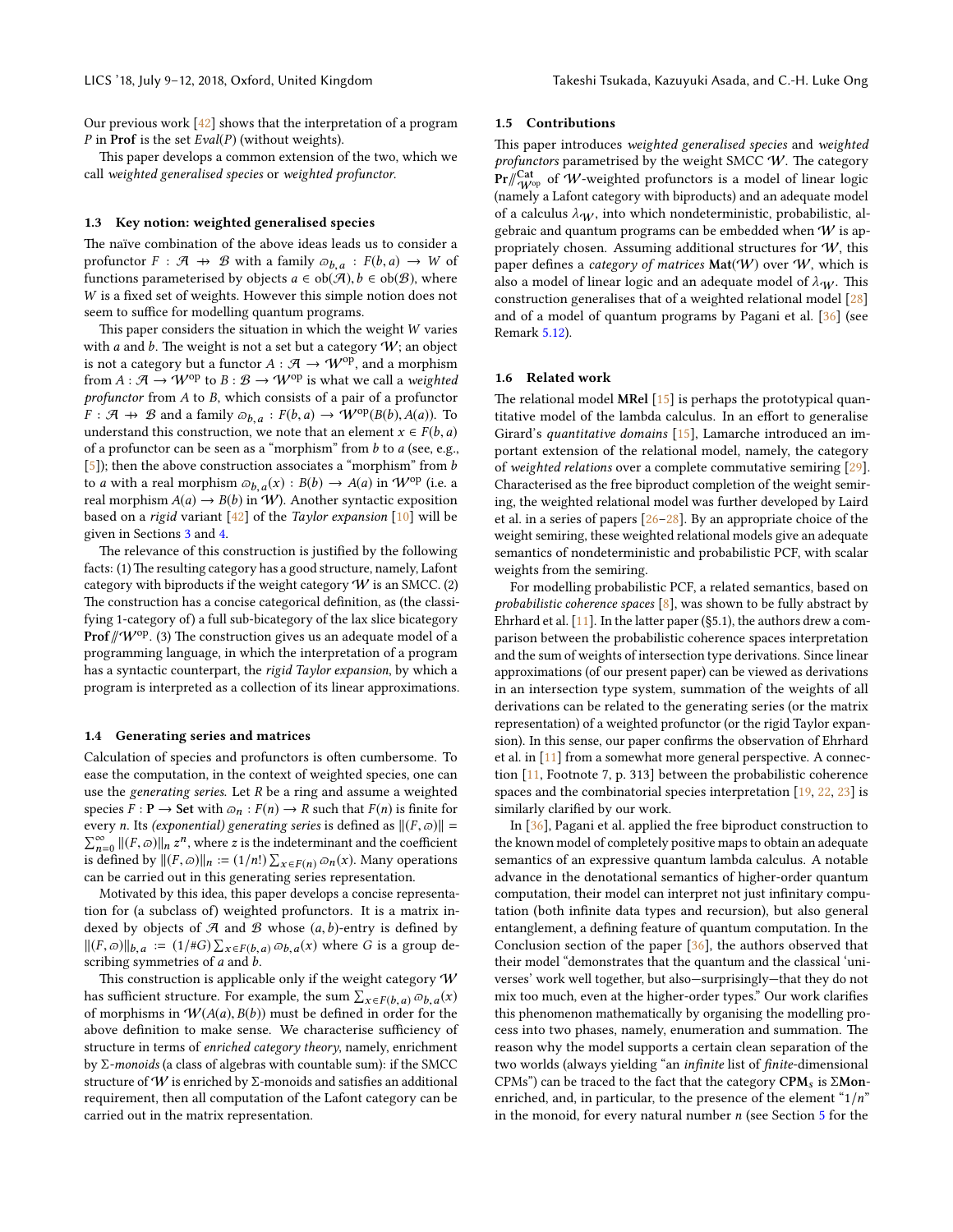Our previous work [\[42\]](#page-10-3) shows that the interpretation of a program P in Prof is the set  $Eval(P)$  (without weights).

This paper develops a common extension of the two, which we call weighted generalised species or weighted profunctor.

## 1.3 Key notion: weighted generalised species

The naïve combination of the above ideas leads us to consider a profunctor  $F : \mathcal{A} \to \mathcal{B}$  with a family  $\omega_{b,a} : F(b,a) \to W$  of functions parameterised by objects  $a \in \text{ob}(\mathcal{A})$ ,  $b \in \text{ob}(\mathcal{B})$ , where functions parameterised by objects  $a \in ob(\mathcal{A}), b \in ob(\mathcal{B})$ , where  $W$  is a fixed set of weights. However this simple notion does not seem to suffice for modelling quantum programs.

This paper considers the situation in which the weight  $W$  varies with a and b. The weight is not a set but a category  $W$ ; an object is not a category but a functor  $A : \mathcal{A} \to \mathcal{W}^{\text{op}}$ , and a morphism from  $A : \mathcal{A} \to W^{op}$  to  $B : \mathcal{B} \to W^{op}$  is what we call a weighted profunctor from A to B, which consists of a pair of a profunctor  $F : \mathcal{A} \to \mathcal{B}$  and a family  $\overline{\omega}_{b,a} : F(b,a) \to \mathcal{W}^{op}(B(b), A(a))$ . To understand this construction we note that an element  $x \in F(b,a)$ understand this construction, we note that an element  $x \in F(b, a)$ of a profunctor can be seen as a "morphism" from  $b$  to  $a$  (see, e.g., [\[5\]](#page-9-9)); then the above construction associates a "morphism" from *b* to *a* with a real morphism  $\omega_{b,a}(x) : B(b) \to A(a)$  in W<sup>op</sup> (i.e. a<br>real morphism  $A(a) \to B(b)$  in W.) Another syntactic exposition real morphism  $A(a) \rightarrow B(b)$  in W). Another syntactic exposition based on a rigid variant  $[42]$  of the *Taylor expansion*  $[10]$  will be given in Sections [3](#page-4-0) and [4.](#page-6-0)

The relevance of this construction is justified by the following facts: (1) The resulting category has a good structure, namely, Lafont category with biproducts if the weight category  $W$  is an SMCC. (2) The construction has a concise categorical definition, as (the classifying 1-category of) a full sub-bicategory of the lax slice bicategory **Prof**  $\mathcal{W}^{op}$ . (3) The construction gives us an adequate model of a programming language, in which the interpretation of a program has a syntactic counterpart, the rigid Taylor expansion, by which a program is interpreted as a collection of its linear approximations.

## 1.4 Generating series and matrices

Calculation of species and profunctors is often cumbersome. To ease the computation, in the context of weighted species, one can use the generating series. Let  $R$  be a ring and assume a weighted species  $F : \mathbf{P} \to \mathbf{Set}$  with  $\varpi_n : F(n) \to R$  such that  $F(n)$  is finite for every n. Its (exponential) generating series is defined as  $||(F, \varpi)|| =$  $\sum_{n=0}^{\infty} ||(F,\varpi)||_n z^n$ , where z is the indeterminant and the coefficient<br>defined by  $||(F,\varpi)||_n = (1/n!) \sum_{n \ge 0} \varpi(n) \Omega(n)$ . Many operations is defined by  $||(F, \varpi)||_n := (1/n!) \sum_{x \in F(n)} \varpi_n(x)$ . Many operations<br>can be carried out in this generating series representation can be carried out in this generating series representation.

Motivated by this idea, this paper develops a concise representation for (a subclass of) weighted profunctors. It is a matrix indexed by objects of  $A$  and  $B$  whose  $(a, b)$ -entry is defined by  $||(F, \varpi)||_{b,a} := (1/#G) \sum_{x \in F(b,a)} \varpi_{b,a}(x)$  where G is a group de-<br>scribing symmetries of a and b scribing symmetries of a and b.

This construction is applicable only if the weight category  $W$ has sufficient structure. For example, the sum  $\sum_{x \in F(b,a)} \varpi_{b,a}(x)$ <br>of morphisms in  $W(A(a), B(b))$  must be defined in order for the of morphisms in  $W(A(a), B(b))$  must be defined in order for the above definition to make sense. We characterise sufficiency of structure in terms of enriched category theory, namely, enrichment by Σ-monoids (a class of algebras with countable sum): if the SMCC structure of W is enriched by  $\Sigma$ -monoids and satisfies an additional requirement, then all computation of the Lafont category can be carried out in the matrix representation.

#### 1.5 Contributions

This paper introduces weighted generalised species and weighted profunctors parametrised by the weight SMCC  $W$ . The category  $\mathrm{Pr}/\!\!/_{\mathcal{W}^{\mathrm{op}}}^{\mathcal{C}\mathrm{at}}$  of  $\mathcal{W}\text{-weighted profunctors}$  is a model of linear logic (namely a Lafont category with biproducts) and an adequate model of a calculus  $\lambda \psi$ , into which nondeterministic, probabilistic, algebraic and quantum programs can be embedded when  $W$  is appropriately chosen. Assuming additional structures for  $W$ , this paper defines a category of matrices  $Mat(W)$  over W, which is also a model of linear logic and an adequate model of  $\lambda_W$ . This construction generalises that of a weighted relational model [\[28\]](#page-10-2) and of a model of quantum programs by Pagani et al. [\[36\]](#page-10-0) (see Remark [5.12\)](#page-8-0).

## 1.6 Related work

The relational model MRel  $[15]$  is perhaps the prototypical quantitative model of the lambda calculus. In an effort to generalise Girard's quantitative domains [\[15\]](#page-9-7), Lamarche introduced an important extension of the relational model, namely, the category of weighted relations over a complete commutative semiring [\[29\]](#page-10-4). Characterised as the free biproduct completion of the weight semiring, the weighted relational model was further developed by Laird et al. in a series of papers  $[26-28]$  $[26-28]$ . By an appropriate choice of the weight semiring, these weighted relational models give an adequate semantics of nondeterministic and probabilistic PCF, with scalar weights from the semiring.

For modelling probabilistic PCF, a related semantics, based on probabilistic coherence spaces  $[8]$ , was shown to be fully abstract by Ehrhard et al.  $[11]$ . In the latter paper (§5.1), the authors drew a comparison between the probabilistic coherence spaces interpretation and the sum of weights of intersection type derivations. Since linear approximations (of our present paper) can be viewed as derivations in an intersection type system, summation of the weights of all derivations can be related to the generating series (or the matrix representation) of a weighted profunctor (or the rigid Taylor expansion). In this sense, our paper confirms the observation of Ehrhard et al. in [\[11\]](#page-9-1) from a somewhat more general perspective. A connection [\[11,](#page-9-1) Footnote 7, p. 313] between the probabilistic coherence spaces and the combinatorial species interpretation [\[19,](#page-9-8) [22,](#page-9-5) [23\]](#page-9-11) is similarly clarified by our work.

In [\[36\]](#page-10-0), Pagani et al. applied the free biproduct construction to the known model of completely positive maps to obtain an adequate semantics of an expressive quantum lambda calculus. A notable advance in the denotational semantics of higher-order quantum computation, their model can interpret not just infinitary computation (both infinite data types and recursion), but also general entanglement, a defining feature of quantum computation. In the Conclusion section of the paper [\[36\]](#page-10-0), the authors observed that their model "demonstrates that the quantum and the classical 'universes' work well together, but also—surprisingly—that they do not mix too much, even at the higher-order types." Our work clarifies this phenomenon mathematically by organising the modelling process into two phases, namely, enumeration and summation. The reason why the model supports a certain clean separation of the two worlds (always yielding "an infinite list of finite-dimensional CPMs") can be traced to the fact that the category  $\text{CPM}_s$  is  $\Sigma \text{Mon}$ enriched, and, in particular, to the presence of the element " $1/n$ " in the monoid, for every natural number  $n$  (see Section [5](#page-7-0) for the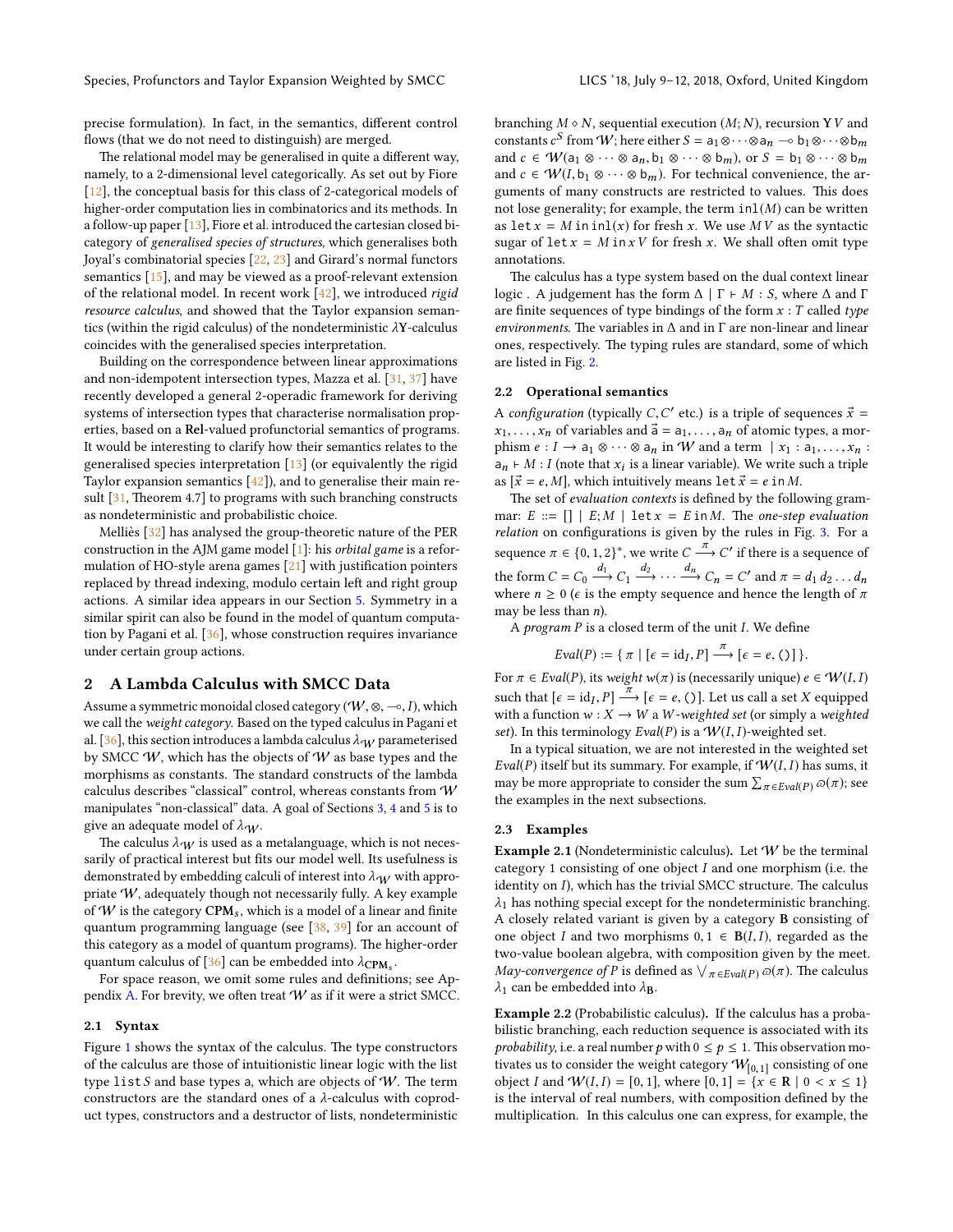precise formulation). In fact, in the semantics, different control flows (that we do not need to distinguish) are merged.

The relational model may be generalised in quite a different way, namely, to a 2-dimensional level categorically. As set out by Fiore [\[12\]](#page-9-3), the conceptual basis for this class of 2-categorical models of higher-order computation lies in combinatorics and its methods. In a follow-up paper [\[13\]](#page-9-4), Fiore et al. introduced the cartesian closed bicategory of generalised species of structures, which generalises both Joyal's combinatorial species [\[22,](#page-9-5) [23\]](#page-9-11) and Girard's normal functors semantics [\[15\]](#page-9-7), and may be viewed as a proof-relevant extension of the relational model. In recent work  $[42]$ , we introduced rigid resource calculus, and showed that the Taylor expansion semantics (within the rigid calculus) of the nondeterministic  $\lambda$ Y-calculus coincides with the generalised species interpretation.

Building on the correspondence between linear approximations and non-idempotent intersection types, Mazza et al. [\[31,](#page-10-6) [37\]](#page-10-7) have recently developed a general 2-operadic framework for deriving systems of intersection types that characterise normalisation properties, based on a Rel-valued profunctorial semantics of programs. It would be interesting to clarify how their semantics relates to the generalised species interpretation [\[13\]](#page-9-4) (or equivalently the rigid Taylor expansion semantics [\[42\]](#page-10-3)), and to generalise their main result  $[31,$  Theorem 4.7] to programs with such branching constructs as nondeterministic and probabilistic choice.

Melliès  $[32]$  $[32]$  has analysed the group-theoretic nature of the PER construction in the AJM game model [\[1\]](#page-9-12): his orbital game is a reformulation of HO-style arena games  $[21]$  with justification pointers replaced by thread indexing, modulo certain left and right group actions. A similar idea appears in our Section [5.](#page-7-0) Symmetry in a similar spirit can also be found in the model of quantum computation by Pagani et al. [\[36\]](#page-10-0), whose construction requires invariance under certain group actions.

## <span id="page-2-3"></span>2 A Lambda Calculus with SMCC Data

Assume a symmetric monoidal closed category ( $W$ , ⊗,  $\multimap$ , I), which we call the weight category. Based on the typed calculus in Pagani et al. [\[36\]](#page-10-0), this section introduces a lambda calculus  $\lambda_W$  parameterised by SMCC  $W$ , which has the objects of  $W$  as base types and the morphisms as constants. The standard constructs of the lambda calculus describes "classical" control, whereas constants from W manipulates "non-classical" data. A goal of Sections [3,](#page-4-0) [4](#page-6-0) and [5](#page-7-0) is to give an adequate model of  $\lambda_W$ .

The calculus  $\lambda_W$  is used as a metalanguage, which is not necessarily of practical interest but fits our model well. Its usefulness is demonstrated by embedding calculi of interest into  $\lambda_W$  with appropriate W, adequately though not necessarily fully. A key example of  $W$  is the category  $CPM_s$ , which is a model of a linear and finite quantum programming language (see [\[38,](#page-10-9) [39\]](#page-10-10) for an account of this category as a model of quantum programs). The higher-order quantum calculus of [\[36\]](#page-10-0) can be embedded into  $\lambda_{\text{CPM}_s}$ .<br>For anone reason, we omit some rules and definition

For space reason, we omit some rules and definitions; see Ap-pendix [A.](#page-11-0) For brevity, we often treat  $W$  as if it were a strict SMCC.

## 2.1 Syntax

Figure  $1$  shows the syntax of the calculus. The type constructors of the calculus are those of intuitionistic linear logic with the list type list S and base types a, which are objects of  $W$ . The term constructors are the standard ones of a λ-calculus with coproduct types, constructors and a destructor of lists, nondeterministic

branching  $M \circ N$ , sequential execution  $(M; N)$ , recursion YV and constants  $c^S$  from  $W$ ; here either  $S = a_1 \otimes \cdots \otimes a_n \multimap b_1 \otimes \cdots \otimes b_m$ and  $c \in \mathcal{W}(\mathsf{a}_1 \otimes \cdots \otimes \mathsf{a}_n, \mathsf{b}_1 \otimes \cdots \otimes \mathsf{b}_m)$ , or  $S = \mathsf{b}_1 \otimes \cdots \otimes \mathsf{b}_m$ and  $c \in \mathcal{W}(I, b_1 \otimes \cdots \otimes b_m)$ . For technical convenience, the arguments of many constructs are restricted to values. This does not lose generality; for example, the term  $inl(M)$  can be written as let  $x = M$  in inl(x) for fresh x. We use MV as the syntactic sugar of  $\text{let } x = M \text{ in } xV$  for fresh x. We shall often omit type annotations.

The calculus has a type system based on the dual context linear logic . A judgement has the form  $\Delta$  |  $\Gamma \vdash M : S$ , where  $\Delta$  and  $\Gamma$ are finite sequences of type bindings of the form  $x : T$  called type environments. The variables in  $\Delta$  and in  $\Gamma$  are non-linear and linear ones, respectively. The typing rules are standard, some of which are listed in Fig. [2.](#page-3-1)

#### 2.2 Operational semantics

A configuration (typically C, C' etc.) is a triple of sequences  $\vec{x} = x$ .  $x_1, \ldots, x_n$  of variables and  $\vec{a} = a_1, \ldots, a_n$  of atomic types, a morphism  $e: I \to a_1 \otimes \cdots \otimes a_n$  in W and a term  $\mid x_1 : a_1, \ldots, x_n :$  $a_n \nightharpoonup M : I$  (note that  $x_i$  is a linear variable). We write such a triple as  $[\vec{x} = e, M]$ , which intuitively means let  $\vec{x} = e$  in M.

The set of evaluation contexts is defined by the following grammar:  $E ::= [] | E; M | \text{let } x = E \text{ in } M.$  The one-step evaluation  $relation$  on configurations is given by the rules in Fig.  $3.$  For a sequence  $\pi \in \{0, 1, 2\}^*$ , we write  $C \xrightarrow{t \to \infty} C'$  if there is a sequence of the form  $C = C_0 \xrightarrow{d_1} C_1 \xrightarrow{d_2} \cdots \xrightarrow{d_n} C_n = C'$  and  $\pi = d_1 d_2 \cdots d_n$ <br>where  $n > 0$  (c is the empty sequence and bence the length of  $\pi$ where  $n \geq 0$  ( $\epsilon$  is the empty sequence and hence the length of  $\pi$ may be less than  $n$ ).

A *program*  $P$  is a closed term of the unit  $I$ . We define

$$
Eval(P) := \{ \pi \mid [\epsilon = id_I, P] \xrightarrow{\pi} [\epsilon = e, ()] \}.
$$

For  $\pi \in \text{Eval}(P)$ , its weight w( $\pi$ ) is (necessarily unique)  $e \in \mathcal{W}(I, I)$ such that  $[\epsilon = id_I, P] \xrightarrow{\pi} [\epsilon = e, C]$ . Let us call a set X equipped<br>with a function  $w: X \to W$  a W-weighted set (or simply a weighted with a function  $w: X \to W$  a W-weighted set (or simply a weighted set). In this terminology  $Eval(P)$  is a  $W(I, I)$ -weighted set.

In a typical situation, we are not interested in the weighted set Eval(P) itself but its summary. For example, if  $W(I, I)$  has sums, it may be more appropriate to consider the sum  $\sum_{\pi \in \textit{Eval}(P)} \varpi(\pi);$  see the examples in the next subsections.

#### <span id="page-2-0"></span>2.3 Examples

<span id="page-2-1"></span>Example 2.1 (Nondeterministic calculus). Let  $W$  be the terminal category 1 consisting of one object I and one morphism (i.e. the identity on  $I$ ), which has the trivial SMCC structure. The calculus  $\lambda_1$  has nothing special except for the nondeterministic branching. A closely related variant is given by a category B consisting of one object I and two morphisms  $0, 1 \in B(I, I)$ , regarded as the two-value boolean algebra, with composition given by the meet. *May-convergence of P* is defined as  $\lor_{\pi \in \textit{Eval}(P)} \varpi(\pi)$ . The calculus  $\lambda_1$  can be embedded into  $\lambda_{\rm B}$ .

<span id="page-2-2"></span>Example 2.2 (Probabilistic calculus). If the calculus has a probabilistic branching, each reduction sequence is associated with its *probability*, i.e. a real number p with  $0 \le p \le 1$ . This observation motivates us to consider the weight category  $W_{[0,1]}$  consisting of one<br>object L and  $W(I, I) = [0, 1]$  where  $[0, 1] = \{x \in \mathbb{R} \mid 0 \le x \le 1\}$ object I and  $W(I, I) = [0, 1]$ , where  $[0, 1] = \{x \in \mathbb{R} \mid 0 < x \leq 1\}$ is the interval of real numbers, with composition defined by the multiplication. In this calculus one can express, for example, the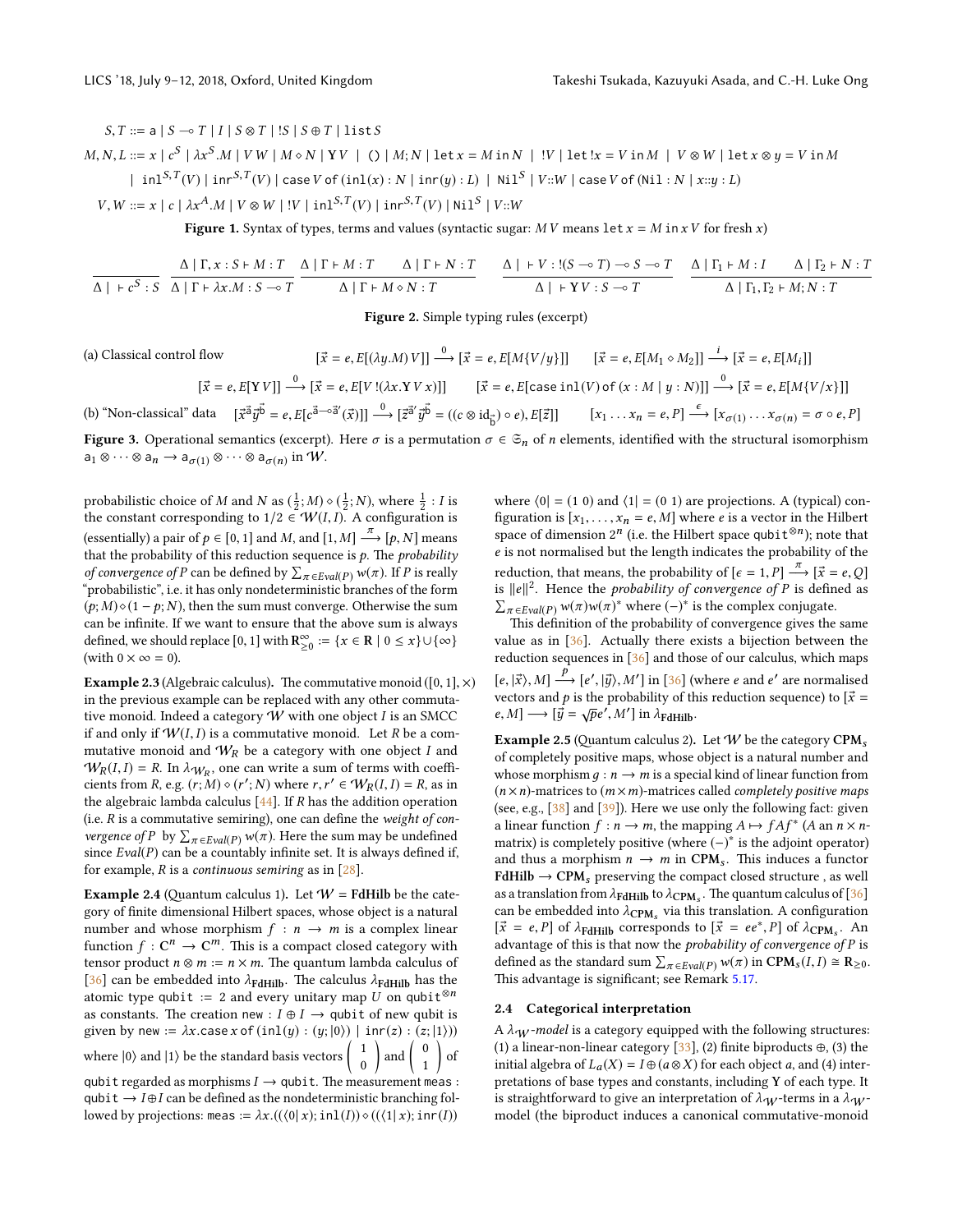<span id="page-3-0"></span> $S, T ::= a | S \multimap T | I | S \otimes T | S | S \oplus T | list S$  $M, N, L ::= x \mid c^S \mid \lambda x^S. M \mid VW \mid M \diamond N \mid YV \mid () \mid M; N \mid \text{let } x = M \text{ in } N \mid V \mid \text{let } !x = V \text{ in } M \mid V \otimes W \mid \text{let } x \otimes y = V \text{ in } M$  $\; \mid\; \text{inl}^{S,T}(V) \mid \text{inr}^{S,T}(V) \mid \text{case }V$  of  $(\text{inl}(x): N \mid \text{inr}(y): L) \mid \text{Nil}^S \mid V :: W \mid \text{case }V$  of  $(\text{Nil}: N \mid x::y:L)$  $V, W ::= x \mid c \mid \lambda x^{A}.M \mid V \otimes W \mid !V \mid \text{in1}^{S,T}(V) \mid \text{inr}^{S,T}(V) \mid \text{Ni1}^{S} \mid V::W$ 

Figure 1. Syntax of types, terms and values (syntactic sugar:  $M V$  means let  $x = M$  in  $x V$  for fresh  $x$ )

<span id="page-3-1"></span>
$$
\frac{\Delta \mid \Gamma, x:S \vdash M:T}{\Delta \mid \Gamma \vdash \lambda x.M:S \multimap T} \frac{\Delta \mid \Gamma \vdash M:T \quad \Delta \mid \Gamma \vdash N:T}{\Delta \mid \Gamma \vdash M \diamond N:T} \quad \frac{\Delta \mid \vdash V:(S \multimap T) \multimap S \multimap T}{\Delta \mid \vdash YV:S \multimap T} \quad \frac{\Delta \mid \Gamma_1 \vdash M:I \quad \Delta \mid \Gamma_2 \vdash N:T}{\Delta \mid \Gamma_1, \Gamma_2 \vdash M; N:T}
$$

Figure 2. Simple typing rules (excerpt)

<span id="page-3-2"></span>(a) Classical control flow 
$$
[\vec{x} = e, E[(\lambda y.M) V]] \xrightarrow{0} [\vec{x} = e, E[M\{V/y\}]] \qquad [\vec{x} = e, E[M_1 \circ M_2]] \xrightarrow{i} [\vec{x} = e, E[M_i]]
$$

$$
[\vec{x} = e, E[Y V]] \xrightarrow{0} [\vec{x} = e, E[V!(\lambda x.YV x)]] \qquad [\vec{x} = e, E[\text{case in}1(V) \text{ of } (x:M \mid y:N)]] \xrightarrow{0} [\vec{x} = e, E[M\{V/x\}]]
$$
  
(b) "Non-classical" data 
$$
[\vec{x}^{\vec{a}}\vec{y}^{\vec{b}} = e, E[c^{\vec{a} \rightarrow \vec{a}'}(\vec{x})]] \xrightarrow{0} [\vec{z}^{\vec{a}'}\vec{y}^{\vec{b}} = ((c \otimes id_{\vec{b}}) \circ e), E[\vec{z}]] \qquad [x_1 \dots x_n = e, P] \xrightarrow{\epsilon} [x_{\sigma(1)} \dots x_{\sigma(n)} = \sigma \circ e, P]
$$

Figure 3. Operational semantics (excerpt). Here  $\sigma$  is a permutation  $\sigma \in \mathfrak{S}_n$  of *n* elements, identified with the structural isomorphism  $a_1 \otimes \cdots \otimes a_n \to a_{\sigma(1)} \otimes \cdots \otimes a_{\sigma(n)}$  in  $W$ .

probabilistic choice of M and N as  $(\frac{1}{2}; M) \diamond (\frac{1}{2}; N)$ , where  $\frac{1}{2}$ : I is the constant corresponding to  $1/2 \in W(I, I)$ . A configuration is (essentially) a pair of  $p \in [0, 1]$  and M, and  $[1, M] \xrightarrow{\pi} [p, N]$  means<br>that the probability of this reduction sequence is a The probability that the probability of this reduction sequence is  $p$ . The *probability of convergence of P* can be defined by  $\sum_{\pi \in \text{Eval}(P)} w(\pi)$ . If *P* is really "probabilistic", i.e. it has only nondeterministic branches of the form  $(p; M) \diamond (1 - p; N)$ , then the sum must converge. Otherwise the sum can be infinite. If we want to ensure that the above sum is always defined, we should replace  $[0, 1]$  with  $\mathbb{R}^{\infty}_{\geq 0} := \{x \in \mathbb{R} \mid 0 \leq x\} \cup \{\infty\}$ (with  $0 \times \infty = 0$ ).

**Example 2.3** (Algebraic calculus). The commutative monoid ([0, 1],  $\times$ ) in the previous example can be replaced with any other commutative monoid. Indeed a category  $W$  with one object  $I$  is an SMCC if and only if  $W(I, I)$  is a commutative monoid. Let R be a commutative monoid and  $W_R$  be a category with one object I and  $W_R(I, I) = R$ . In  $\lambda_{W_R}$ , one can write a sum of terms with coeffi-<br>cients from  $R_{\text{max}}(r, M) \wedge (r', N)$  where  $r, r' \in W_R(I, I) - R$  as in cients from R, e.g.  $(r; M) \diamond (r'; N)$  where  $r, r' \in W_R(I, I) = R$ , as in the algebraic lambda calculus  $[44]$ . If  $R$  has the addition operation (i.e.  $R$  is a commutative semiring), one can define the weight of con*vergence of P* by  $\sum_{\pi \in \text{Eval}(P)} w(\pi)$ . Here the sum may be undefined since  $Eval(P)$  can be a countably infinite set. It is always defined if, for example,  $R$  is a continuous semiring as in  $[28]$ .

<span id="page-3-3"></span>**Example 2.4** (Quantum calculus 1). Let  $W =$  **FdHilb** be the category of nite dimensional Hilbert spaces, whose object is a natural number and whose morphism  $f : n \rightarrow m$  is a complex linear function  $f: \mathbb{C}^n \to \mathbb{C}^m$ . This is a compact closed category with tensor product  $n \otimes m := n \times m$ . The quantum lambda calculus of [\[36\]](#page-10-0) can be embedded into  $\lambda_{\text{FdHilb}}$ . The calculus  $\lambda_{\text{FdHilb}}$  has the atomic type qubit := 2 and every unitary map U on qubit<sup>⊗n</sup> as constants. The creation new :  $I \oplus I \rightarrow$  qubit of new qubit is given by new :=  $\lambda x$ .case  $x$  of  $(inl(y) : (y; |0\rangle)$  |  $inr(z) : (z; |1\rangle))$ where  $|0\rangle$  and  $|1\rangle$  be the standard basis vectors  $\begin{pmatrix} 1 \\ 0 \end{pmatrix}$ 0  $\Big)$  and  $\Big( \begin{array}{c} 0 \\ 1 \end{array} \Big)$ 1 of qubit regarded as morphisms  $I \rightarrow$  qubit. The measurement meas : qubit  $\rightarrow$  I  $\oplus$  I can be defined as the nondeterministic branching followed by projections: meas  $:= \lambda x. ((\langle 0 | x); \text{inl}(I)) \circ ((\langle 1 | x); \text{inr}(I))$ 

where  $\langle 0| = (1 0)$  and  $\langle 1| = (0 1)$  are projections. A (typical) configuration is  $[x_1, \ldots, x_n = e, M]$  where *e* is a vector in the Hilbert space of dimension  $2^n$  (i.e. the Hilbert space qubit<sup>⊗n</sup>); note that e is not normalised but the length indicates the probability of the reduction, that means, the probability of  $[\epsilon = 1, P] \xrightarrow{\pi} [\vec{x} = \epsilon, Q]$ <br>is  $||a||^2$ . Hance the probability of convergence of P is defined as is  $||e||^2$ . Hence the *probability of convergence of P* is defined as  $\sum_{\pi \in \text{Eval}(P)} w(\pi) w(\pi)^*$  where  $(-)^*$  is the complex conjugate.

This definition of the probability of convergence gives the same value as in [\[36\]](#page-10-0). Actually there exists a bijection between the reduction sequences in [\[36\]](#page-10-0) and those of our calculus, which maps  $[e, |\vec{x}\rangle, M] \stackrel{\vec{P}}{\longrightarrow} [e', |\vec{y}\rangle, M']$  in [\[36\]](#page-10-0) (where e and e' are normalised vectors and p is the probability of this reduction sequence) to  $[\vec{x} = \vec{A} \cdot \vec{B}]$  $e, M \rightarrow [\vec{y} = \sqrt{p}e', M']$  in  $\lambda_{\text{FdHilb}}$ .

<span id="page-3-4"></span>**Example 2.5** (Quantum calculus 2). Let W be the category CPM<sub>s</sub> of completely positive maps, whose object is a natural number and whose morphism  $q : n \rightarrow m$  is a special kind of linear function from  $(n \times n)$ -matrices to  $(m \times m)$ -matrices called *completely positive maps* (see, e.g.,  $[38]$  and  $[39]$ ). Here we use only the following fact: given a linear function  $f : n \to m$ , the mapping  $A \mapsto fAf^*$  (A an  $n \times n$ matrix) is completely positive (where (−)<sup>∗</sup> is the adjoint operator) and thus a morphism  $n \to m$  in CPM<sub>s</sub>. This induces a functor  $FdHilb \rightarrow CPM<sub>s</sub>$  preserving the compact closed structure , as well as a translation from  $\lambda_{\text{FdHilb}}$  to  $\lambda_{\text{CPM}_s}$ . The quantum calculus of [\[36\]](#page-10-0) can be embedded into  $\lambda_{\text{CPM}_s}$  via this translation. A configuration  $\vec{v} = e^{-p} \vec{v}$  $[\vec{x} = e, P]$  of  $\lambda_{\text{FdHilb}}$  corresponds to  $[\vec{x} = ee^*, P]$  of  $\lambda_{\text{CPM}_s}$ . And  $\lambda_{\text{CPM}_s}$  and  $\lambda_{\text{FdHilb}}$  is that now the probability of convergence of P is advantage of this is that now the  $\emph{probability}$  of convergence of  $P$  is defined as the standard sum  $\sum_{\pi \in Evaluate}(P) w(\pi)$  in  $CPM_s(I, I) \cong R_{\geq 0}$ .<br>This advantage is significant: see Bemark 5.17. This advantage is significant; see Remark [5.17.](#page-9-14)

#### 2.4 Categorical interpretation

A  $\lambda_{\mathcal{W}}$ -model is a category equipped with the following structures: (1) a linear-non-linear category [\[33\]](#page-10-12), (2) finite biproducts  $\oplus$ , (3) the initial algebra of  $L_a(X) = I \oplus (a \otimes X)$  for each object a, and (4) interpretations of base types and constants, including Y of each type. It is straightforward to give an interpretation of  $\lambda_W$ -terms in a  $\lambda_W$ model (the biproduct induces a canonical commutative-monoid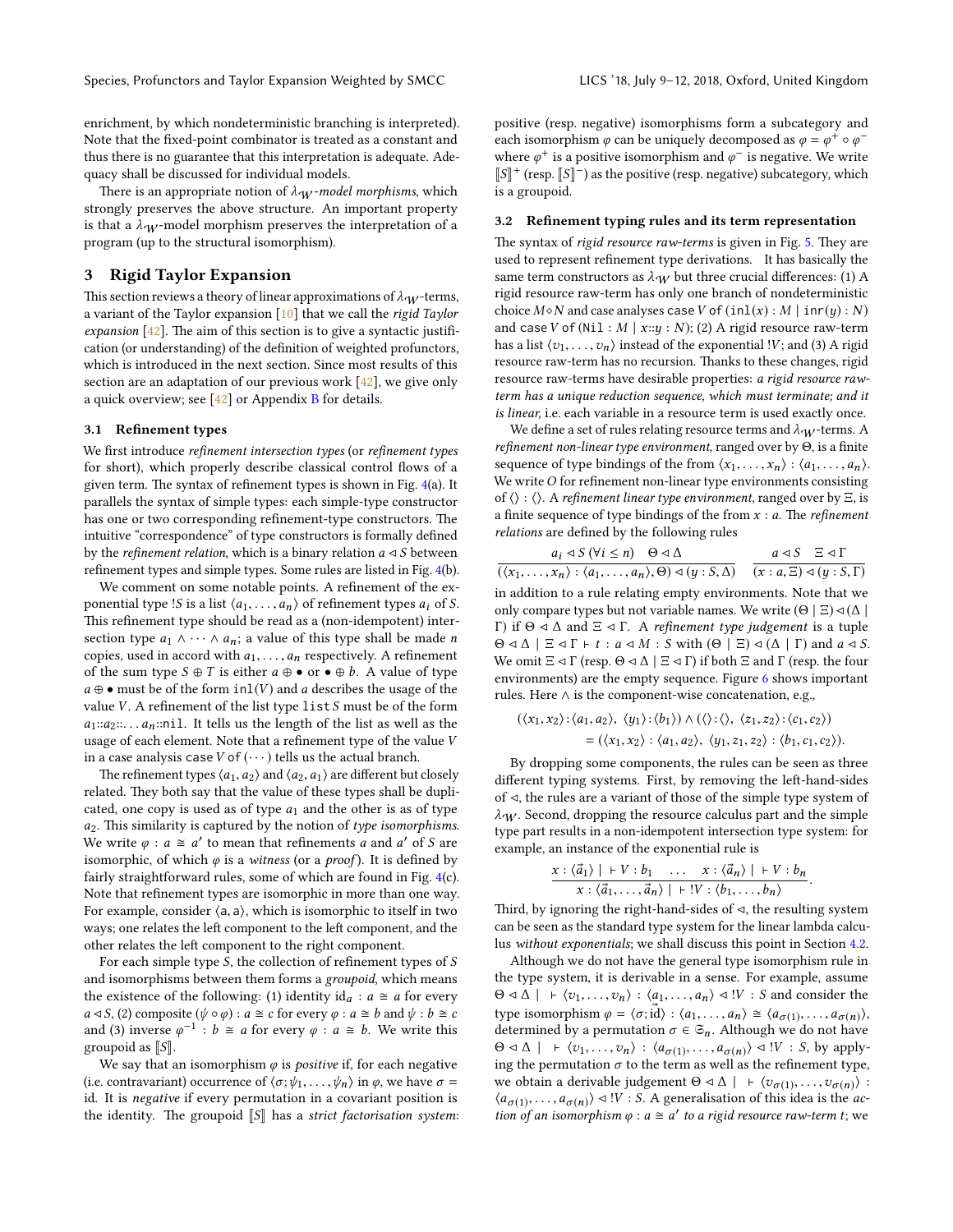enrichment, by which nondeterministic branching is interpreted). Note that the fixed-point combinator is treated as a constant and thus there is no guarantee that this interpretation is adequate. Adequacy shall be discussed for individual models.

There is an appropriate notion of  $\lambda_W$ -model morphisms, which strongly preserves the above structure. An important property is that a  $\lambda_W$ -model morphism preserves the interpretation of a program (up to the structural isomorphism).

# <span id="page-4-0"></span>3 Rigid Taylor Expansion

This section reviews a theory of linear approximations of  $\lambda_W$ -terms, a variant of the Taylor expansion [\[10\]](#page-9-10) that we call the rigid Taylor expansion  $[42]$ . The aim of this section is to give a syntactic justification (or understanding) of the definition of weighted profunctors, which is introduced in the next section. Since most results of this section are an adaptation of our previous work [\[42\]](#page-10-3), we give only a quick overview; see [\[42\]](#page-10-3) or Appendix [B](#page-11-1) for details.

#### 3.1 Refinement types

We first introduce refinement intersection types (or refinement types for short), which properly describe classical control flows of a given term. The syntax of refinement types is shown in Fig.  $4(a)$  $4(a)$ . It parallels the syntax of simple types: each simple-type constructor has one or two corresponding refinement-type constructors. The intuitive "correspondence" of type constructors is formally defined by the *refinement relation*, which is a binary relation  $a \triangleleft S$  between refinement types and simple types. Some rules are listed in Fig. [4\(](#page-5-0)b).

We comment on some notable points. A refinement of the exponential type !S is a list  $\langle a_1, \ldots, a_n \rangle$  of refinement types  $a_i$  of S. This refinement type should be read as a (non-idempotent) intersection type  $a_1 \wedge \cdots \wedge a_n$ ; a value of this type shall be made n copies, used in accord with  $a_1, \ldots, a_n$  respectively. A refinement of the sum type  $S \oplus T$  is either  $a \oplus \bullet$  or  $\bullet \oplus b$ . A value of type  $a \oplus \bullet$  must be of the form  $inl(V)$  and a describes the usage of the value  $V$ . A refinement of the list type list  $S$  must be of the form  $a_1::a_2::... a_n::n$  il. It tells us the length of the list as well as the usage of each element. Note that a refinement type of the value  $V$ in a case analysis case  $V$  of  $(\cdots)$  tells us the actual branch.

The refinement types  $\langle a_1, a_2 \rangle$  and  $\langle a_2, a_1 \rangle$  are different but closely related. They both say that the value of these types shall be duplicated, one copy is used as of type  $a_1$  and the other is as of type  $a_2$ . This similarity is captured by the notion of type isomorphisms. We write  $\varphi$  :  $a \cong a'$  to mean that refinements a and a' of S are isomorphic, of which  $\varphi$  is a witness (or a *proof*). It is defined by fairly straightforward rules, some of which are found in Fig. [4\(](#page-5-0)c). Note that refinement types are isomorphic in more than one way. For example, consider  $\langle a, a \rangle$ , which is isomorphic to itself in two ways; one relates the left component to the left component, and the other relates the left component to the right component.

For each simple type  $S$ , the collection of refinement types of  $S$ and isomorphisms between them forms a groupoid, which means the existence of the following: (1) identity  $id_a : a \cong a$  for every  $a \triangleleft S$ , (2) composite  $(\psi \circ \varphi) : a \cong c$  for every  $\varphi : a \cong b$  and  $\psi : b \cong c$ and (3) inverse  $\varphi^{-1}$  :  $b \cong a$  for every  $\varphi : a \cong b$ . We write this groupoid as  $\llbracket S \rrbracket$ .

We say that an isomorphism  $\varphi$  is *positive* if, for each negative (i.e. contravariant) occurrence of  $\langle \sigma; \psi_1, \ldots, \psi_n \rangle$  in  $\varphi$ , we have  $\sigma$  = id. It is negative if every permutation in a covariant position is the identity. The groupoid  $\llbracket S \rrbracket$  has a strict factorisation system: positive (resp. negative) isomorphisms form a subcategory and each isomorphism  $\varphi$  can be uniquely decomposed as  $\varphi = \varphi^+ \circ \varphi^$ where  $\varphi^+$  is a positive isomorphism and  $\varphi^-$  is negative. We write  $\llbracket S \rrbracket^+$  (resp.  $\llbracket S \rrbracket^-$ ) as the positive (resp. negative) subcategory, which is a groupoid.

#### 3.2 Refinement typing rules and its term representation

The syntax of rigid resource raw-terms is given in Fig. [5.](#page-5-1) They are used to represent refinement type derivations. It has basically the same term constructors as  $\lambda_W$  but three crucial differences: (1) A rigid resource raw-term has only one branch of nondeterministic choice  $M \diamond N$  and case analyses case V of  $(inl(x) : M | inr(y) : N)$ and case V of (Nil:  $M | x::y:N$ ); (2) A rigid resource raw-term has a list  $\langle v_1, \ldots, v_n \rangle$  instead of the exponential !V; and (3) A rigid resource raw-term has no recursion. Thanks to these changes, rigid resource raw-terms have desirable properties: a rigid resource rawterm has a unique reduction sequence, which must terminate; and it is linear, i.e. each variable in a resource term is used exactly once.

We define a set of rules relating resource terms and  $\lambda_W$ -terms. A refinement non-linear type environment, ranged over by  $\Theta$ , is a finite sequence of type bindings of the from  $\langle x_1, \ldots, x_n \rangle : \langle a_1, \ldots, a_n \rangle$ . We write  $O$  for refinement non-linear type environments consisting of  $\langle \rangle : \langle \rangle$ . A refinement linear type environment, ranged over by Ξ, is a finite sequence of type bindings of the from  $x : a$ . The *refinement* relations are defined by the following rules

$$
\frac{a_i \triangleleft S \ (\forall i \leq n) \quad \Theta \triangleleft \Delta}{(\langle x_1, \dots, x_n \rangle : \langle a_1, \dots, a_n \rangle, \Theta) \triangleleft (y : S, \Delta)} \quad \frac{a \triangleleft S \ \Xi \triangleleft \Gamma}{(x : a, \Xi) \triangleleft (y : S, \Gamma)}
$$

 $\overline{(\langle x_1, \ldots, x_n \rangle : \langle a_1, \ldots, a_n \rangle, \Theta) \triangleleft (y : S, \Delta)}$   $\overline{(x : a, \Xi) \triangleleft (y : S, \Gamma)}$ <br>in addition to a rule relating empty environments. Note that we only compare types but not variable names. We write  $(\Theta | \Xi) \triangleleft (\Delta |$ Γ) if  $\Theta \triangleleft \Delta$  and  $\Xi \triangleleft \Gamma$ . A refinement type judgement is a tuple  $\Theta \triangleleft \Delta \mid \Xi \triangleleft \Gamma + t : a \triangleleft M : S$  with  $(\Theta \mid \Xi) \triangleleft (\Delta \mid \Gamma)$  and  $a \triangleleft S$ . We omit  $\Xi \lhd \Gamma$  (resp.  $\Theta \lhd \Delta \mid \Xi \lhd \Gamma$ ) if both  $\Xi$  and  $\Gamma$  (resp. the four environments) are the empty sequence. Figure [6](#page-5-2) shows important rules. Here ∧ is the component-wise concatenation, e.g.,

$$
(\langle x_1, x_2 \rangle : \langle a_1, a_2 \rangle, \langle y_1 \rangle : \langle b_1 \rangle) \land (\langle \rangle : \langle \rangle, \langle z_1, z_2 \rangle : \langle c_1, c_2 \rangle)
$$
  
= (\langle x\_1, x\_2 \rangle : \langle a\_1, a\_2 \rangle, \langle y\_1, z\_1, z\_2 \rangle : \langle b\_1, c\_1, c\_2 \rangle).

By dropping some components, the rules can be seen as three different typing systems. First, by removing the left-hand-sides of  $\triangleleft$ , the rules are a variant of those of the simple type system of  $\lambda_W$ . Second, dropping the resource calculus part and the simple type part results in a non-idempotent intersection type system: for example, an instance of the exponential rule is

$$
\frac{x: \langle \vec{a}_1 \rangle \mid +V: b_1 \quad \dots \quad x: \langle \vec{a}_n \rangle \mid +V: b_n}{x: \langle \vec{a}_1, \dots, \vec{a}_n \rangle \mid +!V: \langle b_1, \dots, b_n \rangle}
$$

 $x : \langle \vec{a}_1, \ldots, \vec{a}_n \rangle \mid +!V : \langle b_1, \ldots, b_n \rangle$ <br>Third, by ignoring the right-hand-sides of  $\triangleleft$ , the resulting system can be seen as the standard type system for the linear lambda calculus without exponentials; we shall discuss this point in Section [4.2.](#page-6-1)

Although we do not have the general type isomorphism rule in the type system, it is derivable in a sense. For example, assume  $\Theta \triangleleft \Delta \mid + \langle v_1, \ldots, v_n \rangle : \langle a_1, \ldots, a_n \rangle \triangleleft \cdot V : S$  and consider the type isomorphism  $\varphi = \langle \sigma; \vec{id} \rangle : \langle a_1, \ldots, a_n \rangle \cong \langle a_{\sigma(1)}, \ldots, a_{\sigma(n)} \rangle$ ,<br>determined by a permutation  $\sigma \in \mathcal{F}$ . Although we do not have determined by a permutation  $\sigma \in \mathfrak{S}_n$ . Although we do not have  $\Theta \triangleleft \Delta \mid + \langle v_1, \ldots, v_n \rangle : \langle a_{\sigma(1)}, \ldots, a_{\sigma(n)} \rangle \triangleleft \mid V : S$ , by apply-<br>ing the permutation  $\sigma$  to the term as well as the refinement type ing the permutation  $\sigma$  to the term as well as the refinement type, we obtain a derivable judgement  $\Theta \triangleleft \Delta \left| + \langle v_{\sigma(1)}, \ldots, v_{\sigma(n)} \rangle \right|$ .  $\langle a_{\sigma(1)}, \ldots, a_{\sigma(n)} \rangle \triangleleft \{V : S \rangle$ . A generalisation of this idea is the *action* of an isomorphism  $g : g \geq g'$  to a rigid resource ray-term t; we tion of an isomorphism  $\varphi$  :  $a \cong a'$  to a rigid resource raw-term t; we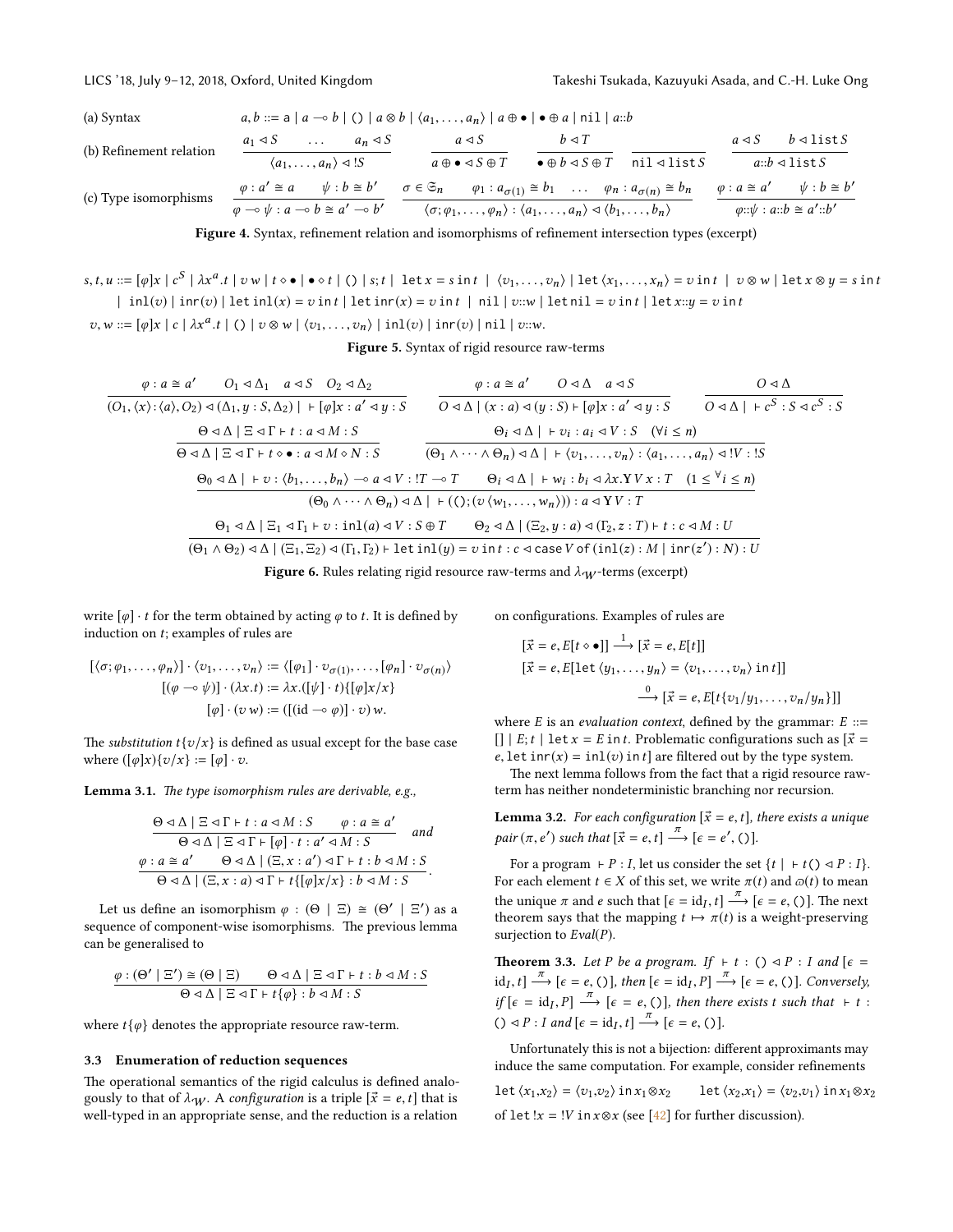<span id="page-5-0"></span>(a) Syntax 
$$
a, b ::= a | a \rightarrow b | () | a \otimes b | \langle a_1, \ldots, a_n \rangle | a \oplus \bullet | \bullet \oplus a | \text{nil } | a::b
$$

(b) Refinement relation  $a_1 \triangleleft S$  ...  $a_n \triangleleft S$  $\langle a_1, \ldots, a_n \rangle \triangleleft ! S$  $a \triangleleft S$  $a \oplus \bullet \lhd S \oplus T$  $b \triangleleft T$  $\bullet \oplus b \triangleleft S \oplus T$  nil  $\triangleleft$  list S  $a \triangleleft S$   $b \triangleleft \text{list } S$  $a::b \lhd \text{list } S$ (c) Type isomorphisms  $\varphi : a' \cong a \qquad \psi : b \cong b'$  $\frac{\varphi : a' \cong a \qquad \psi : b \cong b'}{\varphi \multimap \psi : a \multimap b \cong a' \multimap b'}$   $\frac{\sigma \in \mathfrak{S}_n \qquad \varphi_1 : a_{\sigma(1)} \cong b_1 \qquad \dots \qquad \varphi_n : a_{\sigma(n)} \cong b_n}{\langle \sigma; \varphi_1, \dots, \varphi_n \rangle : \langle a_1, \dots, a_n \rangle \triangleleft \langle b_1, \dots, b_n \rangle}$  $\langle \sigma; \varphi_1, \ldots, \varphi_n \rangle : \langle a_1, \ldots, a_n \rangle \triangleleft \langle b_1, \ldots, b_n \rangle$  $\varphi : a \cong a' \qquad \psi : b \cong b'$  $\varphi::\psi : a::b \cong a':b'$ 

Figure 4. Syntax, refinement relation and isomorphisms of refinement intersection types (excerpt

<span id="page-5-1"></span> $s, t, u ::= [\varphi] x \mid c^S \mid \lambda x^a.t \mid v \le | \bullet \diamond t \mid () \mid s; t \mid \text{let } x = s \text{ in } t \mid \langle v_1, \ldots, v_n \rangle \mid \text{let } \langle x_1, \ldots, x_n \rangle = v \text{ in } t \mid v \otimes w \mid \text{let } x \otimes y = s \text{ in } t$  $\int$  inl(v)  $\int$  inr(v)  $\int$  let inl(x) = v in t  $\int$  let inr(x) = v in t  $\int$  nil  $\int$  v::w  $\int$  let nil = v in t  $\int$  let x::u = v in t

 $v, w ::= [\varphi] x \mid c \mid \lambda x^a.t \mid () \mid v \otimes w \mid \langle v_1, \ldots, v_n \rangle \mid \text{inl}(v) \mid \text{inr}(v) \mid \text{nil} \mid v::w.$ 

Figure 5. Syntax of rigid resource raw-terms

<span id="page-5-2"></span>
$$
\varphi: a \cong a' \qquad O_1 \triangleleft \Delta_1 \quad a \triangleleft S \qquad O_2 \triangleleft \Delta_2 \qquad \varphi: a \cong a' \qquad O \triangleleft \Delta \quad a \triangleleft S \qquad O \triangleleft \Delta \\\overline{(O_1, \langle x \rangle : \langle a \rangle, O_2) \triangleleft (\Delta_1, y : S, \Delta_2) \mid + [\varphi] x : a' \triangleleft y : S} \qquad \overline{O \triangleleft \Delta \mid (x : a) \triangleleft (y : S) \mid + [\varphi] x : a' \triangleleft y : S} \qquad \overline{O \triangleleft \Delta \mid + c^S : S \triangleleft c^S : S} \right)} \right]} \right)
$$
\n
$$
\Theta \triangleleft \Delta \mid \Xi \triangleleft \Gamma + t : a \triangleleft M : S \qquad \Theta_i \triangleleft \Delta \mid + v_i : a_i \triangleleft V : S \qquad (\forall i \leq n) \\\overline{\Theta \triangleleft \Delta \mid \Xi \triangleleft \Gamma + t \diamond \bullet : a \triangleleft M \diamond N : S} \qquad (\overline{\Theta_1 \wedge \cdots \wedge \Theta_n) \triangleleft \Delta \mid + \langle v_1, \ldots, v_n \rangle : \langle a_1, \ldots, a_n \rangle \triangleleft ! V : S} \right)} \right)} \right)
$$
\n
$$
\frac{\Theta_0 \triangleleft \Delta \mid + v : \langle b_1, \ldots, b_n \rangle \multimap a \triangleleft V : T \multimap T \qquad \Theta_i \triangleleft \Delta \mid + w_i : b_i \triangleleft \lambda x . Y V x : T \quad (1 \leq \forall i \leq n) \\\overline{(\Theta_0 \wedge \cdots \wedge \Theta_n) \triangleleft \Delta \mid + (\langle \cdot \rangle : (v \langle w_1, \ldots, w_n \rangle)) \mid a \triangleleft Y V : T} \right)} \right)}
$$
\n
$$
\frac{\Theta_1 \triangleleft \Delta \mid \Xi_1 \triangleleft \Gamma_1 + v : \text{in1}(a) \triangleleft V : S \oplus T \qquad \Theta_2 \triangleleft \Delta \mid (\Xi_2, y : a) \triangleleft (\Gamma_2, z : T) \mid + t : c \triangleleft M : U} \right)}{\left(\Theta_1 \wedge \Theta_2) \triangleleft \Delta \mid (\Xi_1, \Xi_2) \triangleleft (\Gamma_1, \Gamma_2) \mid \text{let} \text{in1}(y) = v \text{in} t : c \triangleleft \text{case
$$

**Figure 6.** Rules relating rigid resource raw-terms and  $\lambda_W$ -terms (excerpt)

write  $[\varphi] \cdot t$  for the term obtained by acting  $\varphi$  to  $t$ . It is defined by induction on t; examples of rules are

on configurations. Examples of rules are

$$
[\langle \sigma; \varphi_1, \dots, \varphi_n \rangle] \cdot \langle v_1, \dots, v_n \rangle := \langle [\varphi_1] \cdot v_{\sigma(1)}, \dots, [\varphi_n] \cdot v_{\sigma(n)} \rangle
$$

$$
[(\varphi \multimap \psi)] \cdot (\lambda x. t) := \lambda x.([\psi] \cdot t) \{ [\varphi] x / x \}
$$

$$
[\varphi] \cdot (v \cdot w) := ([(id \multimap \varphi)] \cdot v) \cdot w.
$$

The *substitution*  $t \{v/x\}$  is defined as usual except for the base case where  $([\varphi]x)\{\upsilon/x\} := [\varphi] \cdot \upsilon$ .

<span id="page-5-4"></span>Lemma 3.1. The type isomorphism rules are derivable, e.g.,

$$
\frac{\Theta \triangleleft \Delta \mid \Xi \triangleleft \Gamma \vdash t : a \triangleleft M : S \qquad \varphi : a \cong a'}{\Theta \triangleleft \Delta \mid \Xi \triangleleft \Gamma \vdash [\varphi] \cdot t : a' \triangleleft M : S} \quad and
$$
\n
$$
\underline{\varphi : a \cong a'} \qquad \Theta \triangleleft \Delta \mid (\Xi, x : a') \triangleleft \Gamma \vdash t : b \triangleleft M : S}{\Theta \triangleleft \Delta \mid (\Xi, x : a) \triangleleft \Gamma \vdash t \{[\varphi] x / x\} : b \triangleleft M : S}.
$$

Let us define an isomorphism  $\varphi : (\Theta \mid \Xi) \cong (\Theta' \mid \Xi')$  as a summer of component-wise isomorphisms. The previous lemma sequence of component-wise isomorphisms. The previous lemma can be generalised to

$$
\frac{\varphi : (\Theta' \mid \Xi') \cong (\Theta \mid \Xi) \qquad \Theta \triangleleft \Delta \mid \Xi \triangleleft \Gamma + t : b \triangleleft M : S}{\Theta \triangleleft \Delta \mid \Xi \triangleleft \Gamma + t {\{\varphi\}} : b \triangleleft M : S}
$$

where  $t\{\varphi\}$  denotes the appropriate resource raw-term.

# <span id="page-5-5"></span>3.3 Enumeration of reduction sequences

The operational semantics of the rigid calculus is defined analogously to that of  $\lambda_W$ . A configuration is a triple  $[\vec{x} = e, t]$  that is well-typed in an appropriate sense, and the reduction is a relation

$$
[\vec{x} = e, E[t \diamond \bullet]] \xrightarrow{1} [\vec{x} = e, E[t]]
$$
  

$$
[\vec{x} = e, E[\text{let } \langle y_1, \dots, y_n \rangle = \langle v_1, \dots, v_n \rangle \text{ in } t]]
$$
  

$$
\xrightarrow{0} [\vec{x} = e, E[t\{v_1/y_1, \dots, v_n/y_n\}]]
$$

where E is an *evaluation context*, defined by the grammar:  $E ::=$  $[$ ]  $|$   $E$ ;  $t$   $|$   $\det x = E$  in  $t$ . Problematic configurations such as  $\vec{x} =$ e, let inr(x) = inl(v) in t] are filtered out by the type system.

The next lemma follows from the fact that a rigid resource rawterm has neither nondeterministic branching nor recursion.

**Lemma 3.2.** For each configuration  $[\vec{x} = e, t]$ , there exists a unique pair  $(\pi, e')$  such that  $[\vec{x} = e, t] \stackrel{\pi}{\longrightarrow} [\epsilon = e', 0].$ 

For a program  $\vdash P : I$ , let us consider the set  $\{t \mid \vdash t(\cdot) \lhd P : I\}$ . For each element  $t \in X$  of this set, we write  $\pi(t)$  and  $\varpi(t)$  to mean the unique  $\pi$  and e such that  $[\epsilon = id, t] \frac{\pi}{\pi} [\epsilon = e, 0]$ . The next<br>theorem says that the manning  $t \mapsto \pi(t)$  is a weight-presenting theorem says that the mapping  $t \mapsto \pi(t)$  is a weight-preserving surjection to  $Eval(P)$ .

<span id="page-5-3"></span>**Theorem 3.3.** Let P be a program. If  $\vdash t : () \triangleleft P : I$  and  $\lceil \epsilon =$  $id_I, t \rightarrow [\epsilon = e, ()]$ , then  $[\epsilon = id_I, P] \xrightarrow{\pi} [\epsilon = e, ()]$ . Conversely, if  $[\epsilon = id_I, P] \xrightarrow{\pi} [\epsilon = e, ()]$ , then there exists t such that  $\vdash t :$ ()  $\triangleleft P$  : I and  $[\epsilon = id_I, t] \stackrel{\pi}{\longrightarrow} [\epsilon = e, ()].$ 

Unfortunately this is not a bijection: different approximants may induce the same computation. For example, consider refinements

let  $\langle x_1,x_2\rangle = \langle v_1,v_2\rangle$  in  $x_1 \otimes x_2$  let  $\langle x_2,x_1\rangle = \langle v_2,v_1\rangle$  in  $x_1 \otimes x_2$ of let ! $x =$  !V in  $x \otimes x$  (see [\[42\]](#page-10-3) for further discussion).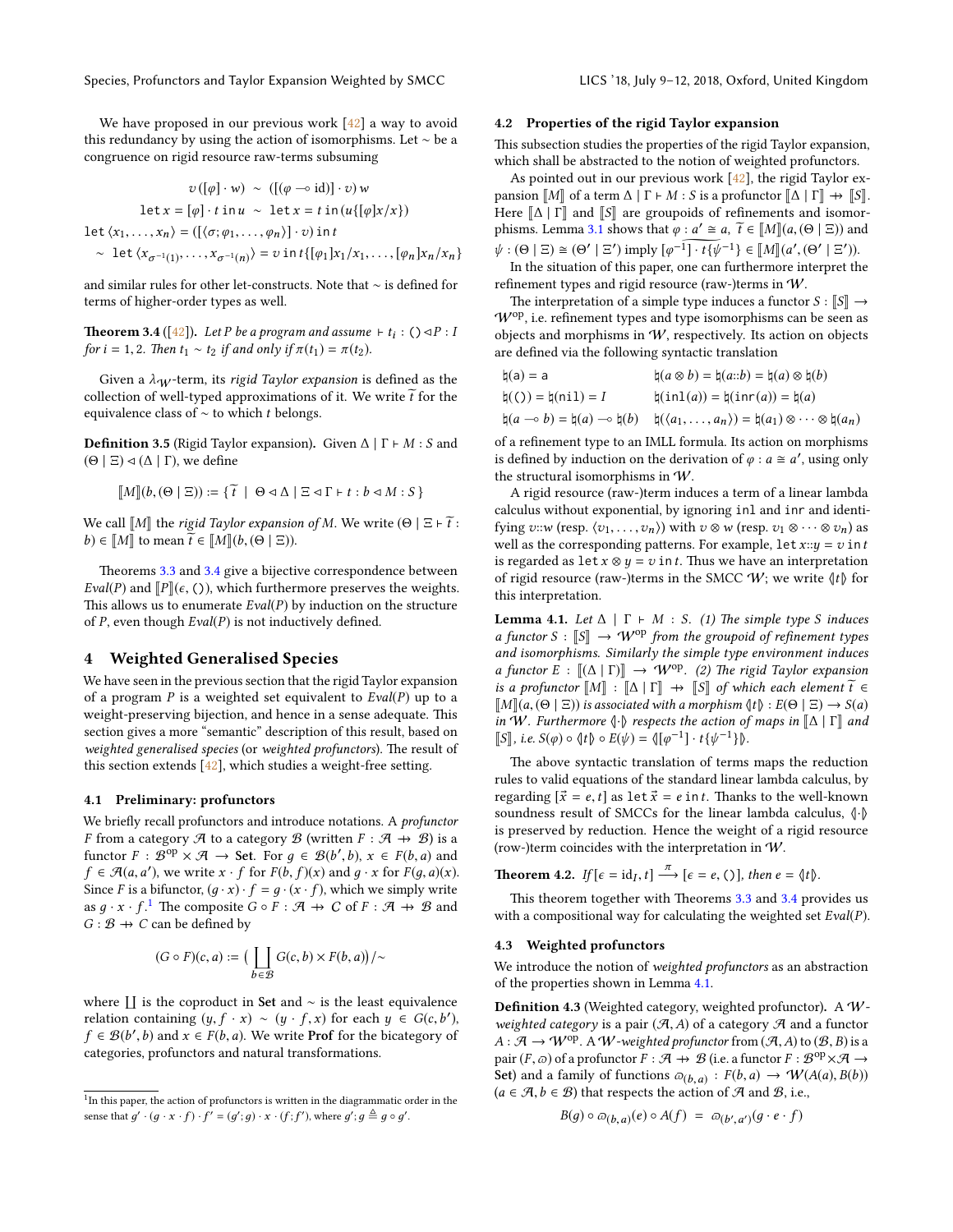Species, Profunctors and Taylor Expansion Weighted by SMCC LICS '18, July 9-12, 2018, Oxford, United Kingdom

We have proposed in our previous work [\[42\]](#page-10-3) a way to avoid this redundancy by using the action of isomorphisms. Let ∼ be a congruence on rigid resource raw-terms subsuming

$$
v([\varphi] \cdot w) \sim ([(\varphi \multimap id)] \cdot v) w
$$
  
let  $x = [\varphi] \cdot t$  in  $u \sim \text{let } x = t$  in  $(u\{[\varphi]x/x\})$   
let  $\langle x_1, \ldots, x_n \rangle = ([\langle \sigma; \varphi_1, \ldots, \varphi_n \rangle] \cdot v)$  in  $t$   
 $\sim \text{let } \langle x_{\sigma^{-1}(1)}, \ldots, x_{\sigma^{-1}(n)} \rangle = v$  in  $t\{[\varphi_1]x_1/x_1, \ldots, [\varphi_n]x_n/x_n\}$ 

and similar rules for other let-constructs. Note that ∼ is defined for terms of higher-order types as well.

<span id="page-6-2"></span>**Theorem 3.4** ([\[42\]](#page-10-3)). Let P be a program and assume  $\vdash t_i : (\cdot) \triangleleft P : l$ for  $i = 1, 2$ . Then  $t_1 \sim t_2$  if and only if  $\pi(t_1) = \pi(t_2)$ .

Given a  $\lambda_W$ -term, its rigid Taylor expansion is defined as the collection of well-typed approximations of it. We write  $\widetilde{t}$  for the equivalence class of  $\sim$  to which t belongs.

**Definition 3.5** (Rigid Taylor expansion). Given  $\Delta | \Gamma \vdash M : S$  and  $(Θ | Ξ)$   $\triangleleft (Δ | Γ)$ , we define

$$
\llbracket M \rrbracket (b, (\Theta \mid \Xi)) \coloneqq \{ \widetilde{t} \mid \Theta \lhd \Delta \mid \Xi \lhd \Gamma \vdash t : b \lhd M : S \}
$$

We call  $\llbracket M \rrbracket$  the *rigid Taylor expansion of M*. We write  $(\Theta \mid \Xi \mid \widetilde{t}$ :  $(b) \in [M]$  to mean  $\tilde{t} \in [M](b, (\Theta \mid \Xi)).$ 

Theorems [3.3](#page-5-3) and [3.4](#page-6-2) give a bijective correspondence between Eval(P) and  $[$ P $]$ ( $\epsilon$ , ()), which furthermore preserves the weights. This allows us to enumerate  $Eval(P)$  by induction on the structure of  $P$ , even though  $Eval(P)$  is not inductively defined.

# <span id="page-6-0"></span>4 Weighted Generalised Species

We have seen in the previous section that the rigid Taylor expansion of a program P is a weighted set equivalent to  $Eval(P)$  up to a weight-preserving bijection, and hence in a sense adequate. This section gives a more "semantic" description of this result, based on weighted generalised species (or weighted profunctors). The result of this section extends  $[42]$ , which studies a weight-free setting.

## <span id="page-6-6"></span>4.1 Preliminary: profunctors

We briefly recall profunctors and introduce notations. A *profunctor* F from a category  $\mathcal A$  to a category  $\mathcal B$  (written  $F : \mathcal A \to \mathcal B$ ) is a functor  $F : \mathcal{B}^{\text{op}} \times \mathcal{A} \to \text{Set}$ . For  $g \in \mathcal{B}(b', b), x \in F(b, a)$  and  $f \in \mathcal{A}(a, a')$ , we write  $x \cdot f$  for  $F(h, f)(x)$  and  $a \cdot x$  for  $F(a, a)(x)$ .  $f \in \mathcal{A}(a, a')$ , we write  $x \cdot f$  for  $F(b, f)(x)$  and  $g \cdot x$  for  $F(g, a)(x)$ .<br>Since E is a hifunctor  $(a, x) \cdot f = a \cdot (x \cdot f)$ , which we simply write Since F is a bifunctor,  $(g \cdot x) \cdot f = g \cdot (x \cdot f)$ , which we simply write as  $g \cdot x \cdot f$ .<sup>[1](#page-6-3)</sup> The composite  $G \circ F : \mathcal{A} \to C$  of  $F : \mathcal{A} \to \mathcal{B}$  and  $G : \mathcal{B} \rightarrow C$  can be defined by

$$
(G \circ F)(c, a) := \big(\coprod_{b \in \mathcal{B}} G(c, b) \times F(b, a)\big) / \sim
$$

where  $\prod$  is the coproduct in Set and ∼ is the least equivalence relation containing  $(y, f \cdot x) \sim (y \cdot f, x)$  for each  $y \in G(c, b')$ ,<br> $f \in \mathcal{R}(b', b)$  and  $x \in F(b, a)$ . We write **Prof** for the bicategory of  $f \in \mathcal{B}(b',b)$  and  $x \in F(b,a)$ . We write **Prof** for the bicategory of categories, profunctors and natural transformations categories, profunctors and natural transformations.

#### <span id="page-6-1"></span>4.2 Properties of the rigid Taylor expansion

This subsection studies the properties of the rigid Taylor expansion, which shall be abstracted to the notion of weighted profunctors.

As pointed out in our previous work [\[42\]](#page-10-3), the rigid Taylor expansion  $\llbracket M \rrbracket$  of a term  $\Delta \mid \Gamma \vdash M : S$  is a profunctor  $\llbracket \Delta \mid \Gamma \rrbracket \rightarrow \llbracket S \rrbracket$ . Here  $\Delta \mid \Gamma$  and  $\llbracket S \rrbracket$  are groupoids of refinements and isomor-phisms. Lemma [3.1](#page-5-4) shows that  $\varphi : a' \cong a$ ,  $\widetilde{t} \in [M](a, (\Theta \mid \Xi))$  and  $\psi$  ( $(\Theta \mid \Xi)$ ) and  $(\Theta \mid \Xi)$ ) and  $(\Theta \mid \Xi)$  $\psi : (\Theta \mid \Xi) \cong (\Theta' \mid \Xi')$  imply  $[\varphi^{-1}] \cdot t \{ \psi^{-1} \} \in [\![M]\!] (a', (\Theta' \mid \Xi'))$ .<br>In the situation of this paper one can furthermore interpret the

In the situation of this paper, one can furthermore interpret the refinement types and rigid resource (raw-)terms in  $W$ .

The interpretation of a simple type induces a functor  $S : \llbracket S \rrbracket \rightarrow$  $W^{op}$ , i.e. refinement types and type isomorphisms can be seen as objects and morphisms in W, respectively. Its action on objects are defined via the following syntactic translation

| $\natural(a) = a$                                             | $\natural(a \otimes b) = \natural(a::b) = \natural(a) \otimes \natural(b)$                |
|---------------------------------------------------------------|-------------------------------------------------------------------------------------------|
| $h(0) = h(nil) = I$                                           | $\natural(\text{inl}(a)) = \natural(\text{inr}(a)) = \natural(a)$                         |
| $\natural(a \multimap b) = \natural(a) \multimap \natural(b)$ | $\natural(\langle a_1,\ldots,a_n\rangle)=\natural(a_1)\otimes\cdots\otimes \natural(a_n)$ |
|                                                               |                                                                                           |

of a refinement type to an IMLL formula. Its action on morphisms is defined by induction on the derivation of  $\varphi$  :  $a \cong a'$ , using only the structural isomorphisms in W.

A rigid resource (raw-)term induces a term of a linear lambda calculus without exponential, by ignoring inl and inr and identifying v::w (resp.  $\langle v_1, \ldots, v_n \rangle$ ) with  $v \otimes w$  (resp.  $v_1 \otimes \cdots \otimes v_n$ ) as well as the corresponding patterns. For example, let  $x::y = v$  in t is regarded as let  $x \otimes y = v$  in t. Thus we have an interpretation of rigid resource (raw-)terms in the SMCC  $W$ ; we write  $\langle \phi | t \rangle$  for this interpretation.

<span id="page-6-4"></span>**Lemma 4.1.** Let  $\Delta \mid \Gamma \vdash M : S$ . (1) The simple type S induces a functor S :  $\llbracket S \rrbracket \rightarrow W^{op}$  from the groupoid of refinement types and isomorphisms. Similarly the simple type environment induces a functor  $E : [(\Delta | \Gamma)]] \rightarrow W^{op}$ . (2) The rigid Taylor expansion is a profunctor  $\llbracket M \rrbracket$  :  $\llbracket \Delta \mid \Gamma \rrbracket \rightarrow \llbracket S \rrbracket$  of which each element  $\widetilde{t} \in$  $\llbracket M \rrbracket(a, (\Theta \mid \Xi))$  is associated with a morphism  $\langle \sharp \rangle : E(\Theta \mid \Xi) \to S(a)$ in W. Furthermore  $\langle \cdot \rangle$  respects the action of maps in  $\mathbb{I}\Delta$  |  $\Gamma\mathbb{I}$  and  $\llbracket S \rrbracket$ , i.e.  $S(\varphi) \circ \langle \nmid t \rangle \circ E(\psi) = \langle \lbrack \varphi^{-1} \rbrack \cdot t \{ \psi^{-1} \} \rangle.$ 

The above syntactic translation of terms maps the reduction rules to valid equations of the standard linear lambda calculus, by regarding  $[\vec{x} = e, t]$  as let  $\vec{x} = e$  in t. Thanks to the well-known soundness result of SMCCs for the linear lambda calculus,  $\langle \cdot | \cdot \rangle$ is preserved by reduction. Hence the weight of a rigid resource (row-)term coincides with the interpretation in W.

**Theorem 4.2.** If  $[\epsilon = id_I, t] \xrightarrow{\pi} [\epsilon = e, ()]$ , then  $e = \langle \dagger t \rangle$ .

This theorem together with Theorems [3.3](#page-5-3) and [3.4](#page-6-2) provides us with a compositional way for calculating the weighted set  $Eval(P)$ .

### 4.3 Weighted profunctors

We introduce the notion of weighted profunctors as an abstraction of the properties shown in Lemma [4.1.](#page-6-4)

<span id="page-6-5"></span>Definition 4.3 (Weighted category, weighted profunctor). A  $W$ weighted category is a pair  $(A, A)$  of a category  $A$  and a functor  $A : \mathcal{A} \to W^{op}$ . A W-weighted profunctor from  $(\mathcal{A}, A)$  to  $(\mathcal{B}, B)$  is a pair  $(F, \varpi)$  of a profunctor  $F : \mathcal{A} \to \mathcal{B}$  (i.e. a functor  $F : \mathcal{B}^{op} \times \mathcal{A} \to$ <br>Set) and a family of functions  $\varpi_{\mathcal{A}} \to F(h, \varpi) \to \mathcal{W}(A(\varpi), B(h))$ Set) and a family of functions  $\omega_{(b,a)} : F(b,a) \to W(A(a), B(b))$ <br> $(a \in \mathcal{A} \mid b \in \mathcal{B})$  that respects the action of  $\mathcal{A}$  and  $\mathcal{B}$  i.e.  $(a \in \mathcal{A}, b \in \mathcal{B})$  that respects the action of  $\mathcal{A}$  and  $\mathcal{B}$ , i.e.,

$$
B(g) \circ \varpi_{(b,a)}(e) \circ A(f) = \varpi_{(b',a')}(g \cdot e \cdot f)
$$

<span id="page-6-3"></span><sup>&</sup>lt;sup>1</sup>In this paper, the action of profunctors is written in the diagrammatic order in the sense that  $g' \cdot (g \cdot x \cdot f) \cdot f' = (g';g) \cdot x \cdot (f; f')$ , where  $g'; g \triangleq g \circ g'$ .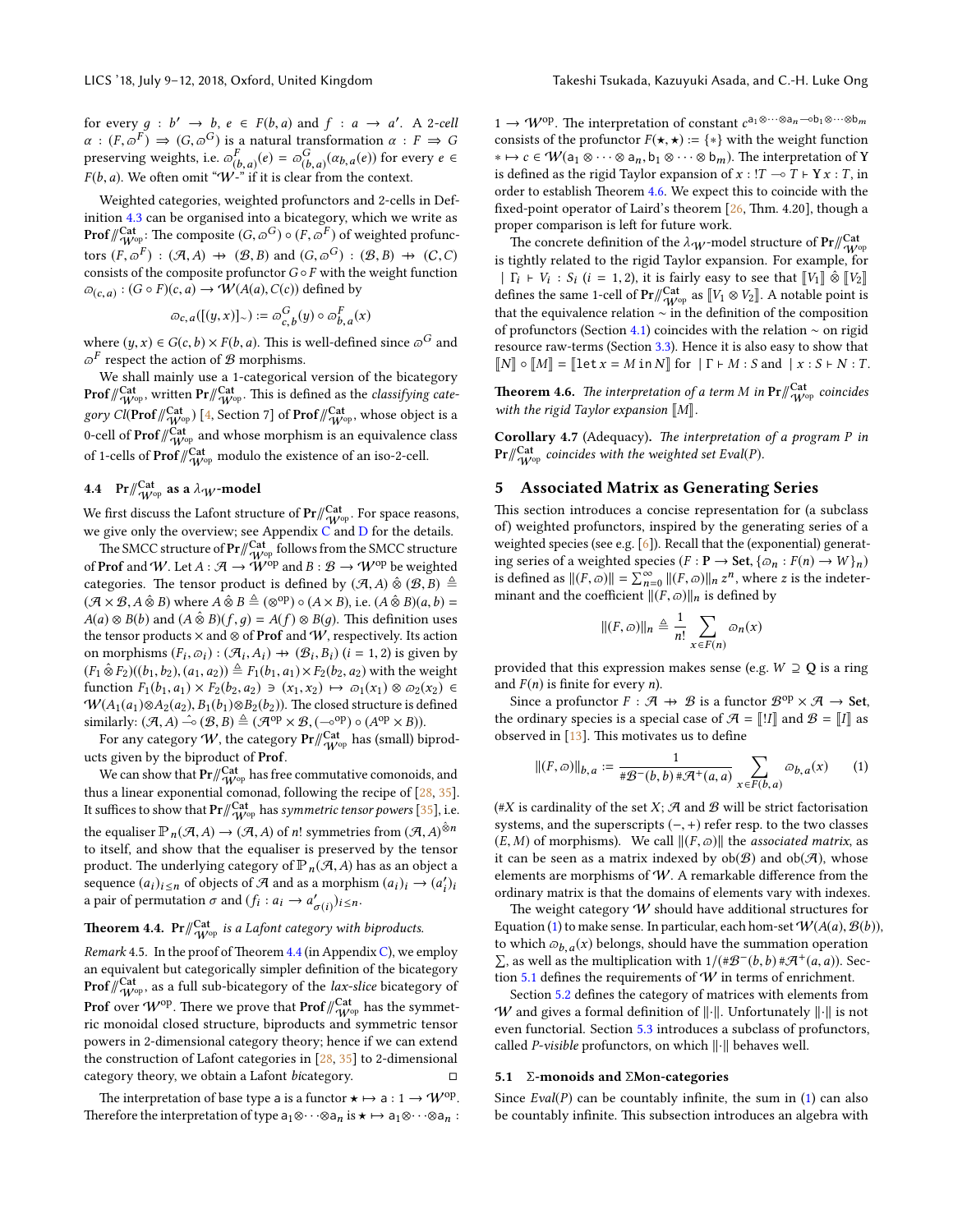for every  $g : b' \to b$ ,  $e \in F(b, a)$  and  $f : a \to a'$ . A 2-cell  $g : (E \circ F) \to (G \circ G)$  is a natural transformation  $g : F \to G$  $\alpha$  :  $(F, \overline{\omega}^F) \Rightarrow (G, \overline{\omega}^G)$  is a natural transformation  $\alpha$  :  $F \Rightarrow G$ <br>preserving weights i.e.  $\overline{\omega}^F$ ,  $(e) = \overline{\omega}^G$ ,  $(\alpha, (e))$  for every  $e \in$ preserving weights, i.e.  $\varpi_{(b,a)}^F(e) = \varpi_{(b,a)}^G(\alpha_{b,a}(e))$  for every  $e \in$ <br> $F(h,a)$ . We often omit "W," if it is clear from the context  $F(b, a)$ . We often omit "W-" if it is clear from the context.

Weighted categories, weighted profunctors and 2-cells in Definition [4.3](#page-6-5) can be organised into a bicategory, which we write as **Prof**/ $\int_{W^{opt}}^{Cat}$ : The composite  $(G, \varpi^G) \circ (F, \varpi^F)$  of weighted profunctors  $(F, \varpi^F) : (\mathcal{A}, A) \to (\mathcal{B}, B)$  and  $(G, \varpi^G) : (\mathcal{B}, B) \to (C, C)$ <br>consists of the composite profunctor  $G \circ F$  with the weight function consists of the composite profunctor  $G \circ F$  with the weight function  $\varpi_{(c,a)} : (G \circ F)(c,a) \to \mathcal{W}(A(a), C(c))$  defined by

$$
\varpi_{c,a}([(y,x)]_{\sim}) := \varpi_{c,b}^G(y) \circ \varpi_{b,a}^F(x)
$$

where  $(y, x) \in G(c, b) \times F(b, a)$ . This is well-defined since  $\varpi^G$  and  $\varpi^F$  respect the action of  $\mathcal{R}$  morphisms  $\varpi^F$  respect the action of  ${\mathcal B}$  morphisms.

We shall mainly use a 1-categorical version of the bicategory  $\mathsf{Prof}\vert/\!\!{}_{\mathsf{W}^\mathrm{op}}^\mathsf{Cat}$ , written  $\mathsf{Pr}\vert/\!\!{}_{\mathsf{W}^\mathrm{op}}^\mathsf{Cat}$ . This is defined as the *classifying cate*g*ory Cl*( $\text{Prof}\,\beta_{W^{\text{op}}}^{\text{Cat}}$ ) [\[4,](#page-9-15) Section 7] of  $\text{Prof}\,\beta_{W^{\text{op}}}^{\text{Cat}}$ , whose object is a 0-cell of  $\mathsf{Prof}\,\mathscr{W}^{\mathsf{Cat}}_{\mathsf{W}^{\mathsf{op}}}$  and whose morphism is an equivalence class of 1-cells of  $\mathsf{Prof}\/\!\! /_{\mathsf{W}^\mathrm{op}}^{\mathsf{Cat}}$  modulo the existence of an iso-2-cell.

# 4.4 Pr $\mathbb{V}_{W^{\mathrm{op}}}^{\mathrm{Cat}}$  as a  $\lambda_W$ -model

We first discuss the Lafont structure of  $\Pr/\!\!/\!{}^{\rm Cat}_{\rm W^{op}}$ . For space reasons, we give only the overview; see Appendix  $\overrightarrow{C}$  $\overrightarrow{C}$  $\overrightarrow{C}$  and  $\overrightarrow{D}$  $\overrightarrow{D}$  $\overrightarrow{D}$  for the details.

The SMCC structure of  $Pr/\!\! \substack{\text{Cat} \\ \text{W}^{\text{op}}}$  follows from the SMCC structure of **Prof** and W. Let  $A : \mathcal{A} \to \mathcal{W}^{\text{op}}$  and  $B : \mathcal{B} \to \mathcal{W}^{\text{op}}$  be weighted categories. The tensor product is defined by  $(\mathcal{A}, A) \hat{\otimes} (\mathcal{B}, B) \triangleq$  $(\mathcal{A} \times \mathcal{B}, A \hat{\otimes} B)$  where  $A \hat{\otimes} B \triangleq (\otimes^{\text{op}}) \circ (A \times B)$ , i.e.  $(A \hat{\otimes} B)(a, b)$  =  $A(a) \otimes B(b)$  and  $(A \otimes B)(f, q) = A(f) \otimes B(q)$ . This definition uses the tensor products  $\times$  and  $\otimes$  of **Prof** and W, respectively. Its action on morphisms  $(F_i, \varpi_i) : (\mathcal{A}_i, A_i) \to (\mathcal{B}_i, B_i)$   $(i = 1, 2)$  is given by<br> $(F_i, \varpi_{E_i})(f_k, f_k)$   $(g_i, g_k) \triangleq F_i(f_k, g_k) \times F_i(f_k, g_k)$  with the weight  $(F_1 \hat{\otimes} F_2)((b_1, b_2), (a_1, a_2)) \triangleq F_1(b_1, a_1) \times F_2(b_2, a_2)$  with the weight function  $F_1(b_1, a_1) \times F_2(b_2, a_2) \ni (x_1, x_2) \mapsto \varpi_1(x_1) \otimes \varpi_2(x_2) \in$  $W(A_1(a_1) \otimes A_2(a_2), B_1(b_1) \otimes B_2(b_2))$ . The closed structure is defined similarly:  $(\mathcal{A}, A) \stackrel{\sim}{\rightarrow} (\mathcal{B}, B) \stackrel{\triangle}{=} (\mathcal{A}^{op} \times \mathcal{B}, (-\circ^{op}) \circ (A^{op} \times B)).$ <br>For any category  $\mathcal{W}$  the category  $\mathbf{P} \mathbf{r} / \mathbf{Cat}$  has (small) by

For any category  $\bm{\mathcal{W}}$ , the category  $\mathbf{Pr}/\!\! \begin{smallmatrix} \mathsf{Cat} \ \mathsf{W}^{\mathrm{op}} \end{smallmatrix}$  has (small) biproducts given by the biproduct of Prof.

We can show that  $\Pr/\hspace{-3pt}/ \infty^{Cat}$  has free commutative comonoids, and thus a linear exponential comonad, following the recipe of [\[28,](#page-10-2) [35\]](#page-10-13). It suffices to show that  $\Pr/\!\! \frac{\mathrm{Cat}}{W^{\mathrm{op}}}$  has *symmetric tensor powers* [\[35\]](#page-10-13), i.e. the equaliser  $\mathbb{P}_n(\mathcal{A}, A) \to (\mathcal{A}, A)$  of n! symmetries from  $(\mathcal{A}, A)$ <sup> $\hat{\otimes}n$ </sup><br>to itself, and show that the equaliser is preserved by the tensor to itself, and show that the equaliser is preserved by the tensor product. The underlying category of  $\mathbb{P}_n(\mathcal{A}, A)$  has as an object a sequence  $(a_i)_{i \leq n}$  of objects of A and as a morphism  $(a_i)_i \rightarrow (a'_i)_i$ a pair of permutation  $\sigma$  and  $(f_i : a_i \rightarrow a'_{\sigma(i)})_{i \leq n}$ .

# <span id="page-7-1"></span>**Theorem 4.4.** Pr $\frac{f}{dV^{op}}$  is a Lafont category with biproducts.

*Remark* 4.5. In the proof of Theorem [4.4](#page-7-1) (in Appendix [C\)](#page-15-0), we employ an equivalent but categorically simpler definition of the bicategory  $\mathsf{Prof}\,\mathbin{\textit{#}}_{\mathcal{W}^\mathrm{op}}^\mathrm{Cat}$ , as a full sub-bicategory of the *lax-slice* bicategory of **Prof** over  $\mathcal{W}^\mathrm{op}.$  There we prove that  $\mathbf{Prof}\vert/\!\! \begin{array}{l} \text{Cat} \ \text{W}^\mathrm{op} \ \text{has the symmet} \end{array}$ ric monoidal closed structure, biproducts and symmetric tensor powers in 2-dimensional category theory; hence if we can extend the construction of Lafont categories in [\[28,](#page-10-2) [35\]](#page-10-13) to 2-dimensional category theory, we obtain a Lafont bicategory.

The interpretation of base type a is a functor  $\star \mapsto a : 1 \to W^{op}$ . Therefore the interpretation of type  $a_1 \otimes \cdots \otimes a_n$  is  $\star \mapsto a_1 \otimes \cdots \otimes a_n$ :

1 →  $W^{op}$ . The interpretation of constant  $c^{a_1 \otimes \cdots \otimes a_n - ob_1 \otimes \cdots \otimes b_m}$ consists of the profunctor  $F(\star,\star) := \{*\}$  with the weight function  $* \mapsto c \in W(a_1 \otimes \cdots \otimes a_n, b_1 \otimes \cdots \otimes b_m)$ . The interpretation of Y is defined as the rigid Taylor expansion of  $x : T \rightarrow T + Yx : T$ , in order to establish Theorem [4.6.](#page-7-2) We expect this to coincide with the fixed-point operator of Laird's theorem  $[26, Thm. 4.20]$  $[26, Thm. 4.20]$ , though a proper comparison is left for future work.

The concrete definition of the  $\lambda_{\mathcal{W}}$ -model structure of  $\text{Pr}/\!\! \int\limits_{\mathcal{W}^{\text{op}}}^{\text{Cat}}$ is tightly related to the rigid Taylor expansion. For example, for  $|\Gamma_i \vdash V_i : S_i$   $(i = 1, 2)$ , it is fairly easy to see that  $[[V_1]] \hat{\otimes} [[V_2]]$ <br>of period  $\mathbf{F} \mathbf{F}^{(l)}$ Cat as  $[[V_1 \otimes V_2]]$ . A notable point is defines the same 1-cell of  $Pr/\langle \text{Cat}_{\text{W}} \text{os } [V_1 \otimes V_2]$ . A notable point is that the equivalence relation  $\sim$  in the definition of the composition of profunctors (Section [4.1\)](#page-6-6) coincides with the relation ∼ on rigid resource raw-terms (Section [3.3\)](#page-5-5). Hence it is also easy to show that  $\llbracket N \rrbracket \circ \llbracket M \rrbracket = \llbracket \text{let } x = M \text{ in } N \rrbracket$  for  $\mid \Gamma \vdash M : S$  and  $\mid x : S \vdash N : T$ .

<span id="page-7-2"></span>**Theorem 4.6.** The interpretation of a term M in  $Pr/\!\!/_{W^{op}}^{Cat}$  coincides with the rigid Taylor expansion  $\llbracket M \rrbracket$ .

Corollary 4.7 (Adequacy). The interpretation of a program P in  $\mathrm{Pr}/\hspace{-3pt}/ \int_{\mathrm{W}^{\mathrm{op}}}^{\mathrm{Cat}}$  coincides with the weighted set Eval(P).

# <span id="page-7-0"></span>5 Associated Matrix as Generating Series

This section introduces a concise representation for (a subclass of) weighted profunctors, inspired by the generating series of a weighted species (see e.g. [\[6\]](#page-9-6)). Recall that the (exponential) generating series of a weighted species ( $F : \mathbf{P} \to \mathbf{Set}$ ,  $\{\varpi_n : F(n) \to W\}_n$ ) is defined as  $||(F, \varpi)|| = \sum_{n=0}^{\infty} ||(F, \varpi)||_n z^n$ , where z is the indeter-<br>minant and the coefficient  $||(F, \varpi)||$  is defined by minant and the coefficient  $||(F, \varpi)||_n$  is defined by

$$
||(F,\varpi)||_n \triangleq \frac{1}{n!} \sum_{x \in F(n)} \varpi_n(x)
$$

provided that this expression makes sense (e.g.  $W \supseteq Q$  is a ring and  $F(n)$  is finite for every *n*).

Since a profunctor  $F : \mathcal{A} \to \mathcal{B}$  is a functor  $\mathcal{B}^{op} \times \mathcal{A} \to$  Set, the ordinary species is a special case of  $\mathcal{A} = \llbracket !I \rrbracket$  and  $\mathcal{B} = \llbracket I \rrbracket$  as observed in  $[13]$ . This motivates us to define

<span id="page-7-3"></span>
$$
\|(F,\varpi)\|_{b,a} := \frac{1}{\# \mathcal{B}^-(b,b) \# \mathcal{A}^+(a,a)} \sum_{x \in F(b,a)} \varpi_{b,a}(x) \qquad (1)
$$

(#X is cardinality of the set X;  $\mathcal{A}$  and  $\mathcal{B}$  will be strict factorisation systems, and the superscripts  $(-, +)$  refer resp. to the two classes  $(E, M)$  of morphisms). We call  $||(F, \varpi)||$  the *associated matrix*, as it can be seen as a matrix indexed by  $ob(B)$  and  $ob(\mathcal{A})$ , whose elements are morphisms of  $W$ . A remarkable difference from the ordinary matrix is that the domains of elements vary with indexes.

The weight category  $W$  should have additional structures for Equation [\(1\)](#page-7-3) to make sense. In particular, each hom-set  $W(A(a), B(b))$ , to which  $\omega_{b,a}(x)$  belongs, should have the summation operation  $\Sigma$  as well as the multiplication with  $1/(\#R^{-}(b, b) \#H^{+}(a, a))$ .  $\Sigma$ , as well as the multiplication with  $1/(\#B^-(b, b) \#A^+(a, a))$ . Section 5.1 defines the requirements of  $W$  in terms of enrichment tion [5.1](#page-7-4) defines the requirements of  $W$  in terms of enrichment.

Section [5.2](#page-8-1) defines the category of matrices with elements from  $W$  and gives a formal definition of  $\lVert \cdot \rVert$ . Unfortunately  $\lVert \cdot \rVert$  is not even functorial. Section [5.3](#page-9-16) introduces a subclass of profunctors, called *P-visible* profunctors, on which  $\left\| \cdot \right\|$  behaves well.

#### <span id="page-7-4"></span>5.1 Σ-monoids and ΣMon-categories

Since  $Eval(P)$  can be countably infinite, the sum in [\(1\)](#page-7-3) can also be countably infinite. This subsection introduces an algebra with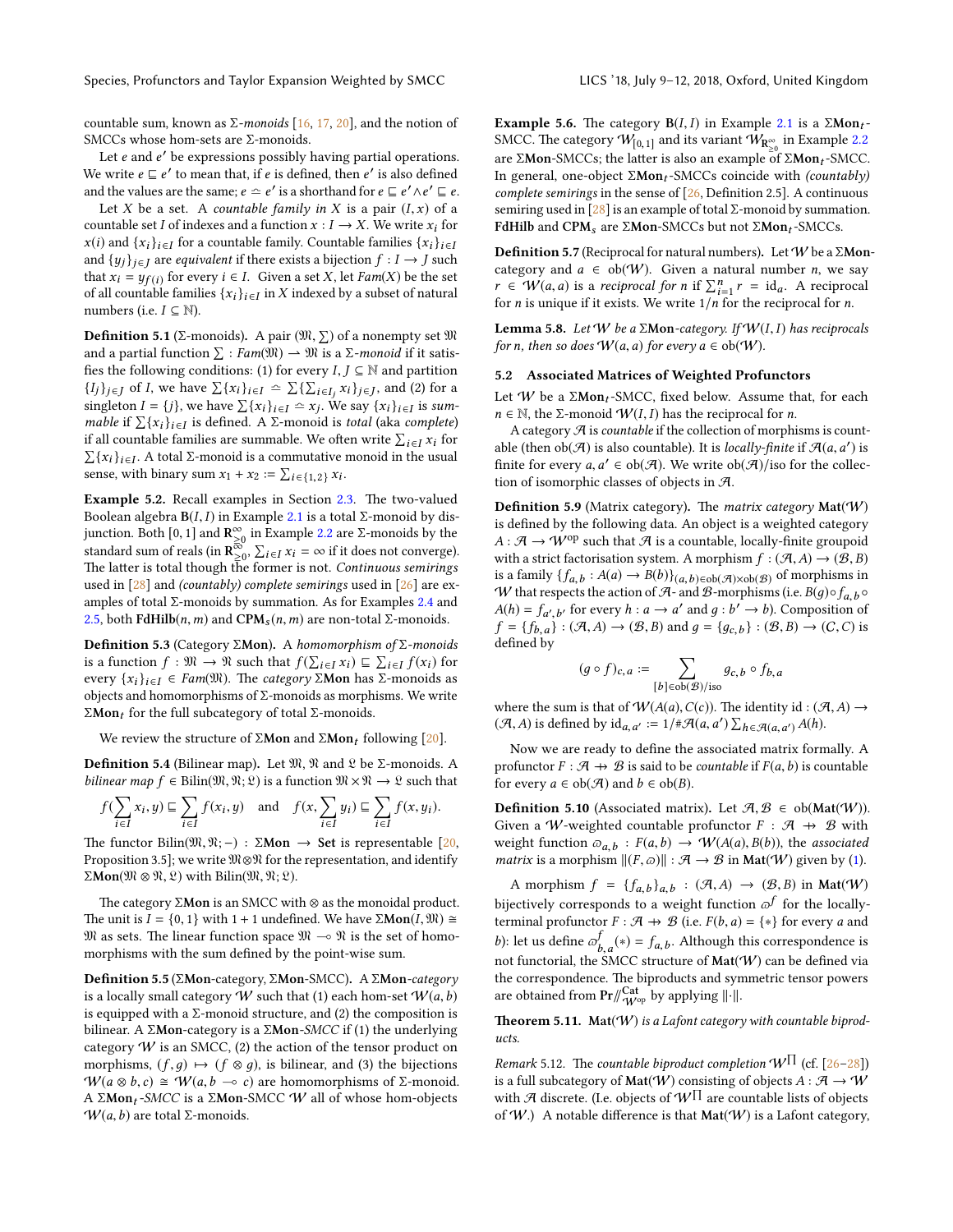countable sum, known as  $\Sigma$ -monoids [\[16,](#page-9-17) [17,](#page-9-18) [20\]](#page-9-19), and the notion of SMCCs whose hom-sets are Σ-monoids.

Let  $e$  and  $e'$  be expressions possibly having partial operations. We write  $e \sqsubseteq e'$  to mean that, if e is defined, then e' is also defined and the values are the same;  $e \simeq e'$  is a shorthand for  $e \sqsubseteq e' \land e' \sqsubseteq e$ .

Let X be a set. A countable family in X is a pair  $(I, x)$  of a countable set I of indexes and a function  $x : I \to X$ . We write  $x_i$  for  $x(i)$  and  $\{x_i\}_{i \in I}$  for a countable family. Countable families  $\{x_i\}_{i \in I}$ and  $\{y_j\}_{j\in J}$  are *equivalent* if there exists a bijection  $f: I \rightarrow J$  such that  $x_i = y_{f(i)}$  for every  $i \in I$ . Given a set X, let  $Fam(X)$  be the set of all countable families  $\{x_i\}_{i\in I}$  in X indexed by a subset of natural numbers (i.e.  $I \subseteq \mathbb{N}$ ).

**Definition 5.1** (Σ-monoids). A pair  $(\mathfrak{M}, \Sigma)$  of a nonempty set  $\mathfrak{M}$ <br>and a partial function  $\Sigma : \text{Eam}(\mathfrak{M}) \to \mathfrak{M}$  is a  $\Sigma$ -monoid if it satisand a partial function  $\Sigma : \text{Fam}(\mathfrak{M}) \to \mathfrak{M}$  is a  $\Sigma\text{-}monoid$  if it satis-<br>fies the following conditions: (1) for every  $I, I \subseteq \mathbb{N}$  and partition fies the following conditions: (1) for every  $I, J \subseteq \mathbb{N}$  and partition  $\{I_j\}_{j\in J}$  of I, we have  $\sum \{x_i\}_{i\in I} \subset \sum \{\sum_{i\in I_j} x_i\}_{j\in J}$ , and (2) for a singleton  $I = \{i\}$  are boundary  $\sum \{x_i\}_{i\in J}$ . singleton  $I = \{j\}$ , we have  $\sum \{x_i\}_{i \in I} \approx x_j$ . We say  $\{x_i\}_{i \in I}$  is summable if  $\sum \{x_i\}_{i \in I}$  is defined. A  $\Sigma$ -monoid is total (aka complete)<br>if all countable families are summable. We often write  $\sum x_i$  for if all countable families are summable. We often write  $\sum_{i \in I} x_i$  for  $\sum \{x_i\}_{i \in I}$ . A total  $\Sigma$ -monoid is a commutative monoid in the usual<br>sanse, with binary sum  $x_i + x_0 = \sum_{i \in I} (x_i) x_i$ . sense, with binary sum  $x_1 + x_2 := \sum_{i \in \{1,2\}} x_i$ .

Example 5.2. Recall examples in Section [2.3.](#page-2-0) The two-valued Boolean algebra  $B(I, I)$  in Example [2.1](#page-2-1) is a total Σ-monoid by disjunction. Both [0, 1] and  $\mathbf{R}^{\infty}_{\geq 0}$  in Example [2.2](#page-2-2) are Σ-monoids by the standard sum of reals (in  $\mathbf{R}^{\infty}_{\geq 0}$   $\Sigma_{\geq x}$  x = ∞ if it does not converge) standard sum of reals (in  $\mathbb{R}_{\geq 0}^{\infty}$ ,  $\sum_{i \in I} x_i = \infty$  if it does not converge). The latter is total though the former is not. Continuous semirings used in  $[28]$  and *(countably)* complete semirings used in  $[26]$  are examples of total  $\Sigma$ -monoids by summation. As for Examples [2.4](#page-3-3) and [2.5,](#page-3-4) both FdHilb $(n, m)$  and CPM<sub>s</sub> $(n, m)$  are non-total Σ-monoids.

**Definition 5.3** (Category Σ**Mon**). A homomorphism of Σ-monoids is a function  $f : \mathfrak{M} \to \mathfrak{N}$  such that  $f(\sum_{i \in I} x_i) \sqsubseteq \sum_{i \in I} f(x_i)$  for every  $\{x_i\}_{i \in I} \in \text{Fam}(\mathfrak{M})$ . The category Σ**Mon** has Σ-monoids as objects and homomorphisms of Σ-monoids as morphisms. We write  $\Sigma$ **Mon**<sub>t</sub> for the full subcategory of total Σ-monoids.

We review the structure of  $\Sigma$ **Mon** and  $\Sigma$ **Mon**<sub>t</sub> following [\[20\]](#page-9-19).

**Definition 5.4** (Bilinear map). Let  $\mathfrak{M}, \mathfrak{N}$  and  $\mathfrak{L}$  be  $\Sigma$ -monoids. A *bilinear map*  $f \in \text{Bilin}(\mathfrak{M}, \mathfrak{N}; \mathfrak{L})$  is a function  $\mathfrak{M} \times \mathfrak{N} \to \mathfrak{L}$  such that

$$
f(\sum_{i \in I} x_i, y) \sqsubseteq \sum_{i \in I} f(x_i, y) \text{ and } f(x, \sum_{i \in I} y_i) \sqsubseteq \sum_{i \in I} f(x, y_i).
$$

The functor Bilin( $\mathfrak{M}, \mathfrak{N}; -$ ) :  $\Sigma \mathbf{Mon} \rightarrow \mathbf{Set}$  is representable [\[20,](#page-9-19) Proposition 3.5]; we write M⊗N for the representation, and identify  $\Sigma$ Mon( $\mathfrak{M} \otimes \mathfrak{N}, \mathfrak{L}$ ) with Bilin( $\mathfrak{M}, \mathfrak{N}; \mathfrak{L}$ ).

The category  $\Sigma$ **Mon** is an SMCC with  $\otimes$  as the monoidal product. The unit is  $I = \{0, 1\}$  with  $1 + 1$  undefined. We have  $\Sigma \text{Mon}(I, \mathfrak{M}) \cong$  $\mathfrak{M}$  as sets. The linear function space  $\mathfrak{M} \sim \mathfrak{N}$  is the set of homomorphisms with the sum defined by the point-wise sum.

Definition 5.5 (ΣMon-category, ΣMon-SMCC). A ΣMon-category is a locally small category W such that (1) each hom-set  $W(a, b)$ is equipped with a  $\Sigma$ -monoid structure, and (2) the composition is bilinear. A Σ**Mon**-category is a Σ**Mon**-SMCC if (1) the underlying category  $W$  is an SMCC, (2) the action of the tensor product on morphisms,  $(f, g) \mapsto (f \otimes g)$ , is bilinear, and (3) the bijections  $W(a \otimes b, c) \cong W(a, b \multimap c)$  are homomorphisms of Σ-monoid. A Σ**Mon**<sub>t</sub>-SMCC is a Σ**Mon**-SMCC W all of whose hom-objects  $W(a, b)$  are total Σ-monoids.

Example 5.6. The category  $B(I, I)$  in Example [2.1](#page-2-1) is a  $\Sigma Mon_t$ -SMCC. The category  $W_{[0,1]}$  and its variant  $W_{\mathbf{R}_{\geq 0}^{\infty}}$  in Example [2.2](#page-2-2) are Σ**Mon-**SMCCs; the latter is also an example of Σ**Mon**<sub>t</sub>-SMCC. In general, one-object ΣMon<sub>t</sub>-SMCCs coincide with (countably) complete semirings in the sense of  $[26,$  Definition 2.5]. A continuous semiring used in  $[28]$  is an example of total Σ-monoid by summation. FdHilb and CPM<sub>s</sub> are ΣMon-SMCCs but not ΣMon<sub>t</sub>-SMCCs.

**Definition 5.7** (Reciprocal for natural numbers). Let W be a  $\Sigma$ Moncategory and  $a \in ob(W)$ . Given a natural number *n*, we say  $r \in W(a, a)$  is a reciprocal for n if  $\sum_{i=1}^{n} r = id_a$ . A reciprocal<br>for n is unique if it exists. We write  $1/n$  for the reciprocal for n for *n* is unique if it exists. We write  $1/n$  for the reciprocal for *n*.

**Lemma 5.8.** Let W be a  $\Sigma$ Mon-category. If  $W(I, I)$  has reciprocals for *n*, then so does  $W(a, a)$  for every  $a \in ob(W)$ .

# <span id="page-8-1"></span>5.2 Associated Matrices of Weighted Profunctors

Let W be a  $\Sigma Mon_t-SMCC$ , fixed below. Assume that, for each  $n \in \mathbb{N}$ , the *Σ*-monoid  $W(I, I)$  has the reciprocal for *n*.

A category  $\mathcal A$  is *countable* if the collection of morphisms is countable (then  $ob(\mathcal{A})$  is also countable). It is *locally-finite* if  $\mathcal{A}(a, a')$  is<br>finite for every  $a, a' \in ob(\mathcal{A})$ . We write  $ob(\mathcal{A})$ /iso for the collecfinite for every  $a, a' \in ob(\mathcal{A})$ . We write  $ob(\mathcal{A})/iso$  for the collection of isomorphic classes of objects in  $\mathcal{A}$ tion of isomorphic classes of objects in  $A$ .

**Definition 5.9** (Matrix category). The *matrix category*  $Mat(W)$ is defined by the following data. An object is a weighted category  $A : \mathcal{A} \to W^{op}$  such that  $\mathcal{A}$  is a countable, locally-finite groupoid with a strict factorisation system. A morphism  $f : (\mathcal{A}, A) \to (\mathcal{B}, B)$ is a family  $\{f_{a,b} : A(a) \to B(b)\}_{(a,b) \in \text{ob}(\mathcal{A})\times \text{ob}(\mathcal{B})}$  of morphisms in<br>W that respects the action of  $A_2$  and  $B_3$ -morphisms (i.e.  $B(a) \circ f \to 0$ W that respects the action of  $A$ - and  $B$ -morphisms (i.e.  $B(g) \circ f_{a,b} \circ$  $A(h) = f_{a'}, b'$  for every  $h : a \to a'$  and  $g : b' \to b$ ). Composition of  $f = \{f, \dots, (g, A) \to (g, B) \text{ and } a = \{g, \dots, (g, B) \to (g, C)\}$  $f = \{f_{b,a}\} : (\mathcal{A}, A) \to (\mathcal{B}, B) \text{ and } g = \{g_{c,b}\} : (\mathcal{B}, B) \to (C, C) \text{ is defined by}$ defined by

$$
(g \circ f)_{c,a} := \sum_{[b] \in \text{ob}(\mathcal{B})/\text{iso}} g_{c,b} \circ f_{b,a}
$$

where the sum is that of  $W(A(a), C(c))$ . The identity id :  $(\mathcal{A}, A) \rightarrow$  $(\mathcal{A}, A)$  is defined by  $\mathrm{id}_{a, a'} := 1/\# \mathcal{A}(a, a') \sum_{h \in \mathcal{A}(a, a')} A(h)$ .

Now we are ready to define the associated matrix formally. A profunctor  $F : \mathcal{A} \rightarrow \mathcal{B}$  is said to be *countable* if  $F(a, b)$  is countable for every  $a \in \text{ob}(\mathcal{A})$  and  $b \in \text{ob}(B)$ .

**Definition 5.10** (Associated matrix). Let  $\mathcal{A}, \mathcal{B} \in ob(\text{Mat}(\mathcal{W}))$ . Given a W-weighted countable profunctor  $F : \mathcal{A} \rightarrow \mathcal{B}$  with weight function  $\omega_{a,b} : F(a,b) \to W(A(a), B(b))$ , the associated<br>matrix is a morphism  $\Vert (F, \rho) \Vert : \mathcal{A} \to \mathcal{B}$  in Mat(W) given by (1) *matrix* is a morphism  $||(F, \varpi)|| : \mathcal{A} \to \mathcal{B}$  in Mat(*W*) given by [\(1\)](#page-7-3).

A morphism  $f = \{f_{a,b}\}_{a,b} : (\mathcal{A}, A) \to (\mathcal{B}, B)$  in Mat(W) bijectively corresponds to a weight function  $\varpi^f$  for the locallyterminal profunctor  $F : \mathcal{A} \rightarrow \mathcal{B}$  (i.e.  $F(b, a) = \{*\}$  for every a and b): let us define  $\sigma_{b,a}^f(*) = f_{a,b}$ . Although this correspondence is b, and the such that  $\omega_{b,a}^{(k)}$  and  $\omega_{b,a}^{(k)}$  are such that  $\omega_{b,a}^{(k)}$  can be defined via the correspondence. The biproducts and symmetric tensor powers are obtained from  $\Pr/\hspace{-3pt}/ \frac{Cat}{\cdot W^{\mathrm{op}}}$  by applying  $\| \cdot \|$ .

**Theorem 5.11.** Mat( $W$ ) is a Lafont category with countable biproducts.

<span id="page-8-0"></span>Remark 5.12. The countable biproduct completion  $W^{\prod}$  (cf. [\[26](#page-10-5)[–28\]](#page-10-2)) is a full subcategory of **Mat** $(W)$  consisting of objects  $A : \mathcal{A} \rightarrow W$ with A discrete. (I.e. objects of  $W^\Pi$  are countable lists of objects of  $W$ .) A notable difference is that  $Mat(W)$  is a Lafont category,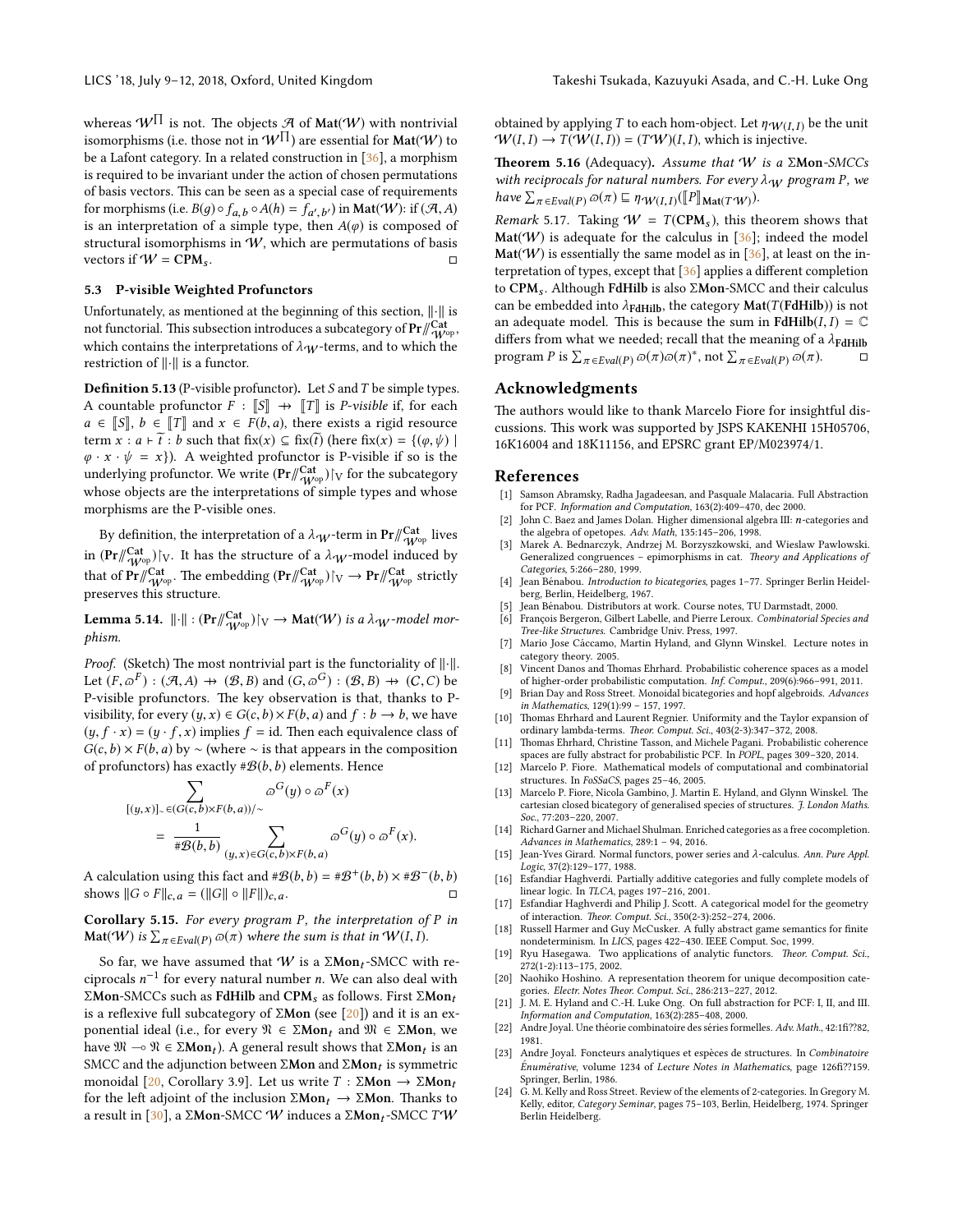whereas  $W^\Pi$  is not. The objects  ${\mathcal{A}}$  of  $\textsf{Mat}(W)$  with nontrivial isomorphisms (i.e. those not in  $W^{\prod}$ ) are essential for  $\textsf{Mat}(\mathcal{W})$  to be a Lafont category. In a related construction in [\[36\]](#page-10-0), a morphism is required to be invariant under the action of chosen permutations of basis vectors. This can be seen as a special case of requirements for morphisms (i.e.  $B(g) \circ f_{a,b} \circ A(h) = f_{a',b'}$ ) in **Mat**(*W*): if (*A, A*) is an interpretation of a simple type then  $A(a)$  is composed of for morphisms (i.e.  $b(g) \circ f_{a,b} \circ A(n) = f_{a',b'}$ ) in Mat('W): If (A, A) is an interpretation of a simple type, then  $A(\varphi)$  is composed of structural isomorphisms in  $W$ , which are permutations of basis vectors if  $W = \text{CPM}_s$ .

#### <span id="page-9-16"></span>5.3 P-visible Weighted Profunctors

Unfortunately, as mentioned at the beginning of this section,  $\left\| \cdot \right\|$  is not functorial. This subsection introduces a subcategory of  $\Pr/\!\! \frac{\mathrm{Cat}}{\mathcal{W}^{\mathrm{op}}},$ which contains the interpretations of  $\lambda_W$ -terms, and to which the restriction of  $\left\| \cdot \right\|$  is a functor.

**Definition 5.13** (P-visible profunctor). Let  $S$  and  $T$  be simple types. A countable profunctor  $F : \llbracket S \rrbracket \rightarrow \llbracket T \rrbracket$  is *P*-visible if, for each  $a \in \mathbb{S}, b \in \mathbb{T}$  and  $x \in F(b, a)$ , there exists a rigid resource term  $x : a \vdash \tilde{t} : b$  such that  $fix(x) \subseteq fix(\tilde{t})$  (here  $fix(x) = \{(\varphi, \psi) \mid$  $\varphi \cdot x \cdot \psi = x$ ). A weighted profunctor is P-visible if so is the underlying profunctor. We write  $(\mathbf{Pr}/\!\!/_{W^{\rm op}}^{\mathbf{Cat}})|_V$  for the subcategory whose objects are the interpretations of simple types and whose morphisms are the P-visible ones.

By definition, the interpretation of a  $\lambda_\mathcal{W}$ -term in  $\Pr/\hspace{-3pt}/_{\mathcal{W}^{\mathrm{opt}}}^{\mathrm{Cat}}$  lives in  $(\mathbf{Pr}/\!\!/_{W^{\rm op}}^{\mathbf{Cat}})$  [v. It has the structure of a  $\lambda_{\mathcal{W}}$ -model induced by that of  $\mathrm{Pr}/\!\!/_{W^{\mathrm{op}}}^{\mathrm{Cat}}$  . The embedding  $(\mathrm{Pr}/\!\!/_{W^{\mathrm{op}}}^{\mathrm{Cat}})$   $\restriction_{\mathrm{V}}$   $\to$   $\mathrm{Pr}/\!\!/_{W^{\mathrm{op}}}^{\mathrm{Cat}}$  strictly preserves this structure.

**Lemma 5.14.**  $\lVert \cdot \rVert : (\Pr/\!\! \begin{smallmatrix} \mathrm{Cat} \\ W^{\mathrm{op}} \end{smallmatrix}) \rvert_V \to \mathrm{Mat}(W)$  is a  $\lambda_W$ -model morphism.

*Proof.* (Sketch) The most nontrivial part is the functoriality of  $\Vert \cdot \Vert$ . Let  $(F, \varpi^F) : (\mathcal{A}, A) \to (\mathcal{B}, B)$  and  $(G, \varpi^G) : (\mathcal{B}, B) \to (C, C)$  be<br>P-visible profunctors. The key observation is that thanks to P-P-visible profunctors. The key observation is that, thanks to Pvisibility, for every  $(y, x) \in G(c, b) \times F(b, a)$  and  $f : b \rightarrow b$ , we have  $(y, f \cdot x) = (y \cdot f, x)$  implies  $f = id$ . Then each equivalence class of  $G(c, b) \times F(b, a)$  by ~ (where ∼ is that appears in the composition of profunctors) has exactly  $\#\mathcal{B}(b,b)$  elements. Hence

$$
\sum_{[(y,x)]_{\sim} \in (G(c,b)\times F(b,a))/\sim} \omega^{G}(y) \circ \omega^{F}(x)
$$
  
= 
$$
\frac{1}{\#B(b,b)} \sum_{(y,x)\in G(c,b)\times F(b,a)} \omega^{G}(y) \circ \omega^{F}(x).
$$

A calculation using this fact and  $\#\mathcal{B}(b, b) = \#\mathcal{B}^+(b, b) \times \#\mathcal{B}^-(b, b)$ <br>shows  $||G \circ E|| = -(||G|| \circ ||E||)$ shows  $||G \circ F||_{c,a} = (||G|| \circ ||F||)_{c,a}.$ 

**Corollary 5.15.** For every program P, the interpretation of P in **Mat**(*W*) is  $\sum_{\pi \in \text{Eval}(P)} \varpi(\pi)$  where the sum is that in  $W(I, I)$ .

So far, we have assumed that  $W$  is a  $\Sigma Mon_t$ -SMCC with reciprocals  $n^{-1}$  for every natural number *n*. We can also deal with ΣMon-SMCCs such as FdHilb and CPM<sub>s</sub> as follows. First ΣMon<sub>t</sub> is a reflexive full subcategory of  $\Sigma$ Mon (see [\[20\]](#page-9-19)) and it is an exponential ideal (i.e., for every  $\mathfrak{N} \in \Sigma \mathbf{Mon}_t$  and  $\mathfrak{M} \in \Sigma \mathbf{Mon}$ , we have  $\mathfrak{M} \sim \mathfrak{N} \in \Sigma \mathbf{Mon}_t$ ). A general result shows that  $\Sigma \mathbf{Mon}_t$  is an  $\text{SMCT}$  and the adjunction between  $\Sigma \mathbf{Mon}$  and  $\Sigma \mathbf{Mon}_t$  is symmetric SMCC and the adjunction between  $\Sigma$ Mon and  $\Sigma$ Mon<sub>t</sub> is symmetric<br>monoidal [20] Corollary 3.91. Let us write  $T : \Sigma$ Mon $\rightarrow$   $\Sigma$ Mon monoidal [\[20,](#page-9-19) Corollary 3.9]. Let us write  $T : \Sigma \text{Mon} \rightarrow \Sigma \text{Mon}_t$ for the left adjoint of the inclusion  $\Sigma Mon_t \to \Sigma Mon$ . Thanks to a result in [\[30\]](#page-10-14), a  $\Sigma$ Mon-SMCC W induces a  $\Sigma$ Mon<sub>t</sub>-SMCC TW

obtained by applying T to each hom-object. Let  $\eta \cdot \mathcal{W}(I,I)$  be the unit  $\mathcal{W}(I, I) \rightarrow T(\mathcal{W}(I, I)) = (T\mathcal{W})(I, I)$ , which is injective.

**Theorem 5.16** (Adequacy). Assume that W is a  $\Sigma$ Mon-SMCCs with reciprocals for natural numbers. For every  $\lambda_{\mathbf{W}}$  program P, we have  $\sum_{\pi \in \text{Eval}(P)} \varpi(\pi) \sqsubseteq \eta \cdot \psi(I, I) (\llbracket P \rrbracket_{\text{Mat}(T^*W)}).$ 

<span id="page-9-14"></span>Remark 5.17. Taking  $W = T(CPM_s)$ , this theorem shows that  $Mat(W)$  is adequate for the calculus in [\[36\]](#page-10-0); indeed the model  $\text{Mat}(\mathcal{W})$  is essentially the same model as in [\[36\]](#page-10-0), at least on the interpretation of types, except that  $[36]$  applies a different completion to  $CPM_s$ . Although FdHilb is also  $\Sigma Mon-SMCC$  and their calculus can be embedded into  $\lambda_{\text{FdHilb}}$ , the category  $\text{Mat}(T(\text{FdHilb}))$  is not an adequate model. This is because the sum in FdHilb( $I, I$ ) =  $\mathbb C$ differs from what we needed; recall that the meaning of a  $\lambda_{\text{FdHilb}}$ program P is  $\sum_{\pi \in \text{Eval}(P)} \varpi(\pi) \varpi(\pi)^*$ , not  $\sum_{\pi \in \text{Eval}(P)} \varpi(\pi)$ .

# Acknowledgments

The authors would like to thank Marcelo Fiore for insightful discussions. This work was supported by JSPS KAKENHI 15H05706, 16K16004 and 18K11156, and EPSRC grant EP/M023974/1.

## References

- <span id="page-9-12"></span>[1] Samson Abramsky, Radha Jagadeesan, and Pasquale Malacaria. Full Abstraction for PCF. Information and Computation, 163(2):409–470, dec 2000.
- <span id="page-9-23"></span>[2] John C. Baez and James Dolan. Higher dimensional algebra III: n-categories and the algebra of opetopes. Adv. Math, 135:145–206, 1998.
- <span id="page-9-25"></span>[3] Marek A. Bednarczyk, Andrzej M. Borzyszkowski, and Wieslaw Pawlowski. Generalized congruences - epimorphisms in cat. Theory and Applications of Categories, 5:266–280, 1999.
- <span id="page-9-15"></span>[4] Jean Bénabou. Introduction to bicategories, pages 1–77. Springer Berlin Heidelberg, Berlin, Heidelberg, 1967.
- <span id="page-9-9"></span>[5] Jean Bénabou. Distributors at work. Course notes, TU Darmstadt, 2000.<br>
[6] Francois Bergeron. Gilbert Labelle, and Pierre Leroux. *Combinatorial Spec*
- <span id="page-9-6"></span>François Bergeron, Gilbert Labelle, and Pierre Leroux. Combinatorial Species and Tree-like Structures. Cambridge Univ. Press, 1997.
- <span id="page-9-21"></span>Mario Jose Cáccamo, Martin Hyland, and Glynn Winskel. Lecture notes in category theory. 2005.
- <span id="page-9-0"></span>[8] Vincent Danos and Thomas Ehrhard. Probabilistic coherence spaces as a model of higher-order probabilistic computation. Inf. Comput., 209(6):966–991, 2011.
- <span id="page-9-22"></span>[9] Brian Day and Ross Street. Monoidal bicategories and hopf algebroids. Advances in Mathematics, 129(1):99 – 157, 1997.
- <span id="page-9-10"></span>Thomas Ehrhard and Laurent Regnier. Uniformity and the Taylor expansion of ordinary lambda-terms. Theor. Comput. Sci., 403(2-3):347-372, 2008.
- <span id="page-9-1"></span>Thomas Ehrhard, Christine Tasson, and Michele Pagani. Probabilistic coherence spaces are fully abstract for probabilistic PCF. In POPL, pages 309–320, 2014.
- <span id="page-9-3"></span>[12] Marcelo P. Fiore. Mathematical models of computational and combinatorial structures. In FoSSaCS, pages 25–46, 2005.
- <span id="page-9-4"></span>[13] Marcelo P. Fiore, Nicola Gambino, J. Martin E. Hyland, and Glynn Winskel. The cartesian closed bicategory of generalised species of structures. J. London Maths. Soc., 77:203–220, 2007.
- <span id="page-9-24"></span>[14] Richard Garner and Michael Shulman. Enriched categories as a free cocompletion. Advances in Mathematics, 289:1 – 94, 2016.
- <span id="page-9-7"></span>[15] Jean-Yves Girard. Normal functors, power series and λ-calculus. Ann. Pure Appl. Logic, 37(2):129–177, 1988.
- <span id="page-9-17"></span>[16] Esfandiar Haghverdi. Partially additive categories and fully complete models of linear logic. In TLCA, pages 197–216, 2001.
- <span id="page-9-18"></span>[17] Esfandiar Haghverdi and Philip J. Scott. A categorical model for the geometry of interaction. Theor. Comput. Sci., 350(2-3):252-274, 2006.
- <span id="page-9-2"></span>[18] Russell Harmer and Guy  $\overline{McC}$ usker. A fully abstract game semantics for finite nondeterminism. In LICS, pages 422–430. IEEE Comput. Soc, 1999.
- <span id="page-9-8"></span>[19] Ryu Hasegawa. Two applications of analytic functors. Theor. Comput. Sci., 272(1-2):113–175, 2002.
- <span id="page-9-19"></span>[20] Naohiko Hoshino. A representation theorem for unique decomposition categories. Electr. Notes Theor. Comput. Sci., 286:213-227, 2012.
- <span id="page-9-13"></span>[21] J. M. E. Hyland and C.-H. Luke Ong. On full abstraction for PCF: I, II, and III. Information and Computation, 163(2):285–408, 2000.
- <span id="page-9-5"></span>[22] Andre Joyal. Une théorie combinatoire des séries formelles. Adv. Math., 42:1fi??82, 1981.
- <span id="page-9-11"></span>[23] Andre Joyal. Foncteurs analytiques et espèces de structures. In Combinatoire Énumérative, volume 1234 of Lecture Notes in Mathematics, page 126fi??159. Springer, Berlin, 1986.
- <span id="page-9-20"></span>[24] G. M. Kelly and Ross Street. Review of the elements of 2-categories. In Gregory M. Kelly, editor, Category Seminar, pages 75–103, Berlin, Heidelberg, 1974. Springer Berlin Heidelberg.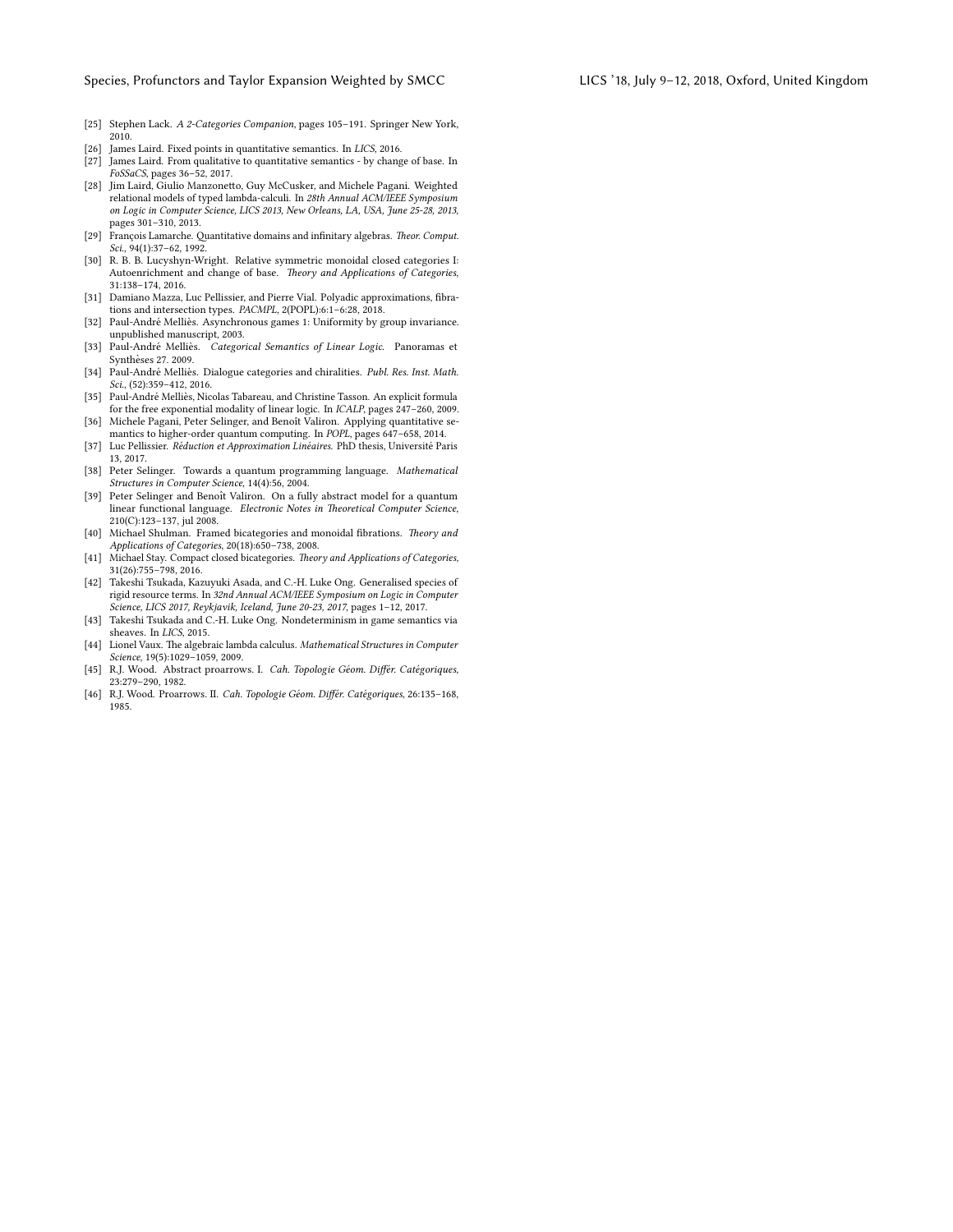- <span id="page-10-15"></span>[25] Stephen Lack. A 2-Categories Companion, pages 105–191. Springer New York, 2010.
- <span id="page-10-5"></span>[26] James Laird. Fixed points in quantitative semantics. In LICS, 2016. [27] James Laird. From qualitative to quantitative semantics - by change of base. In
- <span id="page-10-2"></span>FoSSaCS, pages 36–52, 2017. [28] Jim Laird, Giulio Manzonetto, Guy McCusker, and Michele Pagani. Weighted relational models of typed lambda-calculi. In 28th Annual ACM/IEEE Symposium on Logic in Computer Science, LICS 2013, New Orleans, LA, USA, June 25-28, 2013, pages 301–310, 2013.
- <span id="page-10-4"></span>[29] François Lamarche. Quantitative domains and infinitary algebras. Theor. Comput. Sci., 94(1):37–62, 1992.
- <span id="page-10-14"></span>[30] R. B. B. Lucyshyn-Wright. Relative symmetric monoidal closed categories I: Autoenrichment and change of base. Theory and Applications of Categories, 31:138–174, 2016.
- <span id="page-10-6"></span>[31] Damiano Mazza, Luc Pellissier, and Pierre Vial. Polyadic approximations, fibrations and intersection types. PACMPL, 2(POPL):6:1–6:28, 2018.
- <span id="page-10-8"></span>[32] Paul-André Melliès. Asynchronous games 1: Uniformity by group invariance. unpublished manuscript, 2003.
- <span id="page-10-12"></span>[33] Paul-André Melliès. Categorical Semantics of Linear Logic. Panoramas et Syntheses 27. 2009. `
- <span id="page-10-20"></span>[34] Paul-André Melliès. Dialogue categories and chiralities. Publ. Res. Inst. Math. Sci., (52):359-412, 2016.
- <span id="page-10-13"></span>[35] Paul-André Melliès, Nicolas Tabareau, and Christine Tasson. An explicit formula for the free exponential modality of linear logic. In ICALP, pages 247–260, 2009.
- <span id="page-10-0"></span>[36] Michele Pagani, Peter Selinger, and Benoît Valiron. Applying quantitative semantics to higher-order quantum computing. In POPL, pages 647–658, 2014.
- <span id="page-10-7"></span>[37] Luc Pellissier. Réduction et Approximation Linéaires. PhD thesis, Université Paris 13, 2017.
- <span id="page-10-9"></span>[38] Peter Selinger. Towards a quantum programming language. Mathematical Structures in Computer Science, 14(4):56, 2004.
- <span id="page-10-10"></span>[39] Peter Selinger and Benoît Valiron. On a fully abstract model for a quantum linear functional language. Electronic Notes in Theoretical Computer Science, 210(C):123–137, jul 2008.
- <span id="page-10-16"></span>[40] Michael Shulman. Framed bicategories and monoidal fibrations. Theory and Applications of Categories, 20(18):650–738, 2008.
- <span id="page-10-19"></span>[41] Michael Stay. Compact closed bicategories. Theory and Applications of Categories, 31(26):755–798, 2016.
- <span id="page-10-3"></span>[42] Takeshi Tsukada, Kazuyuki Asada, and C.-H. Luke Ong. Generalised species of rigid resource terms. In 32nd Annual ACM/IEEE Symposium on Logic in Computer Science, LICS 2017, Reykjavik, Iceland, June 20-23, 2017, pages 1–12, 2017.
- <span id="page-10-1"></span>[43] Takeshi Tsukada and C.-H. Luke Ong. Nondeterminism in game semantics via sheaves. In LICS, 2015.
- <span id="page-10-11"></span>[44] Lionel Vaux. The algebraic lambda calculus. Mathematical Structures in Computer Science, 19(5):1029–1059, 2009.
- <span id="page-10-17"></span>[45] R.J. Wood. Abstract proarrows. I. Cah. Topologie Géom. Différ. Catégoriques, 23:279–290, 1982.
- <span id="page-10-18"></span>[46] R.J. Wood. Proarrows. II. Cah. Topologie Géom. Différ. Catégoriques, 26:135-168, 1985.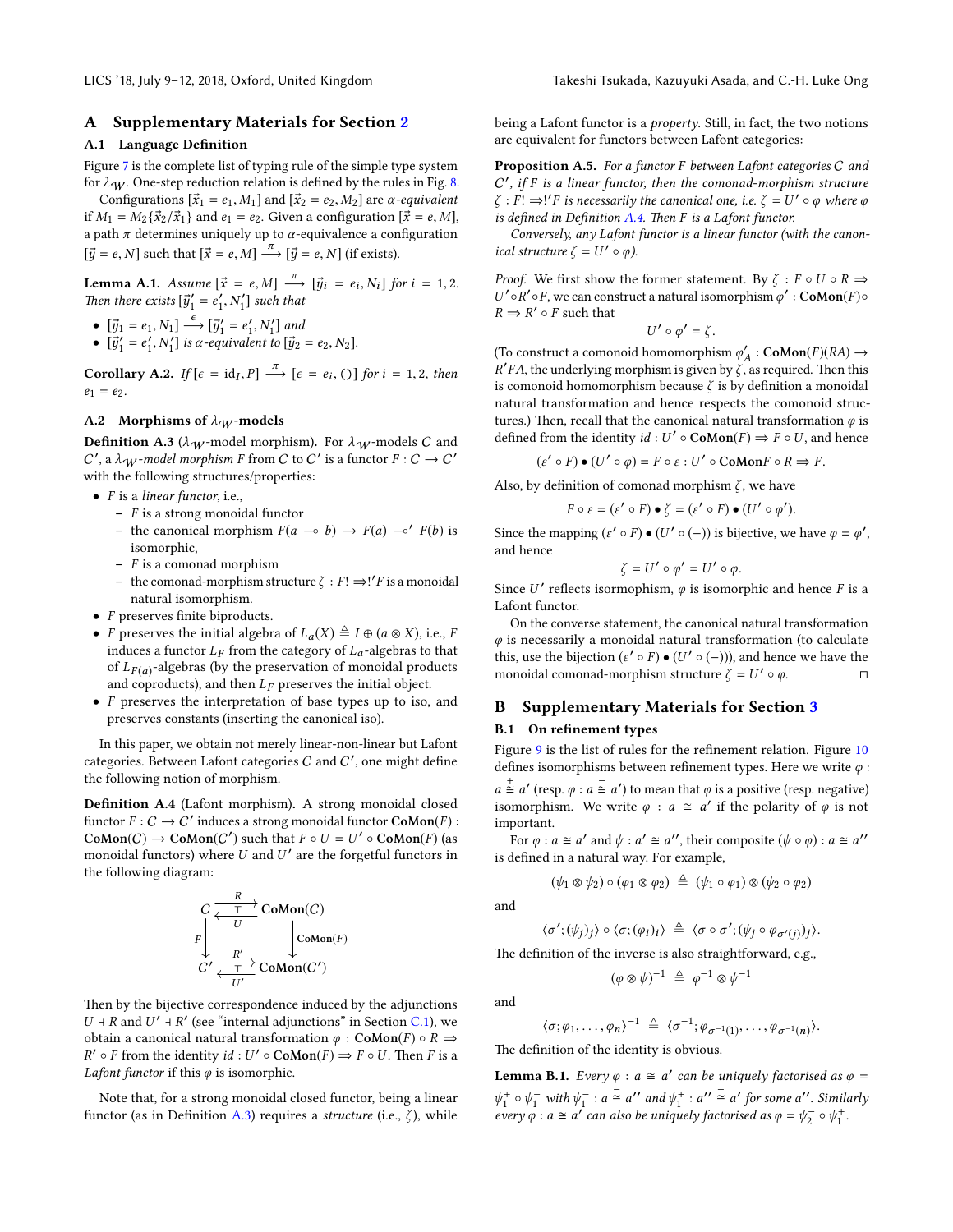# <span id="page-11-0"></span>A Supplementary Materials for Section [2](#page-2-3)

# A.1 Language Definition

Figure [7](#page-12-0) is the complete list of typing rule of the simple type system for  $\lambda_W$ . One-step reduction relation is defined by the rules in Fig. [8.](#page-13-0)

Configurations  $[\vec{x}_1 = e_1, M_1]$  and  $[\vec{x}_2 = e_2, M_2]$  are *α-equivalent* if  $M_1 = M_2\{\vec{x}_2/\vec{x}_1\}$  and  $e_1 = e_2$ . Given a configuration  $[\vec{x} = e, M]$ , a path  $\pi$  determines uniquely up to  $\alpha$ -equivalence a configuration  $[\vec{y} = e, N]$  such that  $[\vec{x} = e, M] \stackrel{\tau}{\longrightarrow} [\vec{y} = e, N]$  (if exists).

**Lemma A.1.** Assume  $[\vec{x} = e, M] \xrightarrow{\pi} [\vec{y}_i = e_i, N_i]$  for  $i = 1, 2$ .<br>Then there exists  $[\vec{y}'_1 = e'_1, N'_1]$  such that

- $[\vec{y}_1 = e_1, N_1] \xrightarrow{\epsilon} [\vec{y}'_1 = e'_1, N'_1]$  and<br>•  $[\vec{y}'_1 = e'_1, N'_1]$  is  $\alpha$ -equivalent to  $[\vec{y}_2]$
- $[\vec{y}'_1 = e'_1, N'_1]$  is  $\alpha$ -equivalent to  $[\vec{y}_2 = e_2, N_2]$ .

**Corollary A.2.** If  $[\epsilon = id_I, P] \xrightarrow{\pi} [\epsilon = e_i, C]$  for  $i = 1, 2$ , then  $e_1 = e_2$ .

## A.2 Morphisms of  $\lambda_W$ -models

<span id="page-11-2"></span>**Definition A.3** ( $\lambda_W$ -model morphism). For  $\lambda_W$ -models C and  $C'$ , a λ $W$ -model morphism F from C to C' is a functor  $F: C \to C'$ with the following structures/properties:

- $\bullet$  *F* is a *linear functor*, i.e.,
	- $-$  F is a strong monoidal functor
	- the canonical morphism  $F(a \multimap b) \rightarrow F(a) \multimap' F(b)$  is isomorphic,
	- $F$  is a comonad morphism
	- the comonad-morphism structure  $\zeta$  :  $F!$  ⇒!' F is a monoidal natural isomorphism.
- $F$  preserves finite biproducts.
- *F* preserves the initial algebra of  $L_a(X) \triangleq I \oplus (a \otimes X)$ , i.e., *F* induces a functor  $L_F$  from the category of  $L_a$ -algebras to that of  $L_{F(a)}$ -algebras (by the preservation of monoidal products and coproducts), and then  $L_F$  preserves the initial object.
- F preserves the interpretation of base types up to iso, and preserves constants (inserting the canonical iso).

In this paper, we obtain not merely linear-non-linear but Lafont categories. Between Lafont categories  $C$  and  $C'$ , one might define the following notion of morphism.

<span id="page-11-3"></span>Definition A.4 (Lafont morphism). A strong monoidal closed functor  $F: C \to C'$  induces a strong monoidal functor  $\text{CoMon}(F)$ :  $\text{CoMon}(C) \to \text{CoMon}(C')$  such that  $F \circ U = U' \circ \text{CoMon}(F)$  (as monoidal functors) where  $U$  and  $U'$  are the forgetful functors in the following diagram:

$$
C \xleftarrow{\frac{R}{U}} \text{CoMon}(C)
$$
\n
$$
C' \xleftarrow{\frac{R'}{U}} \text{CoMon}(C')
$$
\n
$$
C' \xleftarrow{\frac{R'}{U'}} \text{CoMon}(C')
$$

Then by the bijective correspondence induced by the adjunctions  $U \dashv R$  and  $U' \dashv R'$  (see "internal adjunctions" in Section [C.1\)](#page-16-0), we obtain a canonical natural transformation  $\varphi$  : CoMon(F)  $\circ$  R  $\Rightarrow$  $R' \circ F$  from the identity  $id : U' \circ \text{CoMon}(F) \Rightarrow F \circ U$ . Then F is a Lafont functor if this  $\varphi$  is isomorphic.

Note that, for a strong monoidal closed functor, being a linear functor (as in Definition [A.3\)](#page-11-2) requires a *structure* (i.e.,  $\zeta$ ), while

being a Lafont functor is a *property*. Still, in fact, the two notions are equivalent for functors between Lafont categories:

Proposition A.5. For a functor F between Lafont categories C and C', if F is a linear functor, then the comonad-morphism structure  $\zeta$  :  $F! \Rightarrow$ !' F is necessarily the canonical one, i.e.  $\zeta = U' \circ \varphi$  where  $\varphi$ is defined in Definition [A.4.](#page-11-3) Then  $F$  is a Lafont functor.

Conversely, any Lafont functor is a linear functor (with the canonical structure  $\zeta = U' \circ \varphi$ ).

*Proof.* We first show the former statement. By  $\zeta : F \circ U \circ R \Rightarrow$ U'oR'oF, we can construct a natural isomorphism  $\varphi'$ : CoMon(F)o  $R \Rightarrow R' \circ F$  such that

$$
U'\circ\varphi'=\zeta.
$$

 $U'\circ\varphi'=\zeta.$  (To construct a comonoid homomorphism<br>  $\varphi'_A:\mathbf{CoMon}(F)(RA)\to$  $R'FA$ , the underlying morphism is given by  $\overline{\zeta}$ , as required. Then this is comonoid homomorphism because  $\zeta$  is by definition a monoidal natural transformation and hence respects the comonoid structures.) Then, recall that the canonical natural transformation  $\varphi$  is defined from the identity  $id : U' \circ \text{CoMon}(F) \Rightarrow F \circ U$ , and hence

 $(\varepsilon' \circ F) \bullet (U' \circ \varphi) = F \circ \varepsilon : U' \circ \text{CoMon} F \circ R \Rightarrow F.$ 

Also, by definition of comonad morphism  $\zeta$ , we have

$$
F \circ \varepsilon = (\varepsilon' \circ F) \bullet \zeta = (\varepsilon' \circ F) \bullet (U' \circ \varphi').
$$

Since the mapping  $(\varepsilon' \circ F) \bullet (U' \circ (-))$  is bijective, we have  $\varphi = \varphi'$ , and hence

$$
\zeta = U' \circ \varphi' = U' \circ \varphi
$$

 $\zeta = U' \circ \varphi' = U' \circ \varphi$ .<br>Since U' reflects isormophism,  $\varphi$  is isomorphic and hence F is a Lafont functor.

On the converse statement, the canonical natural transformation  $\varphi$  is necessarily a monoidal natural transformation (to calculate this, use the bijection  $(\varepsilon' \circ F) \bullet (U' \circ (-))$ , and hence we have the monoidal comonad-morphism structure  $\zeta = U' \circ \varphi$ .

# <span id="page-11-1"></span>B Supplementary Materials for Section [3](#page-4-0)

#### B.1 On refinement types

Figure [9](#page-13-1) is the list of rules for the refinement relation. Figure [10](#page-13-2) defines isomorphisms between refinement types. Here we write  $\varphi$  :  $a \stackrel{+}{\cong} a'$  (resp.  $\varphi : a \stackrel{-}{\cong} a'$ ) to mean that  $\varphi$  is a positive (resp. negative) isomorphism. We write  $\varphi$  :  $a \cong a'$  if the polarity of  $\varphi$  is not important.

For  $\varphi$  :  $a \cong a'$  and  $\psi$  :  $a' \cong a''$ , their composite  $(\psi \circ \varphi)$  :  $a \cong a''$ is defined in a natural way. For example,

$$
(\psi_1 \otimes \psi_2) \circ (\varphi_1 \otimes \varphi_2) \triangleq (\psi_1 \circ \varphi_1) \otimes (\psi_2 \circ \varphi_2)
$$

and

$$
\langle \sigma'; (\psi_j)_j \rangle \circ \langle \sigma; (\varphi_i)_i \rangle \triangleq \langle \sigma \circ \sigma'; (\psi_j \circ \varphi_{\sigma'(j)})_j \rangle.
$$

The definition of the inverse is also straightforward, e.g.,

$$
(\varphi \otimes \psi)^{-1} \triangleq \varphi^{-1} \otimes \psi^{-1}
$$

and

$$
\langle \sigma; \varphi_1, \ldots, \varphi_n \rangle^{-1} \triangleq \langle \sigma^{-1}; \varphi_{\sigma^{-1}(1)}, \ldots, \varphi_{\sigma^{-1}(n)} \rangle.
$$

The definition of the identity is obvious.

**Lemma B.1.** Every  $\varphi$  :  $a \cong a'$  can be uniquely factorised as  $\varphi$  =  $\psi_1^+ \circ \psi_1^-$  with  $\psi_1^- : a \cong a''$  and  $\psi_1^+ : a'' \cong a'$  for some a''. Similarly every  $\varphi$  :  $a \cong a'$  can also be uniquely factorised as  $\varphi = \psi_2^- \circ \psi_1^+$ .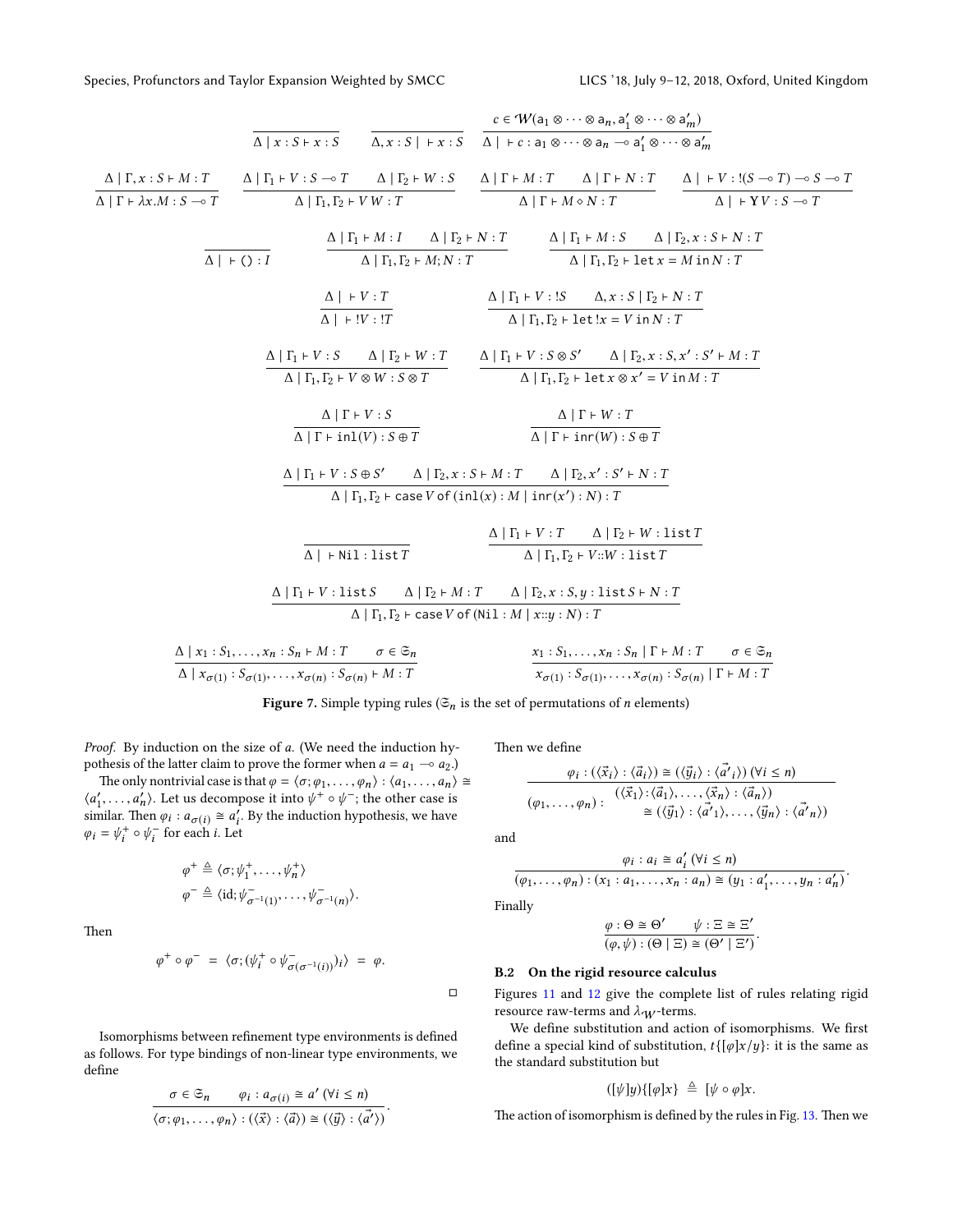<span id="page-12-0"></span>
$$
\frac{\Delta | \Gamma, x: S \vdash M : T}{\Delta | \Gamma + \lambda x.M : S \rightarrow T} \qquad \frac{\alpha \in W(a_1 \otimes \cdots \otimes a_n, a'_1 \otimes \cdots \otimes a'_n)}{\Delta | \Gamma + \lambda x.M : S \rightarrow T} \qquad \frac{\Delta | \Gamma_1 + V : S \rightarrow T \qquad \Delta | \Gamma_2 + W : S}{\Delta | \Gamma_1, \Gamma_2 + W : T} \qquad \frac{\Delta | \Gamma + M : T \qquad \Delta | \Gamma + N : T}{\Delta | \Gamma + M \circ N : T} \qquad \frac{\Delta | \Gamma + V : (S \rightarrow T) \rightarrow S \rightarrow T}{\Delta | \Gamma + V \circ S \rightarrow T}
$$
\n
$$
\frac{\Delta | \Gamma_1 + M : I \qquad \Delta | \Gamma_2 + N : T}{\Delta | \Gamma_1, \Gamma_2 + M ; N : T} \qquad \frac{\Delta | \Gamma_1 + M : S \qquad \Delta | \Gamma_2, x : S \vdash N : T}{\Delta | \Gamma_1, \Gamma_2 + \text{let } x = M \text{ in } N : T}
$$
\n
$$
\frac{\Delta | \Gamma_1 + V : S \qquad \Delta | \Gamma_2 + W : S \qquad \Delta x : S | \Gamma_2 + N : T}{\Delta | \Gamma_1, \Gamma_2 + \text{let } x = V \text{ in } N : T}
$$
\n
$$
\frac{\Delta | \Gamma_1 + V : S \qquad \Delta | \Gamma_2 + W : T}{\Delta | \Gamma_1, \Gamma_2 + \text{let } x = V \text{ in } N : T}
$$
\n
$$
\frac{\Delta | \Gamma_1 + V : S \qquad \Delta | \Gamma_2 + V : S \otimes S \qquad \Delta | \Gamma_2, x : S, x' : S' \vdash M : T}{\Delta | \Gamma_1 + \text{in } W : S \otimes T} \qquad \frac{\Delta | \Gamma + V : S \qquad \Delta x : S | \Gamma_2 + V : T}{\Delta | \Gamma + \text{in } W : S \otimes T}
$$
\n
$$
\frac{\Delta | \Gamma + V : S \qquad \Delta | \Gamma_2 + V : S \qquad \Delta | \Gamma_2 + V : T}{\Delta | \Gamma_1 + \text{in } W : S \otimes T}
$$
\n
$$
\frac{\Delta | \Gamma + V : S \qquad \Delta | \Gamma_2 + V : T \qquad \Delta | \Gamma_2 + V : S \vdash N : T}{\Delta | \Gamma_
$$

Figure 7. Simple typing rules ( $\mathfrak{S}_n$  is the set of permutations of *n* elements)

Proof. By induction on the size of a. (We need the induction hypothesis of the latter claim to prove the former when  $a = a_1 \sim a_2$ .)

The only nontrivial case is that  $\varphi = \langle \sigma; \varphi_1, \ldots, \varphi_n \rangle : \langle a_1, \ldots, a_n \rangle \cong$  $\langle a'_1, \ldots, a'_n \rangle$ . Let us decompose it into  $\psi^+ \circ \psi^-$ ; the other case is<br>similar. Then  $a \leftrightarrow a' \in \mathbb{R}$  by the induction hypothesis, we have similar. Then  $\varphi_i$ :  $a_{\sigma(i)} \cong a'_i$ . By the induction hypothesis, we have  $\varphi_i = \psi_i^+ \circ \psi_i^-$  for each *i*. Let

$$
\varphi^+ \triangleq \langle \sigma; \psi_1^+, \dots, \psi_n^+ \rangle \n\varphi^- \triangleq \langle id; \psi_{\sigma^{-1}(1)}^-, \dots, \psi_{\sigma^{-1}(n)}^- \rangle.
$$

Then

$$
\varphi^+ \circ \varphi^- = \langle \sigma; (\psi_i^+ \circ \psi_{\sigma(\sigma^{-1}(i))}^-)_i \rangle = \varphi.
$$

Isomorphisms between refinement type environments is defined as follows. For type bindings of non-linear type environments, we define

$$
\sigma \in \mathfrak{S}_n \qquad \varphi_i : a_{\sigma(i)} \cong a' \; (\forall i \leq n)
$$

$$
\langle \sigma; \varphi_1, \dots, \varphi_n \rangle : (\langle \vec{x} \rangle : \langle \vec{a} \rangle) \cong (\langle \vec{y} \rangle : \langle \vec{a'} \rangle).
$$

Then we define

$$
\frac{\varphi_i : (\langle \vec{x}_i \rangle : \langle \vec{a}_i \rangle) \cong (\langle \vec{y}_i \rangle : \langle \vec{a'}_i \rangle) (\forall i \leq n)}{(\varphi_1, \dots, \varphi_n) : (\langle \vec{x}_1 \rangle : \langle \vec{a}_1 \rangle, \dots, \langle \vec{x}_n \rangle : \langle \vec{a}_n \rangle)}
$$

$$
\cong (\langle \vec{y}_1 \rangle : \langle \vec{a'}_1 \rangle, \dots, \langle \vec{y}_n \rangle : \langle \vec{a'}_n \rangle)
$$

and

$$
\frac{\varphi_i : a_i \cong a'_i \; (\forall i \le n)}{(\varphi_1, \ldots, \varphi_n) : (x_1 : a_1, \ldots, x_n : a_n) \cong (y_1 : a'_1, \ldots, y_n : a'_n)}
$$

Finally

 $\Box$ 

$$
\frac{\varphi : \Theta \cong \Theta' \qquad \psi : \Xi \cong \Xi'}{(\varphi, \psi) : (\Theta \mid \Xi) \cong (\Theta' \mid \Xi')}.
$$

## B.2 On the rigid resource calculus

Figures [11](#page-14-0) and [12](#page-15-1) give the complete list of rules relating rigid resource raw-terms and  $\lambda_W$ -terms.

We define substitution and action of isomorphisms. We first define a special kind of substitution,  $t\{\lbrack \varphi \rbrack x/y\}$ : it is the same as the standard substitution but

$$
([\psi]y){\{[\varphi]x\}} \triangleq [\psi \circ \varphi]x.
$$

The action of isomorphism is defined by the rules in Fig.  $13$ . Then we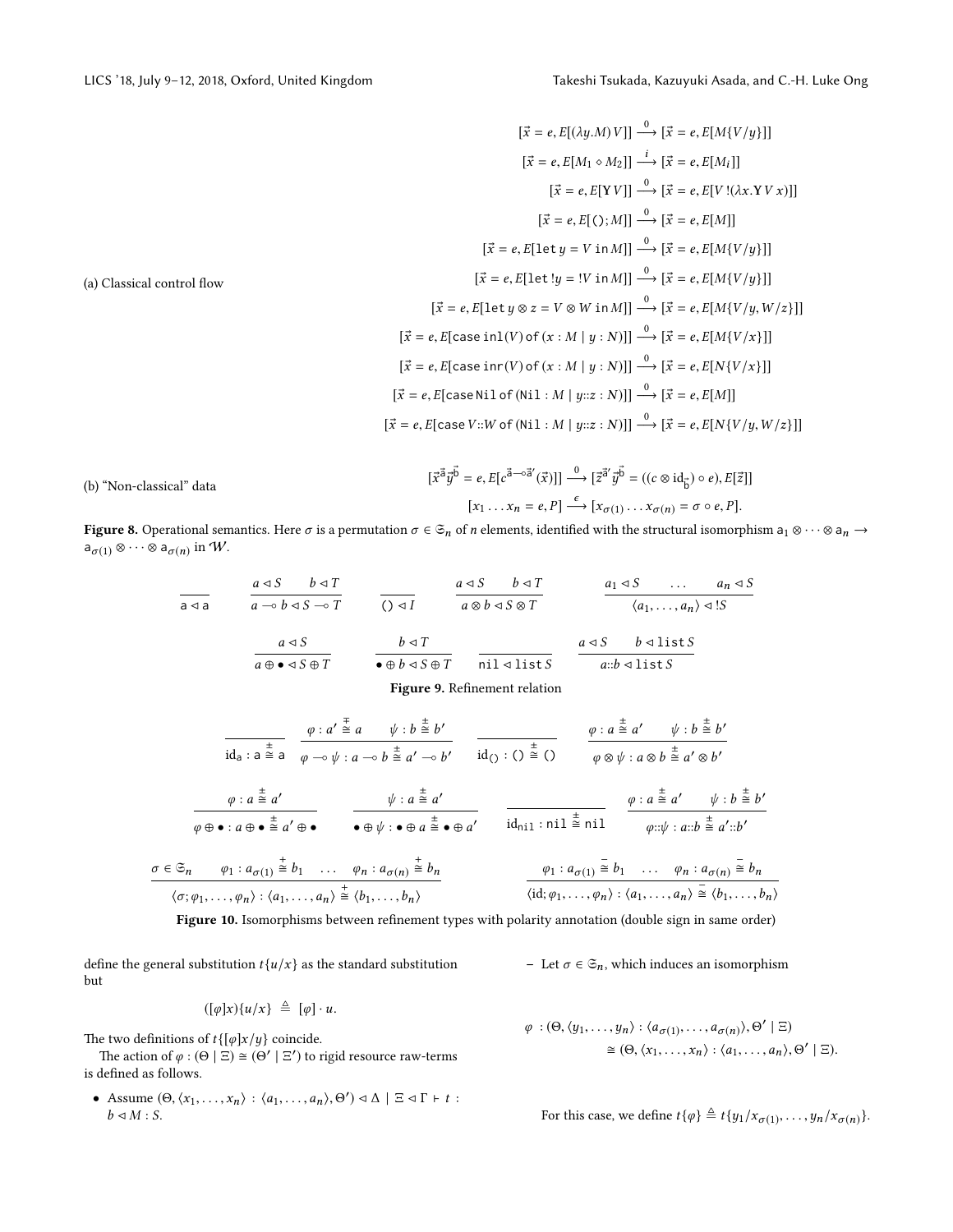<span id="page-13-0"></span>(a) Classical control ow [®<sup>x</sup> <sup>=</sup> <sup>e</sup>, <sup>E</sup>[(λy.M)<sup>V</sup> ]] <sup>0</sup> −→ [®<sup>x</sup> <sup>=</sup> <sup>e</sup>, <sup>E</sup>[M{<sup>V</sup> /y}]] [®<sup>x</sup> <sup>=</sup> <sup>e</sup>, <sup>E</sup>[M<sup>1</sup> <sup>M</sup>2]] <sup>i</sup> −→ [®<sup>x</sup> <sup>=</sup> <sup>e</sup>, <sup>E</sup>[Mi]] [®<sup>x</sup> <sup>=</sup> <sup>e</sup>, <sup>E</sup>[Y<sup>V</sup> ]] <sup>0</sup> −→ [®<sup>x</sup> <sup>=</sup> <sup>e</sup>, <sup>E</sup>[<sup>V</sup> !(λx.YV x)]] [®<sup>x</sup> <sup>=</sup> <sup>e</sup>, <sup>E</sup>[(); <sup>M</sup>]] <sup>0</sup> −→ [®<sup>x</sup> <sup>=</sup> <sup>e</sup>, <sup>E</sup>[M]] [®<sup>x</sup> <sup>=</sup> <sup>e</sup>, <sup>E</sup>[let<sup>y</sup> <sup>=</sup> <sup>V</sup> in <sup>M</sup>]] <sup>0</sup> −→ [®<sup>x</sup> <sup>=</sup> <sup>e</sup>, <sup>E</sup>[M{<sup>V</sup> /y}]] [®<sup>x</sup> <sup>=</sup> <sup>e</sup>, <sup>E</sup>[let !<sup>y</sup> <sup>=</sup> !<sup>V</sup> in <sup>M</sup>]] <sup>0</sup> −→ [®<sup>x</sup> <sup>=</sup> <sup>e</sup>, <sup>E</sup>[M{<sup>V</sup> /y}]] [®<sup>x</sup> <sup>=</sup> <sup>e</sup>, <sup>E</sup>[let<sup>y</sup> <sup>⊗</sup> <sup>z</sup> <sup>=</sup> <sup>V</sup> <sup>⊗</sup> <sup>W</sup> in <sup>M</sup>]] <sup>0</sup> −→ [®<sup>x</sup> <sup>=</sup> <sup>e</sup>, <sup>E</sup>[M{<sup>V</sup> /y,<sup>W</sup> /z}]] [®<sup>x</sup> <sup>=</sup> <sup>e</sup>, <sup>E</sup>[case inl(<sup>V</sup> ) of (<sup>x</sup> : <sup>M</sup> <sup>|</sup> <sup>y</sup> : <sup>N</sup>)]] <sup>0</sup> −→ [®<sup>x</sup> <sup>=</sup> <sup>e</sup>, <sup>E</sup>[M{<sup>V</sup> /x}]] [®<sup>x</sup> <sup>=</sup> <sup>e</sup>, <sup>E</sup>[case inr(<sup>V</sup> ) of (<sup>x</sup> : <sup>M</sup> <sup>|</sup> <sup>y</sup> : <sup>N</sup>)]] <sup>0</sup> −→ [®<sup>x</sup> <sup>=</sup> <sup>e</sup>, <sup>E</sup>[N{<sup>V</sup> /x}]] [®<sup>x</sup> <sup>=</sup> <sup>e</sup>, <sup>E</sup>[case Nil of (Nil : <sup>M</sup> <sup>|</sup> <sup>y</sup>::<sup>z</sup> : <sup>N</sup>)]] <sup>0</sup> −→ [®<sup>x</sup> <sup>=</sup> <sup>e</sup>, <sup>E</sup>[M]] [®<sup>x</sup> <sup>=</sup> <sup>e</sup>, <sup>E</sup>[case<sup>V</sup> ::<sup>W</sup> of (Nil : <sup>M</sup> <sup>|</sup> <sup>y</sup>::<sup>z</sup> : <sup>N</sup>)]] <sup>0</sup> −→ [®<sup>x</sup> <sup>=</sup> <sup>e</sup>, <sup>E</sup>[N{<sup>V</sup> /y,<sup>W</sup> /z}]]

(b) "Non-classical" data 
$$
[\vec{x}^{\vec{a}}\vec{y}^{\vec{b}} = e, E[c^{\vec{a}\rightarrow\vec{a}'}(\vec{x})]] \xrightarrow{0} [\vec{z}^{\vec{a}'}\vec{y}^{\vec{b}} = ((c \otimes id_{\vec{b}}) \circ e), E[\vec{z}]]
$$

$$
[x_1 \dots x_n = e, P] \xrightarrow{\epsilon} [x_{\sigma(1)} \dots x_{\sigma(n)} = \sigma \circ e, P].
$$

<span id="page-13-1"></span>Figure 8. Operational semantics. Here  $\sigma$  is a permutation  $\sigma\in\mathfrak{S}_n$  of n elements, identified with the structural isomorphism  $a_1\otimes\cdots\otimes a_n\to a_n$  $\mathsf{a}_{\sigma(1)}\otimes\cdots\otimes\mathsf{a}_{\sigma(n)}$  in  $\mathcal{W}.$ 

<span id="page-13-2"></span>
$$
\frac{a \triangleleft S \quad b \triangleleft T}{a \triangleleft b \triangleleft S \implies T} \qquad \frac{a \triangleleft S \quad b \triangleleft T}{a \otimes b \triangleleft S \otimes T} \qquad \frac{a_1 \triangleleft S \quad \dots \quad a_n \triangleleft S}{a_1, \dots, a_n \triangleleft 1S}
$$
\n
$$
\frac{a \triangleleft S}{a \oplus \bullet \triangleleft S \oplus T} \qquad \frac{b \triangleleft T}{\bullet \oplus b \triangleleft S \oplus T} \qquad \frac{b \triangleleft T}{\text{nil} \triangleleft 11 \text{st} S} \qquad \frac{a \triangleleft S \quad b \triangleleft 11 \text{st} S}{a::b \triangleleft 11 \text{st} S}
$$
\n
$$
\text{Figure 9. Refinement relation}
$$
\n
$$
\frac{\psi : a \stackrel{\pm}{\cong} a}{\text{id}_a : a \stackrel{\pm}{\cong} a} \qquad \frac{\phi : a' \stackrel{\pm}{\cong} a \quad \psi : b \stackrel{\pm}{\cong} b'}{\phi \triangleleft g \land \phi \lor a} \qquad \frac{\psi : a \stackrel{\pm}{\cong} a' \quad \psi : b \stackrel{\pm}{\cong} b'}{\text{id}_a : a \otimes b \stackrel{\pm}{\cong} a' \otimes b'}
$$
\n
$$
\frac{\phi : a \stackrel{\pm}{\cong} a' \qquad \psi : a \stackrel{\pm}{\cong} a' \qquad \psi : a \stackrel{\pm}{\cong} a'}{\phi \oplus \bullet : a \oplus \bullet \stackrel{\pm}{\cong} a' \oplus \bullet} \qquad \frac{\psi : a \stackrel{\pm}{\cong} a'}{\bullet \oplus \psi : \bullet \oplus a \stackrel{\pm}{\cong} \bullet \oplus a'} \qquad \frac{\phi : a \stackrel{\pm}{\cong} a' \quad \psi : b \stackrel{\pm}{\cong} b'}{\text{id}_{n11} : n11 \stackrel{\pm}{\cong} n11} \qquad \frac{\phi : a \stackrel{\pm}{\cong} a' \quad \psi : b \stackrel{\pm}{\cong} b'}{\phi : \phi : a \oplus \bullet \stackrel{\pm}{\cong} a' \oplus b} \qquad \frac{\phi : a \stackrel{\pm}{\cong} a' \quad \psi : b \stackrel{\pm}{\cong} b'}{\text{id}_{n11} : n11 \stackrel{\pm}{
$$

Figure 10. Isomorphisms between refinement types with polarity annotation (double sign in same order)

define the general substitution  $t\{u/x\}$  as the standard substitution but

$$
([\varphi]x)\{u/x\} \triangleq [\varphi]\cdot u.
$$

The two definitions of  $t \{[\varphi]x/y\}$  coincide.

The action of  $\varphi : (\Theta \mid \Xi) \cong (\Theta' \mid \Xi')$  to rigid resource raw-terms<br>defined as follows is defined as follows.

• Assume  $(\Theta, \langle x_1, \ldots, x_n \rangle : \langle a_1, \ldots, a_n \rangle, \Theta') \triangleleft \Delta \mid \Xi \triangleleft \Gamma \vdash t :$ <br>  $h \triangleleft M : S$  $b \triangleleft M : S$ .

– Let  $\sigma \in \mathfrak{S}_n$ , which induces an isomorphism

$$
\varphi : (\Theta, \langle y_1, \ldots, y_n \rangle : \langle a_{\sigma(1)}, \ldots, a_{\sigma(n)} \rangle, \Theta' \mid \Xi)
$$
  

$$
\cong (\Theta, \langle x_1, \ldots, x_n \rangle : \langle a_1, \ldots, a_n \rangle, \Theta' \mid \Xi).
$$

For this case, we define  $t\{\varphi\} \triangleq t\{y_1/x_{\sigma(1)}, \ldots, y_n/x_{\sigma(n)}\}.$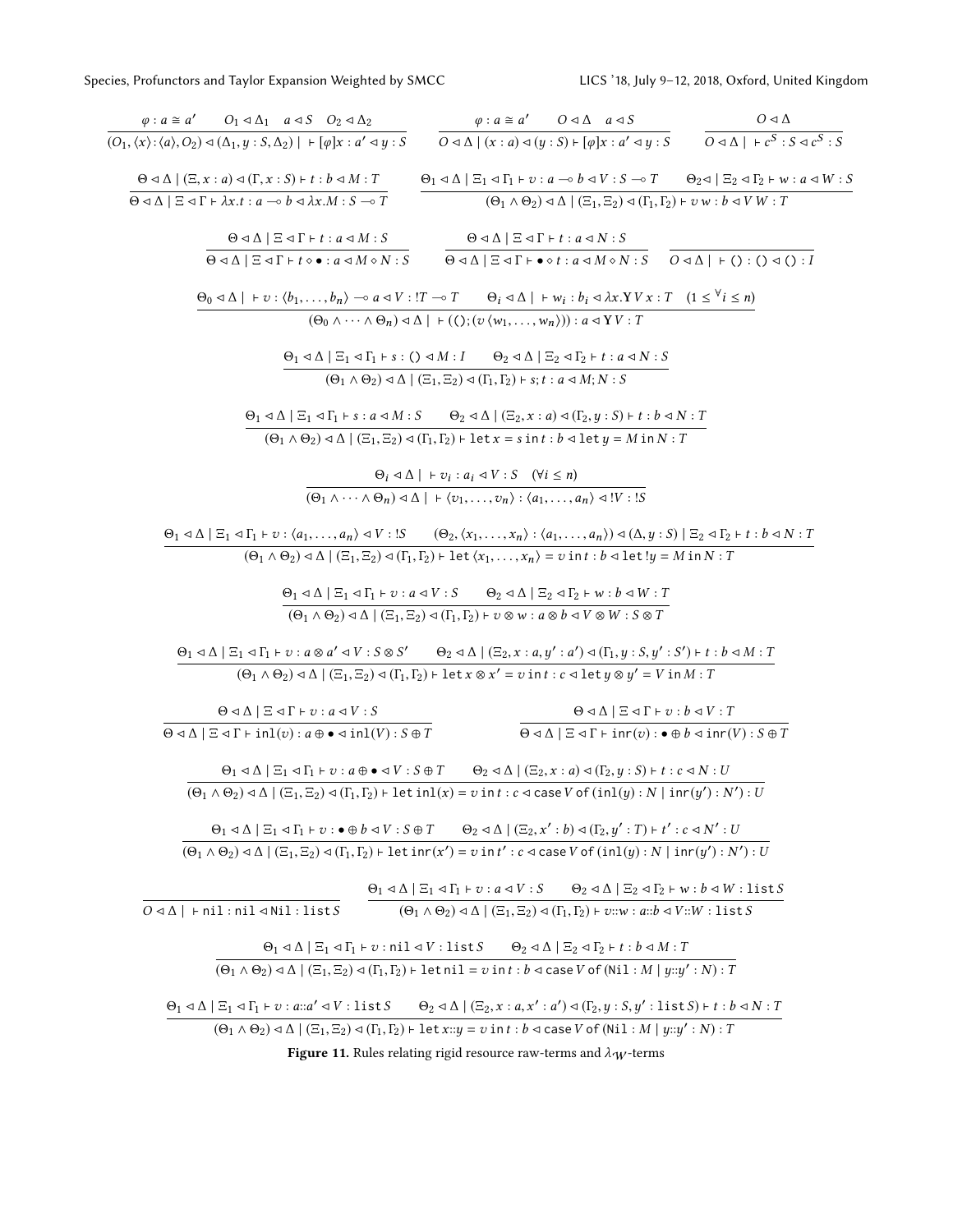<span id="page-14-0"></span>

| $\begin{array}{ccccccccc} \varphi: a\cong a' & O_1\triangleleft\Delta_1 & a\triangleleft S & O_2\triangleleft\Delta_2 & \varphi: a\cong a' & O\triangleleft\Delta & a\triangleleft S & O\triangleleft\Delta \\ \hline (O_1,\langle x\rangle;\langle a\rangle,O_2)\triangleleft(\Delta_1,y:S,\Delta_2)\mid +[\varphi]x:a'\triangleleft y:S & O\triangleleft\Delta\mid (x:a)\triangleleft (y:S) \vdash [\varphi]x:a'\triangleleft y:S & O\triangleleft\Delta\mid +c^S:S\triangleleft c^S:S & O\triangleleft\Delta \mid +c^S:S\triangleleft c^S:S & O\triangleleft\Delta \mid +c^S:S\triangleleft c^$ |                                                                                                                                                                                                                                                                                                                                                                                                                                                                                                                       |                                                                                                                                                                                                                    |                                                                                                                                                  |                                                                                                                                                                                                                                                                                                                                                                                                                                |
|----------------------------------------------------------------------------------------------------------------------------------------------------------------------------------------------------------------------------------------------------------------------------------------------------------------------------------------------------------------------------------------------------------------------------------------------------------------------------------------------------------------------------------------------------------------------------------------------------|-----------------------------------------------------------------------------------------------------------------------------------------------------------------------------------------------------------------------------------------------------------------------------------------------------------------------------------------------------------------------------------------------------------------------------------------------------------------------------------------------------------------------|--------------------------------------------------------------------------------------------------------------------------------------------------------------------------------------------------------------------|--------------------------------------------------------------------------------------------------------------------------------------------------|--------------------------------------------------------------------------------------------------------------------------------------------------------------------------------------------------------------------------------------------------------------------------------------------------------------------------------------------------------------------------------------------------------------------------------|
| $\Theta \triangle \Delta$ $ $ $(\Xi, x : a) \triangleleft (\Gamma, x : S) \vdash t : b \triangleleft M : T$                                                                                                                                                                                                                                                                                                                                                                                                                                                                                        |                                                                                                                                                                                                                                                                                                                                                                                                                                                                                                                       |                                                                                                                                                                                                                    |                                                                                                                                                  | $\Theta_1 \triangleleft \Delta \mid \Xi_1 \triangleleft \Gamma_1 \vdash v : a \multimap b \triangleleft V : S \multimap T$ $\Theta_2 \triangleleft \mid \Xi_2 \triangleleft \Gamma_2 \vdash w : a \triangleleft W : S$                                                                                                                                                                                                         |
| $\Theta \triangleleft \Delta \mid \Xi \triangleleft \Gamma \vdash \lambda x.t : a \multimap b \triangleleft \lambda x.M : S \multimap T$                                                                                                                                                                                                                                                                                                                                                                                                                                                           |                                                                                                                                                                                                                                                                                                                                                                                                                                                                                                                       |                                                                                                                                                                                                                    | $(\Theta_1 \wedge \Theta_2) \triangleleft \wedge$ $(\Xi_1, \Xi_2) \triangleleft (\Gamma_1, \Gamma_2) \vdash v \, w : b \triangleleft V \, W : T$ |                                                                                                                                                                                                                                                                                                                                                                                                                                |
|                                                                                                                                                                                                                                                                                                                                                                                                                                                                                                                                                                                                    | $\Theta \triangleleft \Delta \mid \Xi \triangleleft \Gamma \vdash t : a \triangleleft M : S$                                                                                                                                                                                                                                                                                                                                                                                                                          | $\Theta \triangleleft \Delta \mid \Xi \triangleleft \Gamma \vdash t : a \triangleleft N : S$                                                                                                                       |                                                                                                                                                  |                                                                                                                                                                                                                                                                                                                                                                                                                                |
|                                                                                                                                                                                                                                                                                                                                                                                                                                                                                                                                                                                                    |                                                                                                                                                                                                                                                                                                                                                                                                                                                                                                                       |                                                                                                                                                                                                                    |                                                                                                                                                  | $\overline{\Theta \triangleleft \triangle \mid \Xi \triangleleft \Gamma \vdash t \diamond \bullet : a \triangleleft M \diamond N : S} \qquad \overline{\Theta \triangleleft \triangle \mid \Xi \triangleleft \Gamma \vdash \bullet \diamond t : a \triangleleft M \diamond N : S} \qquad \overline{O \triangleleft \triangle \mid \vdash (\; ) : (\; ) \triangleleft (\; ) : I \triangleleft \triangleleft \bot \right) : S }$ |
|                                                                                                                                                                                                                                                                                                                                                                                                                                                                                                                                                                                                    | $\Theta_0 \triangleleft \Delta \mid + v : \langle b_1, \ldots, b_n \rangle \multimap a \triangleleft V : !T \multimap T \qquad \Theta_i \triangleleft \Delta \mid + w_i : b_i \triangleleft \lambda x. Y V x : T \quad (1 \leq \forall i \leq n)$                                                                                                                                                                                                                                                                     |                                                                                                                                                                                                                    |                                                                                                                                                  |                                                                                                                                                                                                                                                                                                                                                                                                                                |
|                                                                                                                                                                                                                                                                                                                                                                                                                                                                                                                                                                                                    |                                                                                                                                                                                                                                                                                                                                                                                                                                                                                                                       | $(\Theta_0 \wedge \cdots \wedge \Theta_n) \triangleleft \Delta \mid + (\bigcirc; (v \langle w_1, \ldots, w_n \rangle)) : a \triangleleft YV : T$                                                                   |                                                                                                                                                  |                                                                                                                                                                                                                                                                                                                                                                                                                                |
|                                                                                                                                                                                                                                                                                                                                                                                                                                                                                                                                                                                                    | $\Theta_1 \triangleleft \Delta \mid \Xi_1 \triangleleft \Gamma_1 \vdash s : () \triangleleft M : I$ $\Theta_2 \triangleleft \Delta \mid \Xi_2 \triangleleft \Gamma_2 \vdash t : a \triangleleft N : S$                                                                                                                                                                                                                                                                                                                |                                                                                                                                                                                                                    |                                                                                                                                                  |                                                                                                                                                                                                                                                                                                                                                                                                                                |
|                                                                                                                                                                                                                                                                                                                                                                                                                                                                                                                                                                                                    |                                                                                                                                                                                                                                                                                                                                                                                                                                                                                                                       | $(\Theta_1 \wedge \Theta_2) \triangleleft \wedge (\Xi_1, \Xi_2) \triangleleft (\Gamma_1, \Gamma_2) \vdash s; t : a \triangleleft M; N : S$                                                                         |                                                                                                                                                  |                                                                                                                                                                                                                                                                                                                                                                                                                                |
|                                                                                                                                                                                                                                                                                                                                                                                                                                                                                                                                                                                                    | $\Theta_1 \triangleleft \Delta \mid \Xi_1 \triangleleft \Gamma_1 \vdash s : a \triangleleft M : S$ $\Theta_2 \triangleleft \Delta \mid (\Xi_2, x : a) \triangleleft (\Gamma_2, y : S) \vdash t : b \triangleleft N : T$                                                                                                                                                                                                                                                                                               |                                                                                                                                                                                                                    |                                                                                                                                                  |                                                                                                                                                                                                                                                                                                                                                                                                                                |
|                                                                                                                                                                                                                                                                                                                                                                                                                                                                                                                                                                                                    | $\overline{(\Theta_1 \wedge \Theta_2) \triangleleft \Delta \mid (\Xi_1, \Xi_2) \triangleleft (\Gamma_1, \Gamma_2)} \vdash \texttt{let } x = s \texttt{ in } t : b \triangleleft \texttt{let } y = M \texttt{ in } N : T$                                                                                                                                                                                                                                                                                              |                                                                                                                                                                                                                    |                                                                                                                                                  |                                                                                                                                                                                                                                                                                                                                                                                                                                |
|                                                                                                                                                                                                                                                                                                                                                                                                                                                                                                                                                                                                    |                                                                                                                                                                                                                                                                                                                                                                                                                                                                                                                       | $\Theta_i \lhd \Delta \mid + v_i : a_i \lhd V : S \quad (\forall i \leq n)$                                                                                                                                        |                                                                                                                                                  |                                                                                                                                                                                                                                                                                                                                                                                                                                |
|                                                                                                                                                                                                                                                                                                                                                                                                                                                                                                                                                                                                    |                                                                                                                                                                                                                                                                                                                                                                                                                                                                                                                       | $\overline{(\Theta_1 \wedge \cdots \wedge \Theta_n) \triangleleft \Delta \mid + \langle v_1, \ldots, v_n \rangle : \langle a_1, \ldots, a_n \rangle \triangleleft}$ V : IS                                         |                                                                                                                                                  |                                                                                                                                                                                                                                                                                                                                                                                                                                |
|                                                                                                                                                                                                                                                                                                                                                                                                                                                                                                                                                                                                    |                                                                                                                                                                                                                                                                                                                                                                                                                                                                                                                       |                                                                                                                                                                                                                    |                                                                                                                                                  | $\Theta_1 \lhd \Delta \mid \Xi_1 \lhd \Gamma_1 \vdash v : \langle a_1, \ldots, a_n \rangle \lhd V : \mathord{!} S \qquad (\Theta_2, \langle x_1, \ldots, x_n \rangle : \langle a_1, \ldots, a_n \rangle) \lhd (\Delta, y : S) \mid \Xi_2 \lhd \Gamma_2 \vdash t : b \lhd N : T \vdash \Box,$                                                                                                                                   |
|                                                                                                                                                                                                                                                                                                                                                                                                                                                                                                                                                                                                    | $(\Theta_1 \wedge \Theta_2) \triangleleft \wedge (\Xi_1, \Xi_2) \triangleleft (\Gamma_1, \Gamma_2) \vdash \text{let } \langle x_1, \ldots, x_n \rangle = v \text{ in } t : b \triangleleft \text{ let } !y = M \text{ in } N : T$                                                                                                                                                                                                                                                                                     |                                                                                                                                                                                                                    |                                                                                                                                                  |                                                                                                                                                                                                                                                                                                                                                                                                                                |
|                                                                                                                                                                                                                                                                                                                                                                                                                                                                                                                                                                                                    | $\Theta_1 \lhd \Delta \mid \Xi_1 \lhd \Gamma_1 \vdash v : a \lhd V : S \qquad \Theta_2 \lhd \Delta \mid \Xi_2 \lhd \Gamma_2 \vdash w : b \lhd W : T$                                                                                                                                                                                                                                                                                                                                                                  |                                                                                                                                                                                                                    |                                                                                                                                                  |                                                                                                                                                                                                                                                                                                                                                                                                                                |
|                                                                                                                                                                                                                                                                                                                                                                                                                                                                                                                                                                                                    | $(\Theta_1 \wedge \Theta_2) \triangleleft \wedge (\Xi_1, \Xi_2) \triangleleft (\Gamma_1, \Gamma_2) \vdash v \otimes w : a \otimes b \triangleleft V \otimes W : S \otimes T$                                                                                                                                                                                                                                                                                                                                          |                                                                                                                                                                                                                    |                                                                                                                                                  |                                                                                                                                                                                                                                                                                                                                                                                                                                |
|                                                                                                                                                                                                                                                                                                                                                                                                                                                                                                                                                                                                    |                                                                                                                                                                                                                                                                                                                                                                                                                                                                                                                       |                                                                                                                                                                                                                    |                                                                                                                                                  |                                                                                                                                                                                                                                                                                                                                                                                                                                |
|                                                                                                                                                                                                                                                                                                                                                                                                                                                                                                                                                                                                    | $\Theta_1 \triangleleft \Delta \mid \Xi_1 \triangleleft \Gamma_1 \vdash v : a \otimes a' \triangleleft V : S \otimes S'$ $\Theta_2 \triangleleft \Delta \mid (\Xi_2, x : a, y' : a') \triangleleft (\Gamma_1, y : S, y' : S') \vdash t : b \triangleleft M : T$                                                                                                                                                                                                                                                       |                                                                                                                                                                                                                    |                                                                                                                                                  |                                                                                                                                                                                                                                                                                                                                                                                                                                |
|                                                                                                                                                                                                                                                                                                                                                                                                                                                                                                                                                                                                    | $\overline{(\Theta_1 \wedge \Theta_2) \triangleleft \Delta \mid (\Xi_1, \Xi_2) \triangleleft (\Gamma_1, \Gamma_2) \vdash \texttt{let} \, x \otimes x' = v \, \texttt{in} \, t : c \triangleleft \texttt{let} \, y \otimes y' = V \, \texttt{in} \, M : T }$                                                                                                                                                                                                                                                           |                                                                                                                                                                                                                    |                                                                                                                                                  |                                                                                                                                                                                                                                                                                                                                                                                                                                |
|                                                                                                                                                                                                                                                                                                                                                                                                                                                                                                                                                                                                    | $\Theta \triangle \Delta \mid \Xi \triangleleft \Gamma \vdash v : a \triangleleft V : S$                                                                                                                                                                                                                                                                                                                                                                                                                              |                                                                                                                                                                                                                    | $\Theta \triangleleft \Delta \mid \Xi \triangleleft \Gamma \vdash v : b \triangleleft V : T$                                                     |                                                                                                                                                                                                                                                                                                                                                                                                                                |
|                                                                                                                                                                                                                                                                                                                                                                                                                                                                                                                                                                                                    | $\Theta \triangle \Delta \mid \Xi \triangleleft \Gamma$ + inl(v): $a \oplus \bullet \triangleleft \text{inl}(V)$ : $S \oplus T$                                                                                                                                                                                                                                                                                                                                                                                       |                                                                                                                                                                                                                    | $\Theta \triangle \Delta \mid \Xi \triangleleft \Gamma$ + inr(v): $\bullet \oplus b \triangleleft \text{inv}(V)$ : $S \oplus T$                  |                                                                                                                                                                                                                                                                                                                                                                                                                                |
|                                                                                                                                                                                                                                                                                                                                                                                                                                                                                                                                                                                                    | $\Theta_1 \triangleleft \Delta \mid \Xi_1 \triangleleft \Gamma_1 \vdash v : a \oplus \bullet \triangleleft V : S \oplus T$ $\Theta_2 \triangleleft \Delta \mid (\Xi_2, x : a) \triangleleft (\Gamma_2, y : S) \vdash t : c \triangleleft N : U$                                                                                                                                                                                                                                                                       |                                                                                                                                                                                                                    |                                                                                                                                                  |                                                                                                                                                                                                                                                                                                                                                                                                                                |
|                                                                                                                                                                                                                                                                                                                                                                                                                                                                                                                                                                                                    | $(\Theta_1 \wedge \Theta_2) \triangleleft \wedge (\Xi_1, \Xi_2) \triangleleft (\Gamma_1, \Gamma_2) \vdash \text{let inl}(x) = v \text{ in } t : c \triangleleft \text{ case } V \text{ of } (\text{inl}(y) : N \mid \text{inr}(y') : N') : U$                                                                                                                                                                                                                                                                         |                                                                                                                                                                                                                    |                                                                                                                                                  |                                                                                                                                                                                                                                                                                                                                                                                                                                |
|                                                                                                                                                                                                                                                                                                                                                                                                                                                                                                                                                                                                    |                                                                                                                                                                                                                                                                                                                                                                                                                                                                                                                       |                                                                                                                                                                                                                    |                                                                                                                                                  |                                                                                                                                                                                                                                                                                                                                                                                                                                |
|                                                                                                                                                                                                                                                                                                                                                                                                                                                                                                                                                                                                    | $\Theta_1 \triangleleft \Delta \mid \Xi_1 \triangleleft \Gamma_1 \vdash v : \bullet \oplus b \triangleleft V : S \oplus T$ $\Theta_2 \triangleleft \Delta \mid (\Xi_2, x' : b) \triangleleft (\Gamma_2, y' : T) \vdash t' : c \triangleleft N' : U$<br>$\overline{(\Theta_1 \wedge \Theta_2) \triangleleft \Delta \mid (\Xi_1, \Xi_2) \triangleleft (\Gamma_1, \Gamma_2) \vdash \text{let inr}(x') = v \text{ in } t' : c \triangleleft \text{ case } V \text{ of } (\text{inl}(y) : N \mid \text{inr}(y') : N') : U$ |                                                                                                                                                                                                                    |                                                                                                                                                  |                                                                                                                                                                                                                                                                                                                                                                                                                                |
|                                                                                                                                                                                                                                                                                                                                                                                                                                                                                                                                                                                                    |                                                                                                                                                                                                                                                                                                                                                                                                                                                                                                                       |                                                                                                                                                                                                                    |                                                                                                                                                  |                                                                                                                                                                                                                                                                                                                                                                                                                                |
|                                                                                                                                                                                                                                                                                                                                                                                                                                                                                                                                                                                                    |                                                                                                                                                                                                                                                                                                                                                                                                                                                                                                                       | $\Theta_1 \triangleleft \Delta \mid \Xi_1 \triangleleft \Gamma_1 \vdash v : a \triangleleft V : S$ $\Theta_2 \triangleleft \Delta \mid \Xi_2 \triangleleft \Gamma_2 \vdash w : b \triangleleft W : \text{list } S$ |                                                                                                                                                  |                                                                                                                                                                                                                                                                                                                                                                                                                                |
| $0 \triangleleft \triangle$   $\vdash$ nil : nil $\triangleleft$ Nil : list S                                                                                                                                                                                                                                                                                                                                                                                                                                                                                                                      |                                                                                                                                                                                                                                                                                                                                                                                                                                                                                                                       | $(\Theta_1 \wedge \Theta_2) \triangleleft \Delta \mid (\Xi_1, \Xi_2) \triangleleft (\Gamma_1, \Gamma_2) \vdash v::w : a::b \triangleleft V::W : \text{list } S$                                                    |                                                                                                                                                  |                                                                                                                                                                                                                                                                                                                                                                                                                                |
|                                                                                                                                                                                                                                                                                                                                                                                                                                                                                                                                                                                                    | $\Theta_1 \triangleleft \Delta \mid \Xi_1 \triangleleft \Gamma_1 \vdash v : \text{nil} \triangleleft V : \text{list } S$ $\Theta_2 \triangleleft \Delta \mid \Xi_2 \triangleleft \Gamma_2 \vdash t : b \triangleleft M : T$                                                                                                                                                                                                                                                                                           |                                                                                                                                                                                                                    |                                                                                                                                                  |                                                                                                                                                                                                                                                                                                                                                                                                                                |
|                                                                                                                                                                                                                                                                                                                                                                                                                                                                                                                                                                                                    | $(\Theta_1 \wedge \Theta_2) \triangleleft \wedge (\Xi_1, \Xi_2) \triangleleft (\Gamma_1, \Gamma_2) \vdash \text{let nil} = v \text{ in } t : b \triangleleft \text{ case } V \text{ of } (\text{Nil} : M \mid y::y': N) : T$                                                                                                                                                                                                                                                                                          |                                                                                                                                                                                                                    |                                                                                                                                                  |                                                                                                                                                                                                                                                                                                                                                                                                                                |
|                                                                                                                                                                                                                                                                                                                                                                                                                                                                                                                                                                                                    | $\Theta_1 \triangleleft \Delta \mid \Xi_1 \triangleleft \Gamma_1 + v : a :: a' \triangleleft V : 1 \text{ is } tS \qquad \Theta_2 \triangleleft \Delta \mid (\Xi_2, x : a, x' : a') \triangleleft (\Gamma_2, y : S, y' : 1 \text{ is } tS) \vdash t : b \triangleleft N : T \triangleleft V : 1 \text{ is } tS \qquad \forall i \in N \land V \land V \land V$                                                                                                                                                        |                                                                                                                                                                                                                    |                                                                                                                                                  |                                                                                                                                                                                                                                                                                                                                                                                                                                |
|                                                                                                                                                                                                                                                                                                                                                                                                                                                                                                                                                                                                    | $(\Theta_1 \wedge \Theta_2) \triangleleft \Delta \mid (\Xi_1, \Xi_2) \triangleleft (\Gamma_1, \Gamma_2) \vdash \text{let } x : y = v \text{ in } t : b \triangleleft \text{ case } V \text{ of } (\text{Nil} : M \mid y :: y' : N) : T$                                                                                                                                                                                                                                                                               |                                                                                                                                                                                                                    |                                                                                                                                                  |                                                                                                                                                                                                                                                                                                                                                                                                                                |
|                                                                                                                                                                                                                                                                                                                                                                                                                                                                                                                                                                                                    | Figure 11. Rules relating rigid resource raw-terms and $\lambda_W$ -terms                                                                                                                                                                                                                                                                                                                                                                                                                                             |                                                                                                                                                                                                                    |                                                                                                                                                  |                                                                                                                                                                                                                                                                                                                                                                                                                                |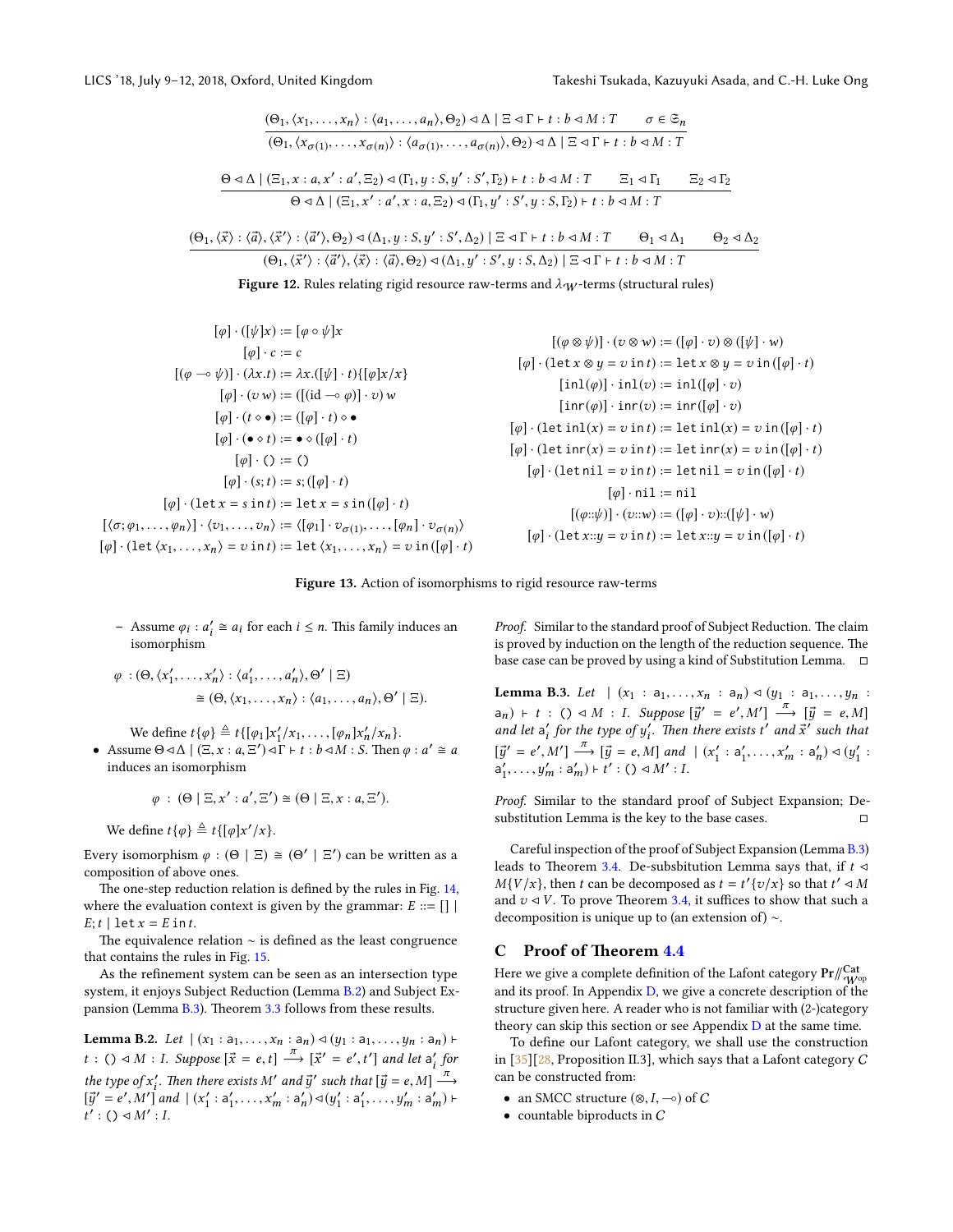<span id="page-15-1"></span>
$$
\frac{(\Theta_1, \langle x_1, \ldots, x_n \rangle : \langle a_1, \ldots, a_n \rangle, \Theta_2) \triangleleft \Delta \mid \Xi \triangleleft \Gamma + t : b \triangleleft M : T \qquad \sigma \in \mathfrak{S}_n}{(\Theta_1, \langle x_{\sigma(1)}, \ldots, x_{\sigma(n)} \rangle : \langle a_{\sigma(1)}, \ldots, a_{\sigma(n)} \rangle, \Theta_2) \triangleleft \Delta \mid \Xi \triangleleft \Gamma + t : b \triangleleft M : T}
$$
\n
$$
\frac{\Theta \triangleleft \Delta \mid (\Xi_1, x : a, x' : a', \Xi_2) \triangleleft (\Gamma_1, y : S, y' : S', \Gamma_2) \vdash t : b \triangleleft M : T \qquad \Xi_1 \triangleleft \Gamma_1 \qquad \Xi_2 \triangleleft \Gamma_2}{\Theta \triangleleft \Delta \mid (\Xi_1, x' : a', x : a, \Xi_2) \triangleleft (\Gamma_1, y' : S', y : S, \Gamma_2) \vdash t : b \triangleleft M : T}
$$

$$
\frac{(\Theta_1, \langle \vec{x} \rangle : \langle \vec{a} \rangle, \langle \vec{x}' \rangle : \langle \vec{a}' \rangle, \Theta_2) \triangleleft (\Delta_1, y : S, y' : S', \Delta_2) \mid \Xi \triangleleft \Gamma + t : b \triangleleft M : T \qquad \Theta_1 \triangleleft \Delta_1 \qquad \Theta_2 \triangleleft \Delta_2
$$

$$
(\Theta_1, \langle \vec{x}' \rangle : \langle \vec{a}' \rangle, \langle \vec{x} \rangle : \langle \vec{a} \rangle, \Theta_2) \triangleleft (\Delta_1, y' : S', y : S, \Delta_2) \mid \Xi \triangleleft \Gamma + t : b \triangleleft M : T
$$

Figure 12. Rules relating rigid resource raw-terms and  $\lambda_W$ -terms (structural rules)

<span id="page-15-2"></span>
$$
[\varphi] \cdot ([\psi]x) := [\varphi \circ \psi]x
$$
  
\n
$$
[\varphi] \cdot (2x \cdot 0) = (\varphi \circ \psi \circ \psi \circ \psi)
$$
  
\n
$$
[\varphi] \cdot (\psi \circ \psi) = ((\varphi \circ \psi) \circ \psi \circ \psi \circ \psi)
$$
  
\n
$$
[\varphi] \cdot (\psi \circ \psi) = ((\varphi \circ \psi) \circ \psi \circ \psi \circ \psi)
$$
  
\n
$$
[\varphi] \cdot (\psi \circ \psi) = ((\varphi \circ \psi) \circ \psi \circ \psi \circ \psi)
$$
  
\n
$$
[\varphi] \cdot (\psi \circ \psi) = ((\varphi \circ \psi) \circ \psi \circ \psi \circ \psi)
$$
  
\n
$$
[\varphi] \cdot (\psi \circ \psi) = ((\varphi \circ \psi) \circ \psi \circ \psi \circ \psi)
$$
  
\n
$$
[\varphi] \cdot (\psi \circ \psi) = (\psi \circ \psi \circ \psi \circ \psi)
$$
  
\n
$$
[\varphi] \cdot (\psi \circ \psi) = (\psi \circ \psi \circ \psi \circ \psi)
$$
  
\n
$$
[\varphi] \cdot (\psi \circ \psi) = (\psi \circ \psi \circ \psi \circ \psi)
$$
  
\n
$$
[\varphi] \cdot (\psi \circ \psi) = (\psi \circ \psi \circ \psi \circ \psi)
$$
  
\n
$$
[\varphi] \cdot (\psi \circ \psi) = (\psi \circ \psi \circ \psi \circ \psi)
$$
  
\n
$$
[\varphi] \cdot (\psi \circ \psi) = (\psi \circ \psi \circ \psi \circ \psi)
$$
  
\n
$$
[\varphi] \cdot (\psi \circ \psi) = (\psi \circ \psi \circ \psi \circ \psi)
$$
  
\n
$$
[\varphi] \cdot (\psi \circ \psi) = (\psi \circ \psi \circ \psi \circ \psi)
$$
  
\n
$$
[\varphi] \cdot (\psi \circ \psi) = (\psi \circ \psi \circ \psi \circ \psi)
$$
  
\n
$$
[\varphi] \cdot (\psi \circ \psi) = (\psi \circ \psi \circ \psi \circ \psi)
$$
  
\n
$$
[\varphi] \cdot (\psi \circ \psi) = (\psi \circ \psi \circ \psi \circ \psi)
$$
  
\n
$$
[\varphi] \cdot (\psi
$$

Figure 13. Action of isomorphisms to rigid resource raw-terms

- Assume  $\varphi_i$ :  $a'_i \cong a_i$  for each  $i \leq n$ . This family induces an isomorphism

$$
\varphi : (\Theta, \langle x'_1, \dots, x'_n \rangle : \langle a'_1, \dots, a'_n \rangle, \Theta' \mid \Xi)
$$
  

$$
\cong (\Theta, \langle x_1, \dots, x_n \rangle : \langle a_1, \dots, a_n \rangle, \Theta' \mid \Xi).
$$

We define  $t\{\varphi\} \triangleq t\{[\varphi_1]x'_1/x_1,\ldots,[\varphi_n]x'_n/x_n\}.$ 

• Assume  $\Theta \triangleleft \triangle \mid (\Xi, x : a, \Xi') \triangleleft \Gamma + t : b \triangleleft M : S$ . Then  $\varphi : a' \cong a$ <br>induces an isomorphism induces an isomorphism

$$
\varphi\,:\,(\Theta\mid \Xi,x':a',\Xi')\cong (\Theta\mid \Xi,x:a,\Xi').
$$

We define  $t\{\varphi\} \triangleq t\{[\varphi]x'/x\}.$ 

Every isomorphism  $\varphi : (\Theta | \Xi) \cong (\Theta' | \Xi')$  can be written as a composition of above ones composition of above ones.

The one-step reduction relation is defined by the rules in Fig. [14,](#page-16-1) where the evaluation context is given by the grammar:  $E ::= []$  $E; t \mid \text{let } x = E \text{ in } t.$ 

The equivalence relation  $\sim$  is defined as the least congruence that contains the rules in Fig. [15.](#page-16-2)

As the refinement system can be seen as an intersection type system, it enjoys Subject Reduction (Lemma [B.2\)](#page-15-3) and Subject Expansion (Lemma  $B.3$ ). Theorem [3.3](#page-5-3) follows from these results.

<span id="page-15-3"></span>**Lemma B.2.** Let  $|(x_1 : a_1, \ldots, x_n : a_n) \triangleleft (y_1 : a_1, \ldots, y_n : a_n) \vdash$ t : ()  $\triangleleft M$  : I. Suppose  $[\vec{x} = e, t] \stackrel{\pi}{\longrightarrow} [\vec{x}' = e', t']$  and let  $a'_i$  for the type of x'<sub>i</sub>. Then there exists M' and  $\vec{y}$ ' such that  $[\vec{y} = e, M] \stackrel{\pi}{\longrightarrow}$ the type of  $x'_i$ . Then there exists M' and  $\vec{y}'$  such that  $[\vec{y} = e, M] \xrightarrow{\alpha} [\vec{y}' = e', M']$  and  $|(x'_1 : a'_1, \dots, x'_m : a'_n) \triangleleft (y'_1 : a'_1, \dots, y'_m : a'_m) \vdash$ <br>  $t' : (\triangleleft A^{M'} : I$  $\overline{t'}$  : ()  $\triangleleft M': I$ .

Proof. Similar to the standard proof of Subject Reduction. The claim is proved by induction on the length of the reduction sequence. The base case can be proved by using a kind of Substitution Lemma.

<span id="page-15-4"></span>**Lemma B.3.** Let  $|(x_1 : a_1, ..., x_n : a_n) \triangleleft (y_1 : a_1, ..., y_n : a_n)$  $(a_n) \vdash t : () \lhd M : I. \text{ Suppose } [\vec{y}' = e', M'] \xrightarrow{\pi} [\vec{y} = e, M]$ <br>and let  $a'_i$  for the type of  $y'_i$ . Then there exists t' and  $\vec{x}'$  such that  $[\vec{y}' = e', M'] \xrightarrow{\pi} [\vec{y} = e, M]$  and  $|(x'_1 : a'_1, ..., x'_m : a'_n) \triangleleft (y'_1 : a'_1, ..., x'_m : a'_n)$  $a'_1, \ldots, y'_m : a'_m) \vdash t' : () \triangleleft M' : I.$ 

Proof. Similar to the standard proof of Subject Expansion; Desubstitution Lemma is the key to the base cases.  $\Box$ 

Careful inspection of the proof of Subject Expansion (Lemma [B.3\)](#page-15-4) leads to Theorem [3.4.](#page-6-2) De-subsbitution Lemma says that, if  $t \triangleleft$  $M\{V/x\}$ , then t can be decomposed as  $t = t'\{v/x\}$  so that  $t' \lhd M$ and  $v \triangleleft V$ . To prove Theorem [3.4,](#page-6-2) it suffices to show that such a decomposition is unique up to (an extension of) ∼.

# <span id="page-15-0"></span>C Proof of Theorem [4.4](#page-7-1)

Here we give a complete definition of the Lafont category  $\Pr/_{\rm W^{op}}^{\rm Cat}$ and its proof. In Appendix [D,](#page-21-0) we give a concrete description of the structure given here. A reader who is not familiar with (2-)category theory can skip this section or see Appendix  $D$  at the same time.

To define our Lafont category, we shall use the construction in  $[35][28$  $[35][28$ , Proposition II.3], which says that a Lafont category C can be constructed from:

- an SMCC structure  $(\otimes, I, \neg\circ)$  of C
- countable biproducts in  $C$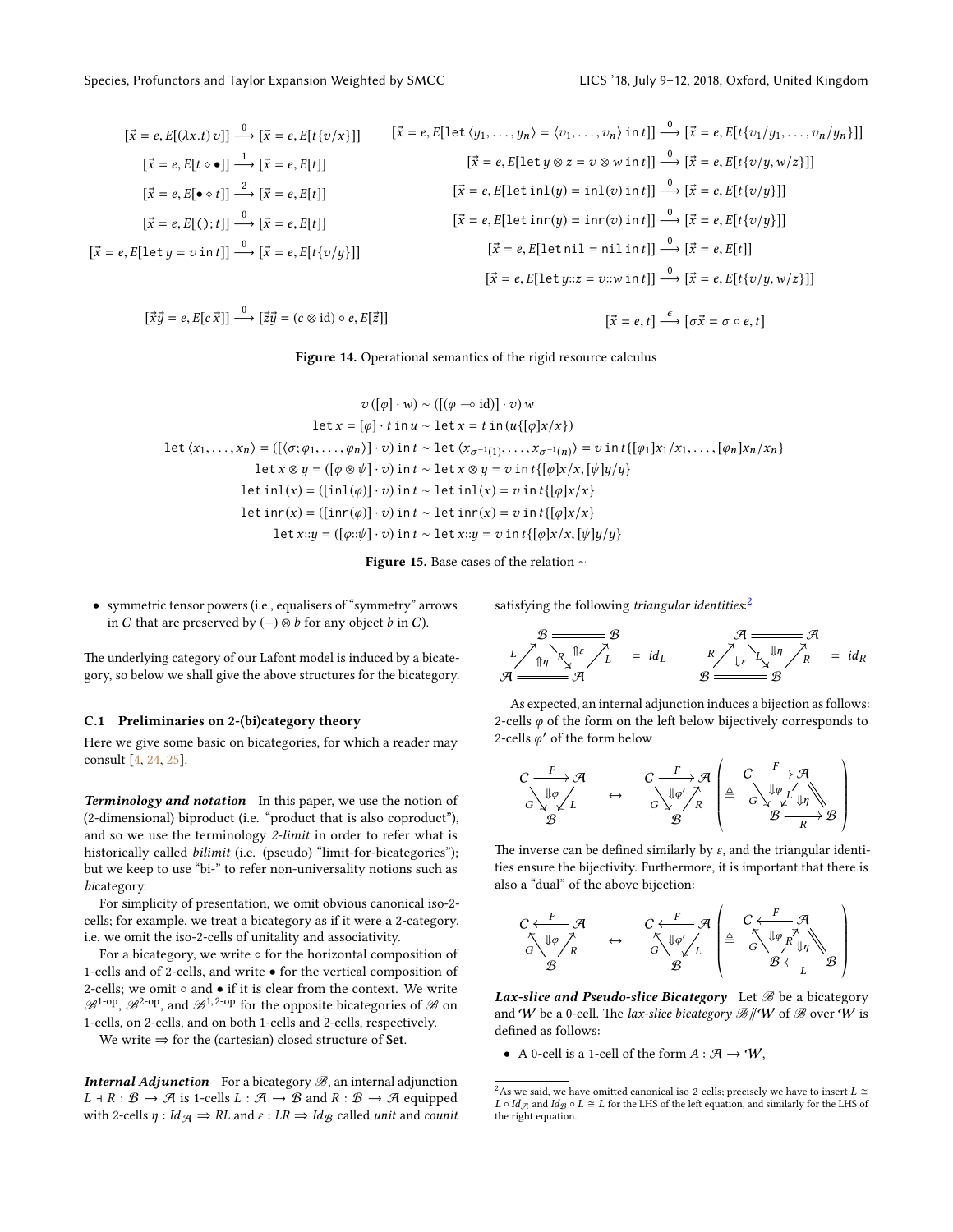<span id="page-16-1"></span>
$$
[\vec{x} = e, E[(\lambda x. t) v]] \xrightarrow{0} [\vec{x} = e, E[t(v/x)]] \qquad [\vec{x} = e, E[\text{let } \langle y_1, \dots, y_n \rangle = \langle v_1, \dots, v_n \rangle \text{ in } t]] \xrightarrow{0} [\vec{x} = e, E[t(v/y_1, \dots, v_n/y_n)]]
$$

$$
[\vec{x} = e, E[t \circ \bullet]] \xrightarrow{1} [\vec{x} = e, E[t]] \qquad [\vec{x} = e, E[\text{let } y \otimes z = v \otimes w \text{ in } t]] \xrightarrow{0} [\vec{x} = e, E[t(v/y, w/z)]]
$$

$$
[\vec{x} = e, E[\bullet \circ t]] \xrightarrow{0} [\vec{x} = e, E[t]] \qquad [\vec{x} = e, E[\text{let } \text{in} (y) = \text{in} (v) \text{ in } t]] \xrightarrow{0} [\vec{x} = e, E[t(v/y)]]
$$

$$
[\vec{x} = e, E[\text{let } \text{in} (y) = \text{in} (v) \text{ in } t]] \xrightarrow{0} [\vec{x} = e, E[t(v/y)]]
$$

$$
[\vec{x} = e, E[\text{let } \text{in} (y) = \text{in} (v) \text{ in } t]] \xrightarrow{0} [\vec{x} = e, E[t] \wedge [t(v/y)]]
$$

$$
[\vec{x} = e, E[\text{let } \text{in} (y) = \text{in} (v) \text{ in } t]] \xrightarrow{0} [\vec{x} = e, E[t] \wedge [t(v/y)]]
$$

$$
[\vec{x} = e, E[\text{let } \text{in} (y) = \text{in} (v) \text{ in } t]] \xrightarrow{0} [\vec{x} = e, E[t] \wedge [t(v/y, w/z)]]
$$

$$
[\vec{x} = e, E[\text{let } \text{in} (y) = \text{in} (v) \text{ in } t]] \xrightarrow{0} [\vec{x} = e, E[t] \wedge [t(v/y, w/z)]]
$$

 $[\vec{x}\vec{y} = e, E[c\vec{x}]] \stackrel{0}{\longrightarrow} [\vec{z}\vec{y} = (c \otimes id) \circ e, E[\vec{z}]]$ 

$$
[\vec{x} = e, t] \xrightarrow{\epsilon} [\sigma \vec{x} = \sigma \circ e, t]
$$

Figure 14. Operational semantics of the rigid resource calculus

<span id="page-16-2"></span>
$$
v([\varphi] \cdot w) \sim ([(\varphi \neg \circ id)] \cdot v) w
$$
  
\n
$$
let x = [\varphi] \cdot t \text{ in } u \sim \text{let } x = t \text{ in } (u\{[\varphi]x/x\})
$$
  
\n
$$
\text{let } \langle x_1, \ldots, x_n \rangle = ([\langle \sigma; \varphi_1, \ldots, \varphi_n \rangle] \cdot v) \text{ in } t \sim \text{let } \langle x_{\sigma^{-1}(1)}, \ldots, x_{\sigma^{-1}(n)} \rangle = v \text{ in } t\{[\varphi_1]x_1/x_1, \ldots, [\varphi_n]x_n/x_n\}
$$
  
\n
$$
\text{let } x \otimes y = ([\varphi \otimes \psi] \cdot v) \text{ in } t \sim \text{let } x \otimes y = v \text{ in } t\{[\varphi]x/x, [\psi]y/y\}
$$
  
\n
$$
\text{let } \text{in1}(x) = ([\text{in1}(\varphi)] \cdot v) \text{ in } t \sim \text{let } \text{in1}(x) = v \text{ in } t\{[\varphi]x/x\}
$$
  
\n
$$
\text{let } x::y = ([\varphi::\psi] \cdot v) \text{ in } t \sim \text{let } x::y = v \text{ in } t\{[\varphi]x/x, [\psi]y/y\}
$$

Figure 15. Base cases of the relation ∼

• symmetric tensor powers (i.e., equalisers of "symmetry" arrows in C that are preserved by  $(-)$  ⊗ b for any object b in C).

The underlying category of our Lafont model is induced by a bicategory, so below we shall give the above structures for the bicategory.

#### <span id="page-16-0"></span>C.1 Preliminaries on 2-(bi)category theory

Here we give some basic on bicategories, for which a reader may consult [\[4,](#page-9-15) [24,](#page-9-20) [25\]](#page-10-15).

**Terminology and notation** In this paper, we use the notion of (2-dimensional) biproduct (i.e. "product that is also coproduct"), and so we use the terminology 2-limit in order to refer what is historically called *bilimit* (i.e. (pseudo) "limit-for-bicategories"); but we keep to use "bi-" to refer non-universality notions such as bicategory.

For simplicity of presentation, we omit obvious canonical iso-2 cells; for example, we treat a bicategory as if it were a 2-category, i.e. we omit the iso-2-cells of unitality and associativity.

For a bicategory, we write ◦ for the horizontal composition of 1-cells and of 2-cells, and write • for the vertical composition of 2-cells; we omit ∘ and • if it is clear from the context. We write  $\mathscr{B}^{\textrm{1-op}}, \mathscr{B}^{\textrm{2-op}},$  and  $\mathscr{B}^{\textrm{1,2-op}}$  for the opposite bicategories of  $\mathscr{B}$  on 1-cells, on 2-cells, and on both 1-cells and 2-cells, respectively.

We write  $\Rightarrow$  for the (cartesian) closed structure of Set.

**Internal Adjunction** For a bicategory  $\mathcal{B}$ , an internal adjunction  $L \dashv R : \mathcal{B} \to \mathcal{A}$  is 1-cells  $L : \mathcal{A} \to \mathcal{B}$  and  $R : \mathcal{B} \to \mathcal{A}$  equipped with 2-cells  $\eta : Id_{\mathcal{A}} \Rightarrow RL$  and  $\varepsilon : LR \Rightarrow Id_{\mathcal{B}}$  called unit and counit satisfying the following triangular identities:<sup>[2](#page-16-3)</sup>

$$
\mathcal{B} \xrightarrow{B} \mathcal{B} \xrightarrow{A} \mathcal{A}
$$
\n
$$
L \nearrow \uparrow \uparrow \uparrow \uparrow
$$
\n
$$
\mathcal{A} \xrightarrow{I} \mathcal{B} \xrightarrow{I} \mathcal{B}
$$
\n
$$
\mathcal{A} \xrightarrow{R} \searrow \downarrow \downarrow \uparrow \nearrow R \Rightarrow id_R
$$
\n
$$
\mathcal{B} \xrightarrow{B} \mathcal{B}
$$

As expected, an internal adjunction induces a bijection as follows: 2-cells  $\varphi$  of the form on the left below bijectively corresponds to 2-cells  $\varphi'$  of the form below

$$
\begin{array}{ccc}\nC & F & \mathcal{A} & C & F & \mathcal{A} \\
\downarrow \varphi & & & C & \downarrow \varphi' & \uparrow \\
G & \searrow & & G & \searrow & \varphi \\
\mathcal{B} & & & \mathcal{B}\n\end{array}\n\quad\n\begin{array}{c}\nC & F & \mathcal{A} \\
\downarrow \varphi & \nearrow & \uparrow \\
B & & & \mathcal{B} & \searrow & \downarrow \varphi \\
\downarrow & & \mathcal{B} & \searrow & \downarrow \varphi\n\end{array}
$$

The inverse can be defined similarly by  $\varepsilon$ , and the triangular identities ensure the bijectivity. Furthermore, it is important that there is also a "dual" of the above bijection:

$$
\begin{array}{ccc}\nC \leftarrow F & \mathcal{A} & C \leftarrow F & \mathcal{A} \\
\uparrow \searrow \psi \nearrow_{R} & \leftrightarrow & \stackrel{\uparrow}{\nwarrow} \psi \swarrow_{L} & \stackrel{\triangle}{=} & \stackrel{C \leftarrow F \rightarrow \mathcal{A}}{\nwarrow} \\
\mathcal{B} & \mathcal{B} & \mathcal{B} & \stackrel{\perp}{\nwarrow} \psi \swarrow_{L} & \stackrel{\triangle}{=} & \stackrel{\triangle}{\nwarrow} \psi \swarrow_{R} \swarrow_{\mathbb{J}\eta} \\
\uparrow \searrow & \mathcal{B} & \stackrel{\perp}{\nwarrow} & \mathcal{B} & \stackrel{\triangle}{\nwarrow} \end{array}
$$

 $\emph{Lax-slice and Pseudo-slice Bicategory}$   $\emph{Let $\mathscr B$ be a bicategory}$ and W be a 0-cell. The lax-slice bicategory  $\mathscr{B}/\!/W$  of  $\mathscr{B}$  over W is defined as follows:

« ¬

• A 0-cell is a 1-cell of the form  $A : \mathcal{A} \to \mathcal{W}$ ,

<span id="page-16-3"></span> $^2\text{As}$  we said, we have omitted canonical iso-2-cells; precisely we have to insert  $L\cong$  $L\circ Id_{\mathcal{A}}$  and  $Id_{\mathcal{B}}\circ L\cong L$  for the LHS of the left equation, and similarly for the LHS of the right equation.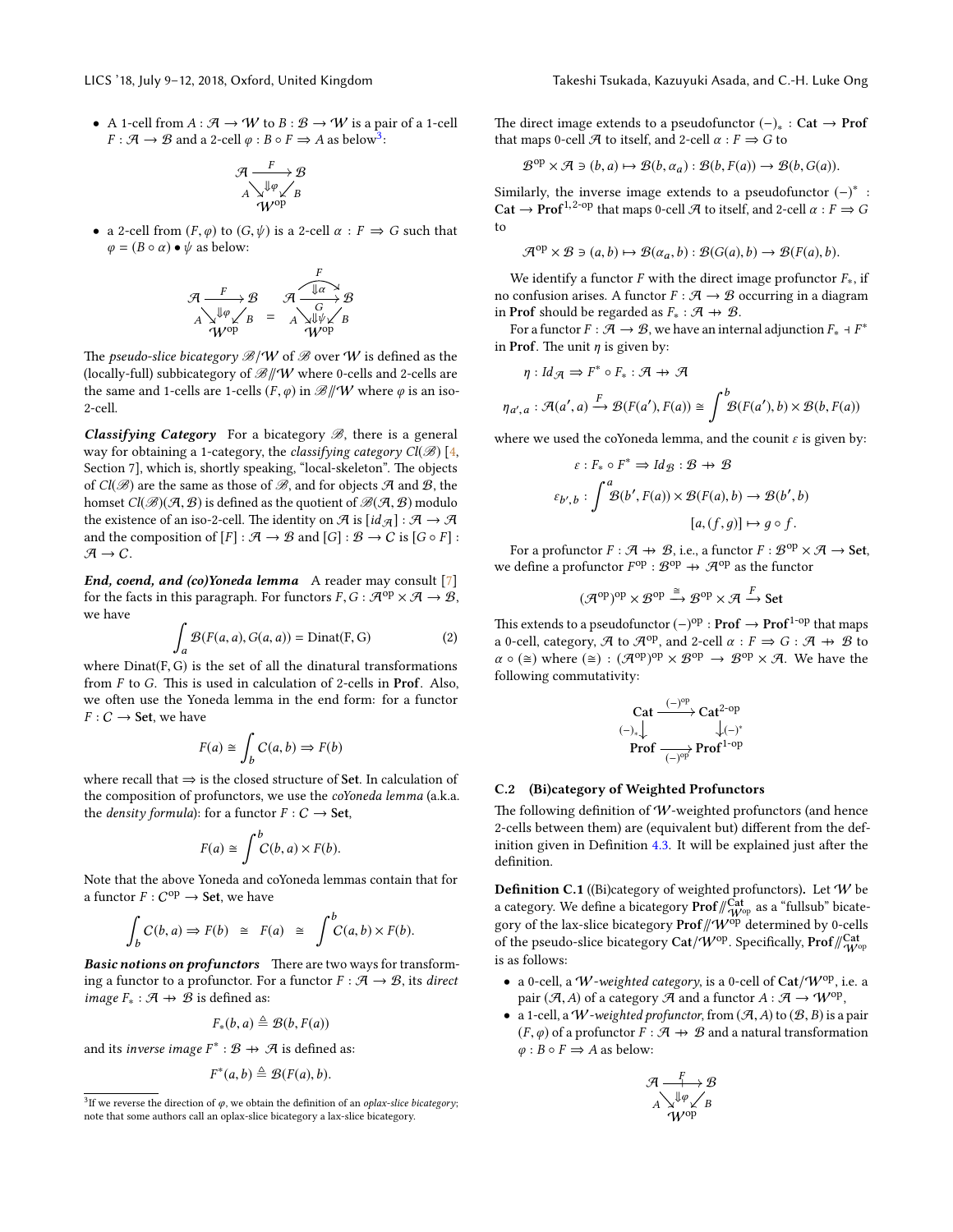• A 1-cell from  $A : \mathcal{A} \to W$  to  $B : \mathcal{B} \to W$  is a pair of a 1-cell  $F: \mathcal{A} \to \mathcal{B}$  and a 2-cell  $\varphi: B \circ F \Rightarrow A$  as below<sup>[3](#page-17-0)</sup>:

$$
\mathcal{A} \xrightarrow{F} \mathcal{B} \n A \searrow^{\Downarrow \varphi} \swarrow B \n W^{op}
$$

• a 2-cell from  $(F, \varphi)$  to  $(G, \psi)$  is a 2-cell  $\alpha : F \implies G$  such that  $\varphi = (B \circ \alpha) \bullet \psi$  as below:

$$
\mathcal{A} \xrightarrow{F} \mathcal{B} \qquad \mathcal{A} \xrightarrow{F} \mathcal{B} \nA \searrow^{\text{Lip}} \mathcal{B} = A \searrow^{\text{Lip}} \mathcal{B} \nW^{\text{op}} \qquad \qquad \text{W}^{\text{op}}
$$

The pseudo-slice bicategory  $\mathcal{B}/W$  of  $\mathcal{B}$  over W is defined as the (locally-full) subbicategory of  $\mathcal{B}/\!/W$  where 0-cells and 2-cells are the same and 1-cells are 1-cells  $(F, \varphi)$  in  $\mathscr{B}/\mathscr{W}$  where  $\varphi$  is an iso-2-cell.

**Classifying Category** For a bicategory  $\mathcal{B}$ , there is a general way for obtaining a 1-category, the *classifying category Cl*( $\mathscr{B}$ ) [\[4,](#page-9-15) Section 7], which is, shortly speaking, "local-skeleton". The objects of  $Cl(B)$  are the same as those of  $B$ , and for objects  $A$  and  $B$ , the homset  $Cl(\mathcal{B})(\mathcal{A}, \mathcal{B})$  is defined as the quotient of  $\mathcal{B}(\mathcal{A}, \mathcal{B})$  modulo the existence of an iso-2-cell. The identity on  $\mathcal A$  is  $\lceil id_{\mathcal A}\rceil : \mathcal A \to \mathcal A$ and the composition of  $[F] : \mathcal{A} \to \mathcal{B}$  and  $[G] : \mathcal{B} \to C$  is  $[G \circ F]$ :  $\mathcal{A} \rightarrow C$ .

End, coend, and (co)Yoneda lemma A reader may consult  $[7]$ for the facts in this paragraph. For functors  $F, G : \mathcal{A}^{op} \times \mathcal{A} \to \mathcal{B}$ , we have

<span id="page-17-2"></span>
$$
\int_{a} \mathcal{B}(F(a, a), G(a, a)) = \text{Dinat}(F, G)
$$
\n(2)

where Dinat(F,G) is the set of all the dinatural transformations from  $F$  to  $G$ . This is used in calculation of 2-cells in **Prof.** Also, we often use the Yoneda lemma in the end form: for a functor  $F: C \longrightarrow$  Set, we have

$$
F(a) \cong \int_b C(a, b) \Rightarrow F(b)
$$

where recall that  $\Rightarrow$  is the closed structure of Set. In calculation of the composition of profunctors, we use the coYoneda lemma (a.k.a. the *density formula*): for a functor  $F: C \rightarrow$  **Set**,

$$
F(a) \cong \int^b C(b, a) \times F(b).
$$

Note that the above Yoneda and coYoneda lemmas contain that for a functor  $F: C^\text{op} \to \mathbf{Set}$ , we have

$$
\int_b C(b, a) \Rightarrow F(b) \cong F(a) \cong \int^b C(a, b) \times F(b).
$$

Basic notions on profunctors There are two ways for transforming a functor to a profunctor. For a functor  $F : \mathcal{A} \to \mathcal{B}$ , its direct *image*  $F_* : \mathcal{A} \rightarrow \mathcal{B}$  *is defined as:* 

$$
F_*(b,a) \triangleq \mathcal{B}(b,F(a))
$$

and its *inverse image*  $F^* : \mathcal{B} \to \mathcal{A}$  is defined as:

$$
F^*(a,b)\triangleq \mathcal{B}(F(a),b).
$$

The direct image extends to a pseudofunctor  $(-)_* : \mathbf{Cat} \to \mathbf{Prof}$ that maps 0-cell  $\mathcal A$  to itself, and 2-cell  $\alpha : F \Rightarrow G$  to

$$
\mathcal{B}^{\mathrm{op}} \times \mathcal{A} \ni (b, a) \mapsto \mathcal{B}(b, \alpha_a) : \mathcal{B}(b, F(a)) \to \mathcal{B}(b, G(a)).
$$

Similarly, the inverse image extends to a pseudofunctor  $(-)^*$ : Cat  $\rightarrow$  Prof<sup>1,2-op</sup> that maps 0-cell A to itself, and 2-cell  $\alpha$  :  $F \rightarrow G$ to

$$
\mathcal{A}^{op} \times \mathcal{B} \ni (a, b) \mapsto \mathcal{B}(\alpha_a, b) : \mathcal{B}(G(a), b) \to \mathcal{B}(F(a), b).
$$

We identify a functor F with the direct image profunctor  $F_*$ , if no confusion arises. A functor  $F : \mathcal{A} \to \mathcal{B}$  occurring in a diagram in Prof should be regarded as  $F_* : \mathcal{A} \rightarrow \mathcal{B}$ .

For a functor  $F:\mathcal{\bar{A}}\rightarrow\mathcal{B},$  we have an internal adjunction  $F_*\dashv F^*$ in Prof. The unit  $\eta$  is given by:

$$
\eta:Id_{\mathcal{A}}\Rightarrow F^*\circ F_*:\mathcal{A}\twoheadrightarrow\mathcal{A}
$$

$$
\eta_{a',a} : \mathcal{A}(a',a) \xrightarrow{F} \mathcal{B}(F(a'),F(a)) \cong \int^b \mathcal{B}(F(a'),b) \times \mathcal{B}(b,F(a))
$$

where we used the coYoneda lemma, and the counit  $\varepsilon$  is given by:

$$
\varepsilon: F_* \circ F^* \Rightarrow Id_{\mathcal{B}} : \mathcal{B} \to \mathcal{B}
$$

$$
\varepsilon_{b',b} : \int^a \mathcal{B}(b', F(a)) \times \mathcal{B}(F(a), b) \to \mathcal{B}(b', b)
$$

$$
[a, (f, g)] \mapsto g \circ f.
$$

For a profunctor  $F : \mathcal{A} \to \mathcal{B}$ , i.e., a functor  $F : \mathcal{B}^{op} \times \mathcal{A} \to$  Set, we define a profunctor  $F^{\text{op}}$  :  $\mathcal{B}^{\text{op}} \to \mathcal{A}^{\text{op}}$  as the functor

 $(\mathcal{A}^{op})^{op} \times \mathcal{B}^{op} \xrightarrow{\cong} \mathcal{B}^{op} \times \mathcal{A} \xrightarrow{F} Set$ 

This extends to a pseudofunctor (−)<sup>op</sup> : **Prof**  $\rightarrow$  **Prof**<sup>1-op</sup> that maps a 0-cell, category,  $\mathcal A$  to  $\mathcal A^{op}$ , and 2-cell  $\alpha : F \Rightarrow G : \mathcal A \rightarrow \mathcal B$  to  $\alpha \circ (\cong)$  where  $(\cong) : (\mathcal{A}^{op})^{op} \times \mathcal{B}^{op} \to \mathcal{B}^{op} \times \mathcal{A}$ . We have the following commutativity:

$$
\underset{\substack{(-)_\ast\big\downarrow \\ \text{Prof}\xrightarrow[-]{{\mathrm{op}}}}{\longrightarrow}}{\mathbf{Cat}^{2\text{-op}}\xrightarrow[+]{{\mathrm{ch}}^{2\text{-op}}}}{\mathbf{Conf}^{1\text{-op}}}
$$

### C.2 (Bi)category of Weighted Profunctors

The following definition of  $W$ -weighted profunctors (and hence 2-cells between them) are (equivalent but) different from the def-inition given in Definition [4.3.](#page-6-5) It will be explained just after the definition.

<span id="page-17-1"></span>**Definition C.1** ((Bi)category of weighted profunctors). Let  $W$  be a category. We define a bicategory  $\mathsf{Prof}\mathord{/\!\!/}_{\mathcal{W}^\mathrm{op}}^{\mathsf{Cat}}$  as a "fullsub" bicategory of the lax-slice bicategory Prof $\#W^{op}$  determined by 0-cells of the pseudo-slice bicategory Cat/ $W^\mathrm{op}$ . Specifically, Prof $\mathcal{W}^{\mathrm{Cat}}_{W^\mathrm{op}}$ is as follows:

- a 0-cell, a W-weighted category, is a 0-cell of  $Cat/W^{op}$ , i.e. a pair (A, A) of a category A and a functor  $A : \mathcal{A} \to W^{op}$ ,<br>a 1-cell, a W-weighted profunctor from (A, A) to (B, B) is a
- a 1-cell, a W-weighted profunctor, from  $(A, A)$  to  $(B, B)$  is a pair  $(F, \varphi)$  of a profunctor  $F : \mathcal{A} \rightarrow \mathcal{B}$  and a natural transformation  $\varphi$  :  $B \circ F \Rightarrow A$  as below:

$$
\begin{array}{c}\mathcal{A} \xrightarrow{F} \mathcal{B} \\ A \searrow^{\Downarrow \phi} \swarrow_{B} \\ \mathcal{W}^{\text{op}}\end{array}
$$

<span id="page-17-0"></span><sup>&</sup>lt;sup>3</sup>If we reverse the direction of  $\varphi$ , we obtain the definition of an oplax-slice bicategory; note that some authors call an oplax-slice bicategory a lax-slice bicategory.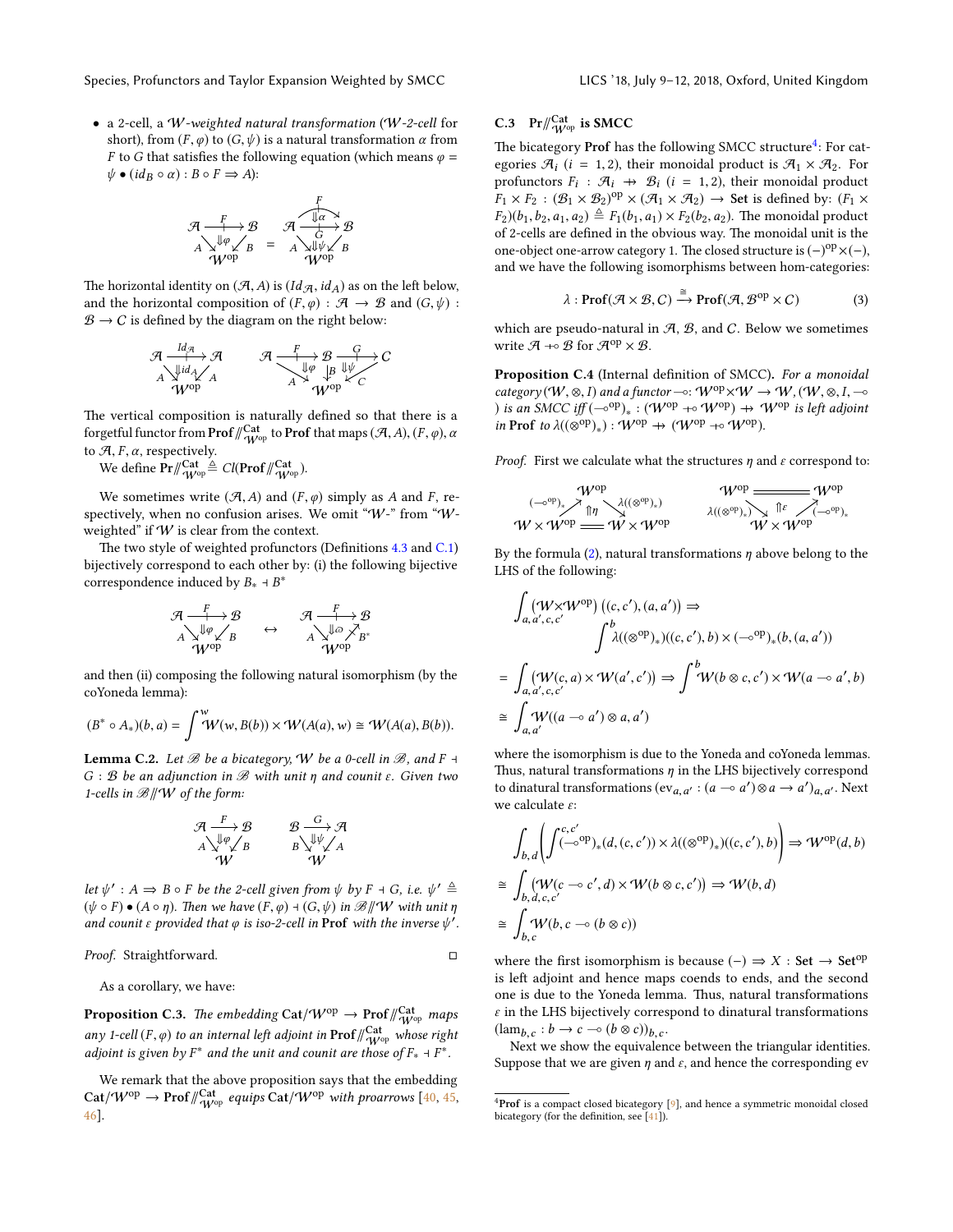• a 2-cell, a W-weighted natural transformation (W-2-cell for short), from  $(F, \varphi)$  to  $(G, \psi)$  is a natural transformation  $\alpha$  from F to G that satisfies the following equation (which means  $\varphi$  =  $\psi \bullet (id_B \circ \alpha) : B \circ F \Rightarrow A$ ):

$$
\mathcal{A} \xrightarrow{F} \mathcal{B} \qquad \mathcal{A} \xrightarrow{f} \mathcal{B} \nA \searrow^{\text{up}} \mathcal{A} \swarrow B \qquad A \searrow^{\text{up}} \mathcal{A} \mathcal{B} \nW^{\text{op}} \qquad W^{\text{op}} \qquad W^{\text{op}}
$$

The horizontal identity on  $(A, A)$  is  $(Id_{\mathcal{A}}$ ,  $id_A)$  as on the left below, and the horizontal composition of  $(F, \varphi) : \mathcal{A} \to \mathcal{B}$  and  $(G, \psi)$ :  $\mathcal{B} \to C$  is defined by the diagram on the right below:

$$
\begin{array}{ccc}\n\mathcal{A} & \xrightarrow{Id_{\mathcal{A}}} \mathcal{A} & \mathcal{A} & \xrightarrow{F} \mathcal{B} & \xrightarrow{G} C \\
\downarrow^{A} & \searrow^{A} & \searrow^{A} & \downarrow^{B} & \downarrow^{C} \\
\downarrow^{A} & \searrow^{A} & \searrow^{A} & \searrow^{A} & \searrow^{A} \\
\downarrow^{A} & \searrow^{A} & \searrow^{A} & \searrow^{A} & \searrow^{A} \\
\end{array}
$$

The vertical composition is naturally defined so that there is a forgetful functor from **Prof**  $\frac{d}{d\mu}$ <sup>Cat</sup> to **Prof** that maps  $(\mathcal{A}, A), (F, \varphi), \alpha$ to  $\mathcal{A}, F, \alpha$ , respectively.

We define  $\Pr/\hspace{-3pt}/\frac{Cat}{\mathcal{W}^{\mathrm{op}}}\triangleq \mathit{Cl}(\Pr\mathsf{of}/\hspace{-3pt}/\frac{Cat}{\mathcal{W}^{\mathrm{op}}}).$ 

We sometimes write  $(A, A)$  and  $(F, \varphi)$  simply as A and F, respectively, when no confusion arises. We omit "W-" from "Wweighted" if  $W$  is clear from the context.

The two style of weighted profunctors (Definitions  $4.3$  and  $C.1$ ) bijectively correspond to each other by: (i) the following bijective correspondence induced by  $B_* \dashv B^*$ 

$$
\begin{array}{ccc}\mathcal{A} \xrightarrow{F} \mathcal{B} & \mathcal{A} \xrightarrow{F} \mathcal{B} \\
\downarrow^{I\!\! \varphi} \swarrow^{I\!\! \varphi} & \leftrightarrow & \wedge^{\searrow^{I\!\! \varphi} \nearrow} \swarrow^{I\!\! \varphi} \\
\downarrow^{I\!\! \varphi} \swarrow^{I\!\! \varphi} & \wedge^{\vee} \swarrow^{I\!\! \varphi} \\
\swarrow^{V^{\mathrm{op}}} & \swarrow^{V^{\mathrm{op}}} \\
\end{array}
$$

and then (ii) composing the following natural isomorphism (by the coYoneda lemma):

$$
(B^* \circ A_*)(b, a) = \int^w W(w, B(b)) \times W(A(a), w) \cong W(A(a), B(b)).
$$

**Lemma C.2.** Let  $\mathcal{B}$  be a bicategory,  $W$  be a 0-cell in  $\mathcal{B}$ , and  $F \dashv$  $G : B$  be an adjunction in  $B$  with unit  $\eta$  and counit  $\varepsilon$ . Given two 1-cells in  $\mathcal{B}/\!\!/W$  of the form:

$$
\begin{array}{ccc}\n\mathcal{A} & \xrightarrow{F} & \mathcal{B} & \xrightarrow{G} & \mathcal{A} \\
\downarrow^{g} & \downarrow^{g} & \downarrow^{g} & \downarrow^{g} \\
\uparrow^{g} & \mathcal{W} & & \mathcal{W}\n\end{array}
$$

let  $\psi' : A \Rightarrow B \circ F$  be the 2-cell given from  $\psi$  by  $F \dashv G$ , i.e.  $\psi' \triangleq$  $(\psi \circ F) \bullet (A \circ \eta)$ . Then we have  $(F, \varphi) \dashv (G, \psi)$  in  $\mathscr{B}/\mathscr{W}$  with unit  $\eta$ and counit  $\varepsilon$  provided that  $\varphi$  is iso-2-cell in **Prof** with the inverse  $\psi'$ .

#### Proof. Straightforward. □

As a corollary, we have:

<span id="page-18-3"></span>**Proposition C.3.** The embedding  $\text{Cat}/\text{W}^{\text{op}} \to \text{Prof}/\textstyle\!\!/\textstyle\frac{\text{Cat}}{\textstyle W^{\text{op}}}$  maps any 1-cell  $(F, \varphi)$  to an internal left adjoint in  $\text{Prof}\big/\bigtext{Cat}_{W^{op}}^{\text{Cat}}$  whose right<br>calinist is given by  $F^*$  and the unit and sounit are those of  $F \to F^*$ adjoint is given by  $F^*$  and the unit and counit are those of  $F_* \dashv F^*$ .

We remark that the above proposition says that the embedding  $\mathsf{Cat}/\mathcal{W}^\mathrm{op} \to \mathsf{Prof}/\!\!/_{\mathcal{W}^\mathrm{op}}^{\mathsf{Cat}}$  equips  $\mathsf{Cat}/\mathcal{W}^\mathrm{op}$  with proarrows  $[40,45,$  $[40,45,$ [46\]](#page-10-18).

# C.3 Pr $\frac{q^{Cat}}{W^{op}}$  is SMCC

The bicategory Prof has the following SMCC structure<sup>[4](#page-18-0)</sup>: For categories  $\mathcal{A}_i$  (*i* = 1, 2), their monoidal product is  $\mathcal{A}_1 \times \mathcal{A}_2$ . For profunctors  $F_i$ :  $\mathcal{A}_i \to \mathcal{B}_i$   $(i = 1, 2)$ , their monoidal product  $F_i \times F_2 \cdot (\mathcal{B}_i \times \mathcal{B}_i)^{\text{op}} \times (\mathcal{A}_i \times \mathcal{A}_i) \to$  Set is defined by:  $(F_i \times$  $F_1 \times F_2 : (\mathcal{B}_1 \times \mathcal{B}_2)^{op} \times (\mathcal{A}_1 \times \mathcal{A}_2) \rightarrow$  Set is defined by:  $(F_1 \times$  $F_2$ )( $b_1, b_2, a_1, a_2$ )  $\triangleq F_1(b_1, a_1) \times F_2(b_2, a_2)$ . The monoidal product of 2-cells are defined in the obvious way. The monoidal unit is the one-object one-arrow category 1. The closed structure is  $(-)^{op} \times (-)$ , and we have the following isomorphisms between hom-categories:

<span id="page-18-1"></span>
$$
\lambda: \mathrm{Prof}(\mathcal{A} \times \mathcal{B}, C) \xrightarrow{\cong} \mathrm{Prof}(\mathcal{A}, \mathcal{B}^{\mathrm{op}} \times C) \tag{3}
$$

which are pseudo-natural in  $A$ ,  $B$ , and  $C$ . Below we sometimes write  $\mathcal{A} \dashrightarrow \mathcal{B}$  for  $\mathcal{A}^{op} \times \mathcal{B}$ .

<span id="page-18-2"></span>Proposition C.4 (Internal definition of SMCC). For a monoidal category (W, ⊗, I) and a functor  $\multimap: W^{op} \times W \to W$ , (W, ⊗, I,  $\multimap$ ) is an SMCC iff  $(-\circ^{op})_* : (\mathcal{W}^{op} \dashrightarrow \mathcal{W}^{op}) \nrightarrow \mathcal{W}^{op}$  is left adjoint in Prof to  $\lambda((\otimes^{\mathrm{op}})_*) : \mathcal{W}^{\mathrm{op}} \to (\mathcal{W}^{\mathrm{op}} \to \circ \mathcal{W}^{\mathrm{op}}).$ 

*Proof.* First we calculate what the structures  $\eta$  and  $\varepsilon$  correspond to:

$$
\begin{array}{ccc}\n\mathcal{W}^{\text{op}} & \mathcal{W}^{\text{op}} \longrightarrow & \mathcal{W}^{\text{op}} \\
\hline\n\left(-\circ^{\text{op}}\right)_*\nearrow \uparrow_{\eta} & \searrow & \mathcal{W}^{\text{op}} \\
\mathcal{W}\times \mathcal{W}^{\text{op}} & \xrightarrow{\text{op}} & \mathcal{W}\times \mathcal{W}^{\text{op}} \\
\mathcal{W}\times \mathcal{W}^{\text{op}} & \mathcal{W}\times \mathcal{W}^{\text{op}}\n\end{array}
$$

By the formula [\(2\)](#page-17-2), natural transformations  $\eta$  above belong to the LHS of the following:

$$
\int_{a,a',c,c'} (W \times W^{\text{op}}) ((c,c'), (a,a')) \Rightarrow
$$
\n
$$
\int_{a,a',c,c'}^{b} \lambda((\otimes^{\text{op}})_*)(c,c'), b) \times (-\circ^{\text{op}})_*(b,(a,a'))
$$
\n
$$
= \int_{a,a',c,c'} (W(c,a) \times W(a',c')) \Rightarrow \int_{a',a'}^{b} W(b \otimes c,c') \times W(a \multimap a', b)
$$
\n
$$
\cong \int_{a,a'} W((a \multimap a') \otimes a,a')
$$

where the isomorphism is due to the Yoneda and coYoneda lemmas. Thus, natural transformations  $\eta$  in the LHS bijectively correspond to dinatural transformations  $(\text{ev}_{a,a'} : (a \multimap a') \otimes a \rightarrow a')_{a,a'}$ . Next we calculate  $\varepsilon$ :

$$
\int_{b,d} \left( \int_{(-\infty}^{c,c'} (-\infty^{\infty})_*(d,(c,c')) \times \lambda((\infty^{\text{op}})_*)(c,c'),b) \right) \Rightarrow W^{\text{op}}(d,b)
$$
\n
$$
\cong \int_{b,d,c,c'} (\mathcal{W}(c-\infty c',d) \times \mathcal{W}(b \otimes c,c')) \Rightarrow \mathcal{W}(b,d)
$$
\n
$$
\cong \int_{b,c} \mathcal{W}(b,c-\infty (b \otimes c))
$$

where the first isomorphism is because  $(-) \Rightarrow X : Set \rightarrow Set^{op}$ is left adjoint and hence maps coends to ends, and the second one is due to the Yoneda lemma. Thus, natural transformations  $\varepsilon$  in the LHS bijectively correspond to dinatural transformations  $(\text{lam}_{b,c} : b \to c \multimap (b \otimes c))_{b,c}.$ <br>Next we show the equivalence

Next we show the equivalence between the triangular identities. Suppose that we are given  $\eta$  and  $\varepsilon$ , and hence the corresponding ev

<span id="page-18-0"></span> ${}^{4}$ Prof is a compact closed bicategory [\[9\]](#page-9-22), and hence a symmetric monoidal closed bicategory (for the definition, see  $[41]$ ).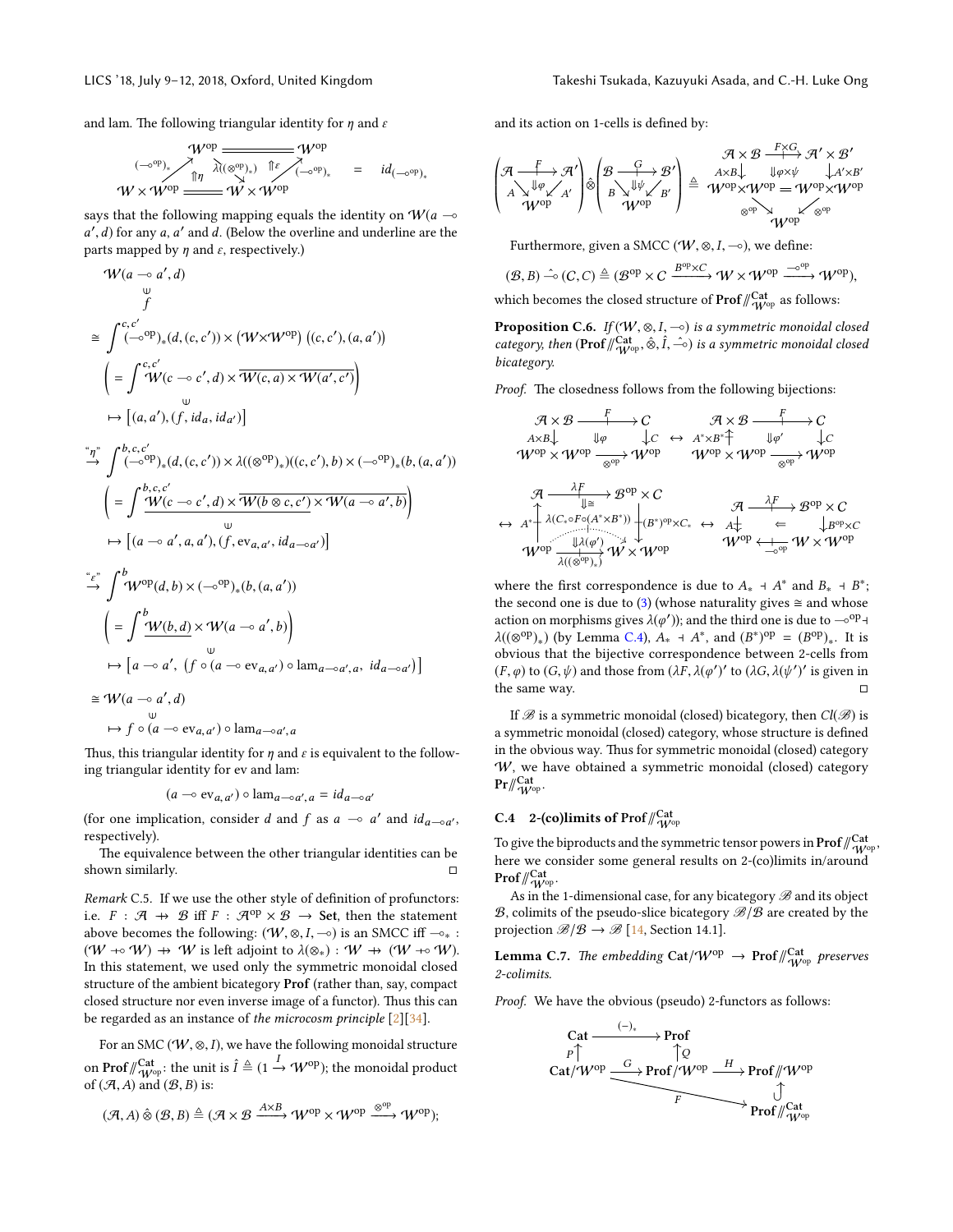and lam. The following triangular identity for  $\eta$  and  $\varepsilon$ 

$$
\begin{array}{ccc}\n\mathcal{W}^{\text{op}} & \xrightarrow{\mathcal{W}^{\text{op}}} & \mathcal{W}^{\text{op}} \\
\hline\n\text{M} & \lambda(\otimes^{\text{op}})_{*} & \text{if } \searrow \searrow \\
\mathcal{W} \times \mathcal{W}^{\text{op}} & \xrightarrow{\text{if } \vee} & \mathcal{W}^{\text{op}} \\
\mathcal{W} \times \mathcal{W}^{\text{op}} & \xrightarrow{\text{if } \vee} & \mathcal{W}^{\text{op}}\n\end{array} \hspace{.5cm} = \hspace{.5cm} \text{id}_{(-\text{o}^{\text{op}})_{*}}
$$

says that the following mapping equals the identity on  $W(a - \infty)$  $a', d$  for any a, a' and d. (Below the overline and underline are the parts manned by n and s respectively) parts mapped by  $\eta$  and  $\varepsilon$ , respectively.)

$$
\mathcal{W}(a \rightarrow a', d)
$$
\n
$$
\cong \int_{-\infty}^{c,c'} (-\infty^{op})_{*}(d, (c, c')) \times (\mathcal{W} \times \mathcal{W}^{op}) ((c, c'), (a, a'))
$$
\n
$$
= \int_{-\infty}^{c,c'} \mathcal{W}(c \rightarrow c', d) \times \overline{\mathcal{W}(c, a) \times \mathcal{W}(a', c')}
$$
\n
$$
\mapsto [(a, a'), (f, id_a, id_{a'})]
$$
\n
$$
\cong \int_{-\infty}^{a} \int_{-\infty}^{b,c,c'} (-\infty^{op})_{*}(d, (c, c')) \times \lambda((\otimes^{op})_{*})((c, c'), b) \times (-\infty^{op})_{*}(b, (a, a')))
$$
\n
$$
\cong \int_{-\infty}^{b,c,c'} \mathcal{W}(c \rightarrow c', d) \times \overline{\mathcal{W}(b \otimes c, c')} \times \mathcal{W}(a \rightarrow a', b))
$$
\n
$$
\mapsto [(a \rightarrow a', a, a'), (f, ev_{a,a'}, id_{a \rightarrow a'})]
$$
\n
$$
\cong \int_{-\infty}^{c} \int_{-\infty}^{b} \mathcal{W}(b,d) \times (-\infty^{op})_{*}(b,(a,a'))
$$
\n
$$
= \int_{-\infty}^{b} \mathcal{W}(b,d) \times \mathcal{W}(a \rightarrow a', b))
$$
\n
$$
\mapsto [a \rightarrow a', (f \circ (a \rightarrow ev_{a,a'}) \circ \text{lam}_{a \rightarrow a',a}, id_{a \rightarrow a'})]
$$
\n
$$
\cong \mathcal{W}(a \rightarrow a', d)
$$
\n
$$
\mapsto f \circ (a \rightarrow ev_{a,a'}) \circ \text{lam}_{a \rightarrow a',a}
$$

 $\prime$ 

Thus, this triangular identity for  $\eta$  and  $\varepsilon$  is equivalent to the following triangular identity for ev and lam:

$$
(a \multimap \text{ev}_{a,a'}) \circ \text{lam}_{a \multimap a',a} = id_{a \multimap a'}
$$

(for one implication, consider d and f as  $a \to a'$  and  $id_{a \to a'}$ , respectively).

The equivalence between the other triangular identities can be shown similarly.  $\Box$ 

Remark C.5. If we use the other style of definition of profunctors: i.e.  $F : \mathcal{A} \rightarrow \mathcal{B}$  iff  $F : \mathcal{A}^{op} \times \mathcal{B} \rightarrow$  Set, then the statement above becomes the following:  $(W, \otimes, I, \neg o)$  is an SMCC iff  $\neg_{*}$ :  $(W \rightarrow W) \rightarrow W$  is left adjoint to  $\lambda(\otimes_*) : W \rightarrow (W \rightarrow W)$ . In this statement, we used only the symmetric monoidal closed structure of the ambient bicategory Prof (rather than, say, compact closed structure nor even inverse image of a functor). Thus this can be regarded as an instance of the microcosm principle [\[2\]](#page-9-23)[\[34\]](#page-10-20).

For an SMC ( $W$ ,  $\otimes$ , *I*), we have the following monoidal structure on  $\mathbf{Prof}/_{W^{\mathrm{opt}}}^{\mathbf{Cat}}$ : the unit is  $\hat{I} \triangleq (1 \stackrel{I}{\to} \mathcal{W}^{\mathrm{op}})$ ; the monoidal product of  $(A, A)$  and  $(B, B)$  is:

$$
(\mathcal{A}, A) \hat{\otimes} (\mathcal{B}, B) \triangleq (\mathcal{A} \times \mathcal{B} \xrightarrow{A \times B} \mathcal{W}^{op} \times \mathcal{W}^{op} \xrightarrow{\otimes^{op}} \mathcal{W}^{op});
$$

and its action on 1-cells is defined by:

$$
\begin{pmatrix} \mathcal{A} & \mathcal{A} \times \mathcal{B} & \mathcal{A} \times \mathcal{B}^{\prime} \\ A\searrow \Downarrow \varphi \\ A\searrow \Downarrow \varphi \\ \mathcal{W}^{\text{op}} & \mathcal{W}^{\text{op}} \end{pmatrix} \hat{\otimes} \begin{pmatrix} \mathcal{B} & \mathcal{G} \rightarrow \mathcal{B}^{\prime} \\ \mathcal{B} \searrow \Downarrow \psi \swarrow \\ B\searrow \Downarrow \psi \swarrow \\ \mathcal{W}^{\text{op}} & \mathcal{W} \end{pmatrix} \triangleq \begin{pmatrix} \mathcal{A} \times \mathcal{B} & \mathcal{F} \times G \\ A \times B \downarrow & \Downarrow \varphi \times \psi \\ \mathcal{W}^{\text{op}} \times \mathcal{W}^{\text{op}} & \Downarrow \mathcal{A}^{\prime} \times \mathcal{B}^{\prime} \\ \mathcal{W}^{\text{op}} & \mathcal{W}^{\text{op}} & \mathcal{W}^{\text{op}} \end{pmatrix}
$$

Furthermore, given a SMCC ( $W$ ,  $\otimes$ ,  $I$ ,  $\multimap$ ), we define:

$$
(\mathcal{B},B) \xrightarrow{\sim} (C,C) \triangleq (\mathcal{B}^{op} \times C \xrightarrow{B^{op} \times C} W \times W^{op} \xrightarrow{\sim^{op}} W^{op}),
$$

which becomes the closed structure of  $\mathsf{Prof}\mathscr{V}_{\mathcal{W}^\mathrm{op}}^{\mathsf{Cat}}$  as follows:

**Proposition C.6.** If  $(W, \otimes, I, \neg o)$  is a symmetric monoidal closed category, then  $(\text{Prof} / \frac{\text{Cat}}{\text{W}^{\text{op}}}, \hat{\otimes}, \hat{I}, -\hat{\ }{\circ})$  is a symmetric monoidal closed<br>hiertegory bicategory.

Proof. The closedness follows from the following bijections:

$$
\mathcal{A} \times \mathcal{B} \xrightarrow{\text{#}} C \qquad \mathcal{A} \times \mathcal{B} \xrightarrow{\text{#}} C
$$
\n
$$
A \times B \downarrow \qquad \text{if } \varphi \qquad \downarrow C \qquad \mathcal{A}^* \times B^* \uparrow \qquad \text{if } \varphi' \qquad \downarrow C
$$
\n
$$
\mathcal{W}^{\text{op}} \times \mathcal{W}^{\text{op}} \xrightarrow{\text{op}} \mathcal{W}^{\text{op}} \qquad \mathcal{W}^{\text{op}} \times \mathcal{W}^{\text{op}} \xrightarrow{\text{op}} \mathcal{W}^{\text{op}} \times \mathcal{W}^{\text{op}} \xrightarrow{\text{op}} \mathcal{W}^{\text{op}} \times \mathcal{W}^{\text{op}}
$$
\n
$$
\mathcal{A} \xrightarrow{\lambda F} \mathcal{A}^{\text{C}} \xrightarrow{\text{#}} \mathcal{B}^{\text{op}} \times C
$$
\n
$$
\leftrightarrow A^* \uparrow \lambda (C_* \circ F \circ (A^* \times B^*)) \downarrow_{(B^*)^{\text{op}} \times C_*} \qquad \mathcal{A} \xrightarrow{\lambda F} \mathcal{B}^{\text{op}} \times C
$$
\n
$$
\mathcal{W}^{\text{op}} \xrightarrow{\text{#}} \mathcal{W}^{\text{op}} \xrightarrow{\text{#}} \mathcal{W}^{\text{op}} \xrightarrow{\text{#}} \mathcal{W} \times \mathcal{W}^{\text{op}}
$$

where the first correspondence is due to  $A_*$  +  $A^*$  and  $B_*$  +  $B^*$ ; the second one is due to [\(3\)](#page-18-1) (whose naturality gives  $\cong$  and whose action on morphisms gives  $\lambda(\varphi')$ ); and the third one is due to  $-\circ^{op}$  +  $\lambda((\otimes^{\text{op}})_*)$  (by Lemma [C.4\)](#page-18-2),  $A_* + A^*$ , and  $(B^*)^{\text{op}} = (B^{\text{op}})_*.$  It is obvious that the bijective correspondence between 2-cells from (*F*,  $\varphi$ ) to (*G*,  $\psi$ ) and those from  $(\lambda \hat{F}, \lambda(\varphi'))'$  to  $(\lambda G, \lambda(\psi'))'$  is given in the same way. the same way.  $\Box$ 

If  $\mathscr B$  is a symmetric monoidal (closed) bicategory, then  $Cl(\mathscr B)$  is a symmetric monoidal (closed) category, whose structure is defined in the obvious way. Thus for symmetric monoidal (closed) category W, we have obtained a symmetric monoidal (closed) category  $\mathrm{Pr}/\hspace{-3pt}/ \mathscr{W}^{\mathrm{cat}}_{\mathrm{W}^{\mathrm{op}}}.$ 

# C.4 2-(co)limits of Prof $\mathcal{W}_{\mathcal{W}^{\mathrm{opt}}}^{\mathrm{Cat}}$

To give the biproducts and the symmetric tensor powers in  $\mathrm{Prof}\mathbin{\mathbb{C}^{\mathrm{Cat}}_{W^{\mathrm{op}}}}$  , here we consider some general results on 2-(co)limits in/around  $\mathsf{Prof}\mathord{/\!\!/}_{\mathcal{W}^\mathrm{op}}^\mathsf{Cat}.$ 

As in the 1-dimensional case, for any bicategory  $\mathscr B$  and its object  $B$ , colimits of the pseudo-slice bicategory  $B/B$  are created by the projection  $\mathcal{B}/\mathcal{B} \to \mathcal{B}$  [\[14,](#page-9-24) Section 14.1].

<span id="page-19-0"></span>**Lemma C.7.** The embedding  $\text{Cat}/\text{W}^\text{op} \rightarrow \text{Prof}/\!\!_{\text{W}^\text{op}}^{\text{Cat}}$  preserves 2-colimits.

Proof. We have the obvious (pseudo) 2-functors as follows:

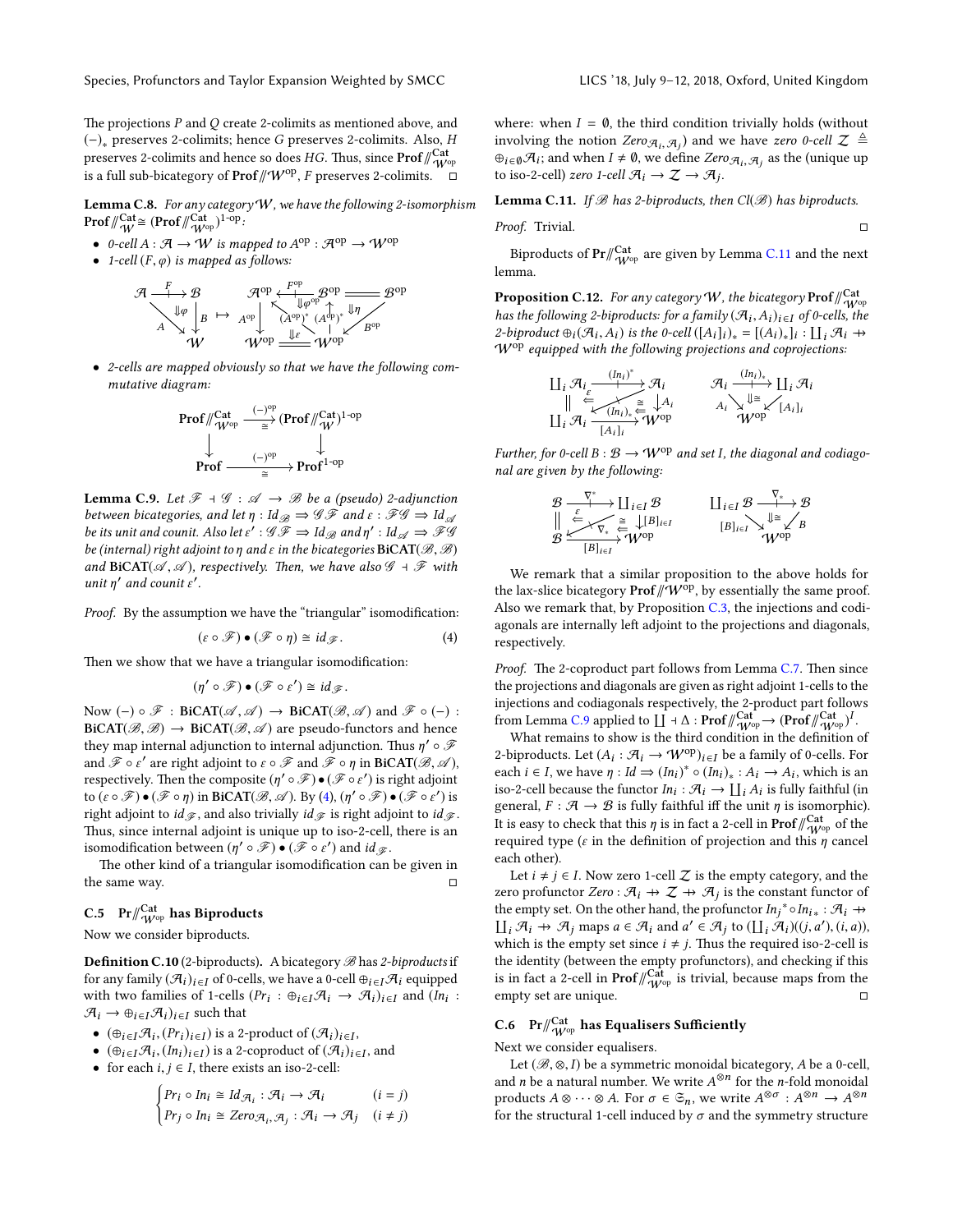The projections  $P$  and  $Q$  create 2-colimits as mentioned above, and (−)<sup>∗</sup> preserves 2-colimits; hence G preserves 2-colimits. Also, H preserves 2-colimits and hence so does  $HG$ . Thus, since  $\mathbf{Prof}/\!\! \begin{array}{l} \triangleleft \mathcal{A} \\ \triangleleft \mathcal{W}^{\rm op} \end{array}$ is a full sub-bicategory of  $\mathbf{Prof}\|\mathcal{W}^\mathrm{op}, F$  preserves 2-colimits.  $\overset{\sim}{\Box}$ 

<span id="page-20-3"></span>Lemma C.8. For any category  $W$ , we have the following 2-isomorphism **Prof**  $\sqrt{\frac{Cat}{W}} \cong (\text{Prof} / \sqrt{\frac{Cat}{W^{op}}})^{1-op}$ :

- 0-cell  $A : \mathcal{A} \to W$  is mapped to  $A^{op} : \mathcal{A}^{op} \to W^{op}$
- 1-cell  $(F, \varphi)$  is mapped as follows:



• 2-cells are mapped obviously so that we have the following commutative diagram:

$$
\mathsf{Prof}/\hspace{-1mm}/\hspace{-1mm}\begin{array}{c}\|\mathsf{Cat}\\\mathsf{V}^{\mathrm{Cat}}\\ \mathsf{V}^{\mathrm{op}}\xrightarrow{\hspace{-1mm}(-)^{\mathrm{op}}\\ \text{gr}}\end{array}\hspace{-1mm}\mathsf{(Prof}/\hspace{-1mm}/\hspace{-1mm}\begin{array}{c}\|\mathsf{Cat}\\\mathsf{V}\xspace\|^{1-\mathrm{op}}\\ \mathsf{V}\xspace\end{array}\hspace{-1mm}
$$

<span id="page-20-2"></span>**Lemma C.9.** Let  $\mathcal{F} \dashv \mathcal{G} : \mathcal{A} \to \mathcal{B}$  be a (pseudo) 2-adjunction between bicategories, and let  $\eta$  : Id $_{\mathscr{B}} \Rightarrow$  G  $\mathscr{F}$  and  $\varepsilon$  :  $\mathscr{F}\mathscr{G} \Rightarrow$  Id $_{\mathscr{A}}$ be its unit and counit. Also let  $\epsilon': \mathscr{GF} \Rightarrow \text{Id}_{\mathscr{B}}$  and  $\eta': \text{Id}_{\mathscr{A}} \Rightarrow \mathscr{FI}$ be (internal) right adjoint to  $\eta$  and  $\varepsilon$  in the bicategories BiCAT( $\mathscr{B}, \mathscr{B}$ ) and BiCAT( $\mathscr A$ ,  $\mathscr A$ ), respectively. Then, we have also  $\mathscr G$  +  $\mathscr F$  with unit  $\eta'$  and counit  $\varepsilon'$ .

Proof. By the assumption we have the "triangular" isomodification:

<span id="page-20-0"></span>
$$
(\varepsilon \circ \mathscr{F}) \bullet (\mathscr{F} \circ \eta) \cong id_{\mathscr{F}}.
$$
 (4)

Then we show that we have a triangular isomodification:

$$
(\eta' \circ \mathscr{F}) \bullet (\mathscr{F} \circ \varepsilon') \cong id_{\mathscr{F}}.
$$

Now  $(-) \circ \mathscr{F} : \text{BiCAT}(\mathscr{A}, \mathscr{A}) \to \text{BiCAT}(\mathscr{B}, \mathscr{A})$  and  $\mathscr{F} \circ (-) :$  $BiCAT(\mathcal{B}, \mathcal{B}) \rightarrow BiCAT(\mathcal{B}, \mathcal{A})$  are pseudo-functors and hence they map internal adjunction to internal adjunction. Thus  $\eta' \circ \mathscr{F}$ and  $\mathscr{F} \circ \varepsilon'$  are right adjoint to  $\varepsilon \circ \mathscr{F}$  and  $\mathscr{F} \circ \eta$  in BiCAT( $\mathscr{B}, \mathscr{A}$ ),<br>respectively. Then the composite  $(n' \circ \mathscr{F}) \bullet (\mathscr{F} \circ \varepsilon')$  is right adjoint respectively. Then the composite  $(\eta' \circ \mathscr{F}) \bullet (\mathscr{F} \circ \varepsilon')$  is right adjoint to  $(\varepsilon \circ \mathcal{F}) \bullet (\mathcal{F} \circ \eta)$  in BiCAT( $\mathcal{B}, \mathcal{A}$ ). By [\(4\)](#page-20-0),  $(\eta' \circ \mathcal{F}) \bullet (\mathcal{F} \circ \varepsilon')$  is right adjoint to  $id_{\mathscr{F}}$  , and also trivially  $id_{\mathscr{F}}$  is right adjoint to  $id_{\mathscr{F}}$  . Thus, since internal adjoint is unique up to iso-2-cell, there is an isomodification between  $(\eta' \circ \mathscr{F}) \bullet (\mathscr{F} \circ \varepsilon')$  and  $id_{\mathscr{F}}$ .

The other kind of a triangular isomodification can be given in the same way.

# C.5  $\rm \ Pr/\!\!/_{W^{op}}^{Cat}$  has Biproducts

Now we consider biproducts.

**Definition C.10** (2-biproducts). A bicategory  $\mathscr{B}$  has 2-biproducts if for any family  $(\mathcal{A}_i)_{i \in I}$  of 0-cells, we have a 0-cell  $\bigoplus_{i \in I} \mathcal{A}_i$  equipped with two families of 1-cells ( $Pr_i$ :  $\bigoplus_{i \in I} \mathcal{A}_i \to \mathcal{A}_i$ ) $_{i \in I}$  and ( $In_i$ :  $\mathcal{A}_i \rightarrow \bigoplus_{i \in I} \mathcal{A}_i_{i \in I}$  such that

- $(\bigoplus_{i \in I} \mathcal{A}_i, (Pr_i)_{i \in I})$  is a 2-product of  $(\mathcal{A}_i)_{i \in I}$ ,<br>  $\bigoplus_{i \in I} \mathcal{A}_i, (In_i)_{i \in I}$  is a 2-conreduct of  $(\mathcal{A}_i)_{i \in I}$ ,
- $(\bigoplus_{i \in I} \mathcal{A}_i, (In_i)_{i \in I})$  is a 2-coproduct of  $(\mathcal{A}_i)_{i \in I}$ , and<br>
 for each  $i, i \in I$  there exists an iso-2-cell.
- for each  $i, j \in I$ , there exists an iso-2-cell:

$$
\begin{cases} pr_i \circ In_i \cong Id_{\mathcal{A}_i} : \mathcal{A}_i \to \mathcal{A}_i & (i = j) \\ Pr_j \circ In_i \cong Zero_{\mathcal{A}_i, \mathcal{A}_j} : \mathcal{A}_i \to \mathcal{A}_j & (i \neq j) \end{cases}
$$

where: when  $I = \emptyset$ , the third condition trivially holds (without involving the notion  $Zero_{A_i}, A_j$  and we have zero 0-cell  $\mathcal{Z} \triangleq$ <br> $\oplus_{i \in \mathcal{A}} \mathcal{A}_{i}$ ; and when  $I \neq \emptyset$ , we define  $Zero_{\mathcal{A}} \cong$  as the (unique up  $\oplus_{i \in \emptyset} \mathcal{A}_i$ ; and when  $I \neq \emptyset$ , we define  $Zero_{\mathcal{A}_i}, \mathcal{A}_j$  as the (unique up<br>to iso-2-cell) zero Lcell  $\mathcal{A}_i \rightarrow \mathcal{I} \rightarrow \mathcal{A}_i$ . to iso-2-cell) zero 1-cell  $\mathcal{A}_i \to \mathcal{Z} \to \mathcal{A}_j$ .

<span id="page-20-1"></span>**Lemma C.11.** If  $\mathscr B$  has 2-biproducts, then Cl( $\mathscr B$ ) has biproducts.

Proof. Trivial.

Biproducts of  $\Pr/\!\! \substack{\text{Cat} \ \text{w}^{\text{op}}}$  are given by Lemma [C.11](#page-20-1) and the next lemma.

**Proposition C.12.** For any category W, the bicategory  $\text{Prof}\|^{\text{Cat}}_{\text{W}^\text{op}}$ has the following 2-biproducts: for a family  $(\mathcal{A}_i, A_i)_{i \in I}$  of 0-cells, the<br>2-biproduct  $\oplus$  ( $\mathcal{A}_i$ , A) is the 0-cell ([A)]) = [(A)]  $\cup$  [I],  $\mathcal{A}_i$   $\to$ 2-biproduct  $\oplus_i (\mathcal{A}_i, A_i)$  is the 0-cell  $([A_i]_i)_* = [(A_i)_*]_i : \coprod_i \mathcal{A}_i \rightarrow$ <br>W<sup>op</sup> equipped with the following projections and conrejections:  $W^{op}$  equipped with the following projections and coprojections:

$$
\mathop{\mathsf{II}}\nolimits_i \mathcal{A}_i \xrightarrow{\langle In_i \rangle^*} \mathcal{A}_i \xrightarrow{\langle In_i \rangle^*} \mathcal{A}_i \xrightarrow{\langle In_i \rangle_*} \mathop{\mathsf{II}}\nolimits_i \mathcal{A}_i
$$
\n
$$
\mathop{\mathsf{II}}\nolimits_i \mathcal{A}_i \xrightarrow{\subseteq \langle In_i \rangle_*} \mathcal{W}^{op} \xrightarrow{\langle A_i \rangle_{\mathsf{V}}} \mathcal{W}^{op}
$$

Further, for 0-cell  $B : \mathcal{B} \to \mathcal{W}^{\text{op}}$  and set I, the diagonal and codiagonal are given by the following:

$$
\begin{array}{ccc}\mathcal{B} & \xrightarrow{\nabla^*} & \coprod_{i \in I} \mathcal{B} & \xrightarrow{\nabla_*} \mathcal{B} \\
\parallel & \xleftarrow{\varepsilon} & \xrightarrow{\geq} \bigcup_{i \in I} B_{i \in I} & \downarrow^{\geq} \bigvee_{j \in I} \mathcal{B} \\
\mathcal{B} & \xrightarrow{\text{top}} & \mathcal{W}^{\text{op}} & \downarrow^{\geq} \bigvee_{j \in I} B \\
\hline\nB]_{i \in I} & \downarrow^{\geq} \bigvee_{j \in I} B\n\end{array}
$$

We remark that a similar proposition to the above holds for the lax-slice bicategory **Prof**  $\mathcal{W}^{op}$ , by essentially the same proof. Also we remark that, by Proposition [C.3,](#page-18-3) the injections and codiagonals are internally left adjoint to the projections and diagonals, respectively.

Proof. The 2-coproduct part follows from Lemma [C.7.](#page-19-0) Then since the projections and diagonals are given as right adjoint 1-cells to the injections and codiagonals respectively, the 2-product part follows from Lemma [C.9](#page-20-2) applied to  $\coprod \neg \Delta : \mathbf{Prof}/\operatorname{Cat}^{\mathbf{Cat}} \rightarrow (\mathbf{Prof}/\operatorname{Cat}^{\mathbf{Cat}})^{I}$ .<br>What remains to show is the third condition in the definition.

What remains to show is the third condition in the definition of 2-biproducts. Let  $(A_i : \mathcal{A}_i \to \mathcal{W}^{\text{op}})_{i \in I}$  be a family of 0-cells. For each  $i \in I$ , we have  $\eta : Id \Rightarrow (In_i)^* \circ (In_i)_* : A_i \to A_i$ , which is an iso-2-cell because the functor  $In_i : \mathcal{A}_i \to \coprod_i A_i$  is fully faithful (in general,  $F : \mathcal{A} \to \mathcal{B}$  is fully faithful iff the unit  $\eta$  is isomorphic). It is easy to check that this  $\eta$  is in fact a 2-cell in  $\mathbf{Prof}\mathbin{\mathbin{\textit{}}\mathbin{\textit{}}_{\mathcal{W}^{\mathrm{op}}}}$  of the required type ( $\varepsilon$  in the definition of projection and this  $\eta$  cancel each other).

Let *i* ≠ *j* ∈ *I*. Now zero 1-cell  $Z$  is the empty category, and the zero profunctor Zero :  $\mathcal{A}_i \rightarrow \mathcal{Z} \rightarrow \mathcal{A}_j$  is the constant functor of the empty set. On the other hand, the profunctor  $In_j^* \circ In_{i*} : \mathcal{A}_i \rightarrow$  $\prod_i \mathcal{A}_i \to \mathcal{A}_j$  maps  $a \in \mathcal{A}_i$  and  $a' \in \mathcal{A}_j$  to  $(\prod_i \mathcal{A}_i)((i, a'), (i, a))$ ,<br>which is the empty set since  $i \neq i$ . Thus the required iso-2-cell is which is the empty set since  $i \neq j$ . Thus the required iso-2-cell is the identity (between the empty profunctors), and checking if this is in fact a 2-cell in  $\mathsf{Prof}\mathbin{\textit{#}}_{\mathcal{W}^{\rm op}}^{\mathsf{Cat}}$  is trivial, because maps from the empty set are unique.

# C.6 Pr $\frac{d}{dV^{\mathrm{opt}}}$  has Equalisers Sufficiently

Next we consider equalisers.

Let  $(\mathcal{B}, \otimes, I)$  be a symmetric monoidal bicategory, A be a 0-cell, and *n* be a natural number. We write  $A^{\otimes n}$  for the *n*-fold monoidal products  $A \otimes \cdots \otimes A$ . For  $\sigma \in \mathfrak{S}_n$ , we write  $A^{\otimes \sigma} : A^{\otimes n} \to A^{\otimes n}$ for the structural 1-cell induced by  $\sigma$  and the symmetry structure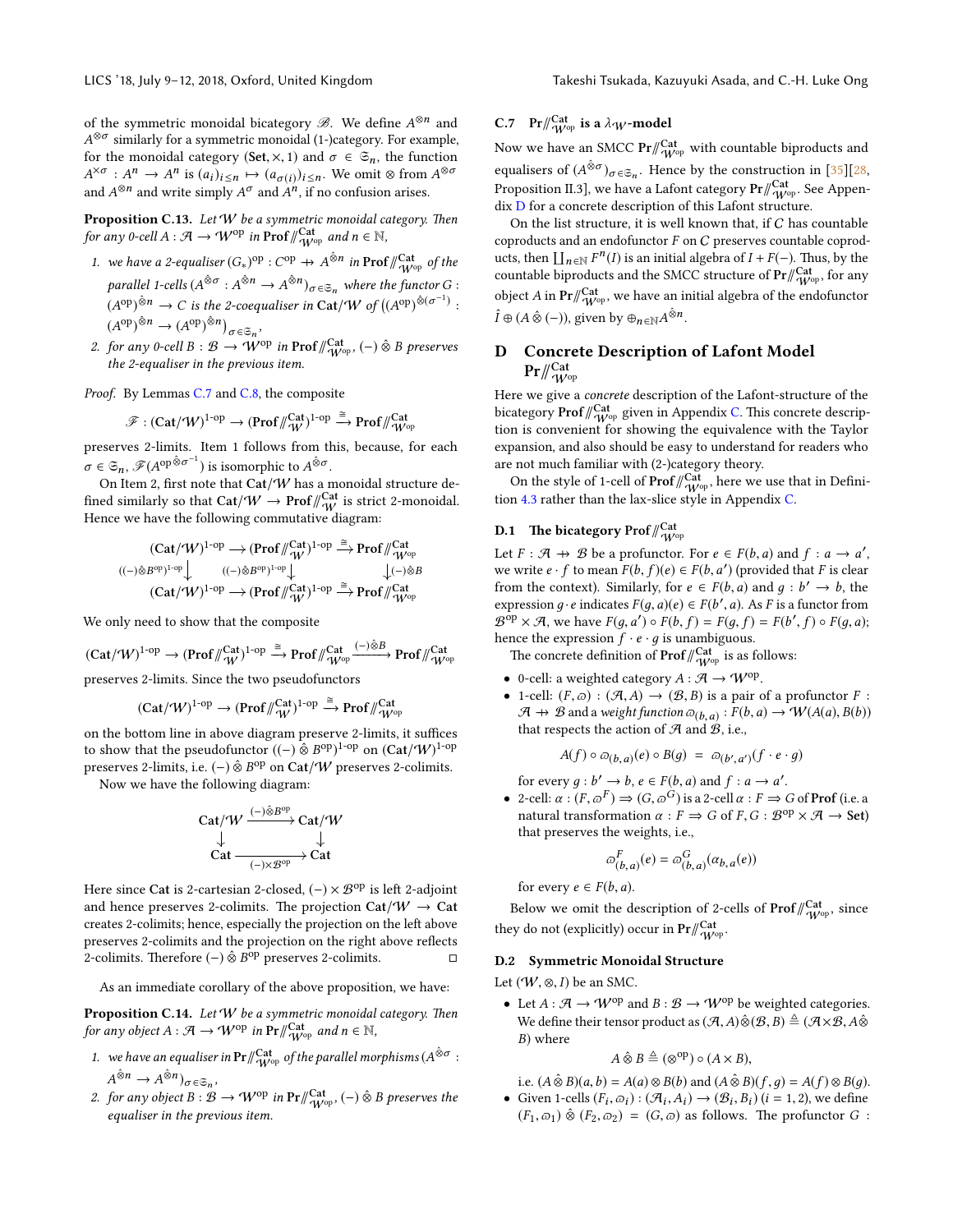of the symmetric monoidal bicategory  $\mathscr{B}$ . We define  $A^{\otimes n}$  and  $A^{\otimes \sigma}$  similarly for a symmetric monoidal (1-)category. For example, for the monoidal category (Set,  $\times$ , 1) and  $\sigma \in \mathfrak{S}_n$ , the function  $A^{\times \sigma}: A^n \to A^n$  is  $(a_i)_{i \leq n} \mapsto (a_{\sigma(i)})_{i \leq n}$ . We omit  $\otimes$  from  $A^{\otimes \sigma}$ and  $A^{\otimes n}$  and write simply  $A^{\sigma}$  and  $A^n$ , if no confusion arises.

**Proposition C.13.** Let  $W$  be a symmetric monoidal category. Then for any 0-cell  $A: \mathcal{A} \to W^{\mathrm{op}}$  in  $\text{Prof}\,/\!\!/_{W^{\mathrm{op}}}^{\text{Cat}}$  and  $n \in \mathbb{N}$ ,

- 1. we have a 2-equaliser  $(G_*)^{op}: C^{op} \to A^{\hat{\otimes}n}$  in Prof  $\mathcal{W}_{W^{op}}^{Cat}$  of the parallel 1-cells  $(A^{\hat{\otimes}\sigma} : A^{\hat{\otimes}n} \to A^{\hat{\otimes}n})_{\sigma \in \mathfrak{S}_n}$  where the functor  $G : A^{\hat{\otimes}n} \to A^{\hat{\otimes}n}$  $(A^{\mathrm{op}})^{\hat{\otimes} n} \to C$  is the 2-coequaliser in Cat/W of  $((A^{\mathrm{op}})^{\hat{\otimes} (\sigma^{-1})}$  :  $(A^{op})^{\hat{\otimes}n} \to (A^{op})^{\hat{\otimes}n}$ <sub> $\sigma \in \mathfrak{S}_n$ </sub>,
- $(A^T) \longrightarrow (A^T) \longrightarrow$ <br>2. for any 0-cell  $B : \mathcal{B} \longrightarrow W^{\text{op}}$  in  $\text{Prof}\,/\!\!/_{W^{\text{op}}}^{\text{Cat}}$ ,  $(-) \hat{\otimes} B$  preserves the 2-equaliser in the previous item.

Proof. By Lemmas [C.7](#page-19-0) and [C.8,](#page-20-3) the composite

$$
\mathscr{F}:(\mathsf{Cat}/\mathcal{W})^{1\text{-op}}\to (\mathsf{Prof}/\!\!/\!{}^{\mathsf{Cat}}_{\mathcal{W}})^{1\text{-op}}\xrightarrow{\cong}\mathsf{Prof}/\!\!/_\mathsf{Cat}^{\mathsf{Cat}}
$$

preserves 2-limits. Item 1 follows from this, because, for each  $\sigma \in \mathfrak{S}_n$ ,  $\mathscr{F}(A^{\text{op}}^{\hat{\otimes}\sigma^{-1}})$  is isomorphic to  $A^{\hat{\otimes}\sigma}$ .

On Item 2, first note that Cat/ $W$  has a monoidal structure defined similarly so that Cat/W  $\rightarrow$  Prof $\frac{d}{dV}$  is strict 2-monoidal. Hence we have the following commutative diagram:

$$
\begin{array}{ccc} (Cat/\mathcal{W})^{1\text{-}\mathrm{op}}\longrightarrow (\mathrm{Prof}/\!\!/\!\! \begin{array}{c} \text{Cat} \\ \text{ }\mathcal{W} \end{array})^{1\text{-}\mathrm{op}}\stackrel{\cong}{\longrightarrow} \mathrm{Prof}/\!\!/\!\! \begin{array}{c} \text{Cat} \\ \text{ }\mathcal{W}^{\mathrm{op}} \end{array}}{((-)\hat{\otimes} B^{\mathrm{op}})^{1\text{-}\mathrm{op}}\big\downarrow & ((-)\hat{\otimes} B^{\mathrm{op}})^{1\text{-}\mathrm{op}}\big\downarrow & (\!-)\hat{\otimes} B^{\mathrm{op}}\, \end{array}
$$

We only need to show that the composite

$$
(\textnormal{Cat}/{}^t\!\mathcal{W})^{1\textnormal{-op}}\to (\textnormal{Prof}/\!\!/\!\!{}^{\textnormal{Cat}}_{\textnormal{W}})^{1\textnormal{-op}}\xrightarrow{\cong}\textnormal{Prof}/\!\!/\!\!{}^{\textnormal{Cat}}_{\textnormal{W}^{\textnormal{op}}}\xrightarrow{(-)\hat{\otimes}B}\textnormal{Prof}/\!\!/\!\!{}^{\textnormal{Cat}}_{\textnormal{W}^{\textnormal{op}}}
$$

preserves 2-limits. Since the two pseudofunctors

$$
(\text{Cat}/\text{W})^{1\text{-op}}\to (\text{Prof}/\textstyle{\textstyle\bigwedge^{Cat}}^{(\text{Cat})})^{1\text{-op}}\xrightarrow{\cong}\text{Prof}/\textstyle{\textstyle\bigwedge^{Cat}}^{(\text{Cat})}
$$

on the bottom line in above diagram preserve 2-limits, it suffices to show that the pseudofunctor  $((-) \mathbin{\hat{\otimes}} B^\mathrm{op})^{1\text{-}\mathrm{op}}$  on  $(\mathsf{Cat}/\mathcal{W})^{1\text{-}\mathrm{op}}$ preserves 2-limits, i.e. (−)  $\hat{\otimes}$   $B^{\mathrm{op}}$  on Cat/ $\mathcal W$  preserves 2-colimits.

Now we have the following diagram:

$$
\mathrm{Cat}/\mathcal{W} \xrightarrow{(-)\hat{\otimes} B^{\mathrm{op}}} \mathrm{Cat}/\mathcal{W}
$$
  
\n
$$
\downarrow \qquad \qquad \downarrow
$$
  
\n
$$
\mathrm{Cat} \xrightarrow{(-)\times B^{\mathrm{op}}} \mathrm{Cat}
$$

Here since Cat is 2-cartesian 2-closed,  $(-) \times \mathcal{B}^{op}$  is left 2-adjoint and hence preserves 2-colimits. The projection Cat/ $W \rightarrow$  Cat creates 2-colimits; hence, especially the projection on the left above preserves 2-colimits and the projection on the right above reflects 2-colimits. Therefore (−)  $\hat{\otimes} B^{op}$  preserves 2-colimits.

As an immediate corollary of the above proposition, we have:

**Proposition C.14.** Let  $W$  be a symmetric monoidal category. Then for any object  $A : \mathcal{A} \to W^{\text{op}}$  in  $\Pr/\!\!/_{W^{\text{op}}}^{\text{Cat}}$  and  $n \in \mathbb{N}$ ,

- 1. we have an equaliser in  $\Pr/\!\! \frac{\mathrm{Cat}}{\mathrm{W}^{\mathrm{op}}}$  of the parallel morphisms  $(A^{\hat{\otimes} \sigma}$ :  $A^{\hat{\otimes}n} \to A^{\hat{\otimes}n}$ )<sub> $\sigma \in \mathfrak{S}_n$ </sub>,
- 2. for any object  $B : \mathcal{B} \to \mathcal{W}^{\text{op}}$  in  $\text{Pr}_{\mathcal{W}^{\text{op}}}^{\text{Cat}}$ ,  $(-) \hat{\otimes} B$  preserves the equaliser in the previous item.

# C.7 Pr $\mathcal{W}^{\text{Cat}}_{\mathcal{W}^{\text{op}}}$  is a  $\lambda_W$ -model

Now we have an SMCC  $\Pr/\!\! \frac{Cat}{\mathcal{W}^{\mathrm{op}}}$  with countable biproducts and equalisers of  $(A^{\hat{\otimes}\sigma})_{\sigma \in \mathfrak{S}_n}$ . Hence by the construction in [\[35\]](#page-10-13)[\[28,](#page-10-2)<br>Deserting  $\mathfrak{D}$  and produce a Life of a tensor  $\mathbf{D}^{n/Cat}$ ,  $\mathcal{S}_{\sigma}$  a tensor Proposition II.3], we have a Lafont category  $\Pr/\!\! \substack{\mathrm{Cat} \ \mathcal{W}^{\mathrm{op}}.}$  See Appendix [D](#page-21-0) for a concrete description of this Lafont structure.

On the list structure, it is well known that, if  $C$  has countable coproducts and an endofunctor F on C preserves countable coproducts, then  $\prod_{n\in\mathbb{N}}F^n(I)$  is an initial algebra of  $I + F(-)$ . Thus, by the countable biproducts and the SMCC structure of  $\Pr/\!\! \frac{\mathsf{Cat}}{ \mathcal{W}^\mathrm{op} }$  , for any object A in  $Pr/\!\! \frac{Cat}{W^{op}}$ , we have an initial algebra of the endofunctor  $\hat{I} \oplus (A \mathbin{\hat{\otimes}} (-))$ , given by  $\oplus_{n \in \mathbb{N}} A^{\mathbin{\hat{\otimes}} n}$ .

# <span id="page-21-0"></span>D Concrete Description of Lafont Model  $\mathrm{Pr/\!\!/}_{\mathcal{W}^{\mathrm{op}}}^{\mathrm{Cat}}$

Here we give a concrete description of the Lafont-structure of the bicategory  $\mathbf{Prof}/\!\!_{\mathcal{W}^\mathrm{op}}^{\mathbf{Cat}}$  given in Appendix [C.](#page-15-0) This concrete description is convenient for showing the equivalence with the Taylor expansion, and also should be easy to understand for readers who are not much familiar with (2-)category theory.

On the style of 1-cell of  $\mathsf{Prof}\mathord{/\!\!/}_{\mathcal{W}^\mathrm{op}}^{\mathsf{Cat}}$  , here we use that in Definition [4.3](#page-6-5) rather than the lax-slice style in Appendix [C.](#page-15-0)

# D.1 The bicategory Prof $\mathcal{W}^{\rm Cat}_{\mathcal{W}^{\rm op}}$

Let  $F : \mathcal{A} \to \mathcal{B}$  be a profunctor. For  $e \in F(b, a)$  and  $f : a \to a'$ ,<br>we write e, f to mean  $F(b, f)(e) \in F(b, a')$  (provided that  $F$  is clear we write  $e \cdot f$  to mean  $F(b, f)(e) \in F(b, a')$  (provided that F is clear<br>from the context). Similarly for  $e \in F(b, a)$  and  $a : b' \rightarrow b$  the from the context). Similarly, for  $e \in F(b, a)$  and  $g : b' \to b$ , the expression  $a, e$  indicates  $F(a, a)(e) \in F(b', a)$ . As  $F$  is a functor from expression  $g \cdot e$  indicates  $F(g, a)(e) \in F(b', a)$ . As F is a functor from<br>  $R^{op} \times \mathcal{A}$ , we have  $F(a, a') \circ F(b, f) - F(a, f) - F(b', f) \circ F(a, a)$ .  $\mathcal{B}^{\text{op}} \times \mathcal{A}$ , we have  $F(g, a') \circ F(b, f) = F(g, f) = F(b', f) \circ F(g, a);$ hence the expression  $f \cdot e \cdot g$  is unambiguous.

The concrete definition of  $\mathsf{Prof}\mathord{/\!\!/}_{\mathcal{W}^\mathrm{op}}^{\mathsf{Cat}}$  is as follows:

- 0-cell: a weighted category  $A : \mathcal{A} \to \mathcal{W}^{\text{op}}$ .
- 1-cell:  $(F, \varpi) : (\mathcal{A}, A) \to (\mathcal{B}, B)$  is a pair of a profunctor F:  $\mathcal{A} \to \mathcal{B}$  and a weight function  $\omega_{(b,a)} : F(b,a) \to \mathcal{W}(A(a),B(b))$ <br>that respects the action of  $\mathcal{A}$  and  $\mathcal{B}$  i.e. that respects the action of  $A$  and  $B$ , i.e.,

$$
A(f) \circ \varpi_{(b,a)}(e) \circ B(g) = \varpi_{(b',a')}(f \cdot e \cdot g)
$$

for every  $g : b' \to b$ ,  $e \in F(b, a)$  and  $f : a \to a'$ .<br>
2-call:  $g : (E \cap F) \to (G \cap G)$  is a 2-call  $g : F \to a'$ .

• 2-cell:  $\alpha : (F, \varpi^F) \Rightarrow (G, \varpi^G)$  is a 2-cell  $\alpha : F \Rightarrow G$  of **Prof** (i.e. a<br>natural transformation  $\alpha : F \Rightarrow G$  of  $F, G \cdot B^{op} \times B \rightarrow$  Set) natural transformation  $\alpha : F \to G$  of  $F, G : \mathcal{B}^{op} \times \mathcal{A} \to \mathbf{Set}$ <br>that precentes the weights i.e. that preserves the weights, i.e.,

$$
\varpi_{(b,a)}^F(e) = \varpi_{(b,a)}^G(\alpha_{b,a}(e))
$$

for every  $e \in F(b, a)$ .

Below we omit the description of 2-cells of  $\mathsf{Prof}\,\mathscr{W}^{\mathsf{Cat}}_{\mathsf{W}^{\mathsf{op}}}$ , since they do not (explicitly) occur in  $\Pr/\hspace{-3pt}/ \int_{\rm W^{op}}^{\rm Cat}$ .

#### D.2 Symmetric Monoidal Structure

Let  $(W, \otimes, I)$  be an SMC.

• Let  $A : \mathcal{A} \to W^{op}$  and  $B : \mathcal{B} \to W^{op}$  be weighted categories. We define their tensor product as  $(\mathcal{A}, A)\hat{\otimes}(\mathcal{B}, B) \triangleq (\mathcal{A}\times\mathcal{B}, A\hat{\otimes}$ B) where

$$
A \hat{\otimes} B \triangleq (\otimes^{\text{op}}) \circ (A \times B),
$$

i.e.  $(A \hat{\otimes} B)(a, b) = A(a) \otimes B(b)$  and  $(A \hat{\otimes} B)(f, g) = A(f) \otimes B(g)$ .<br>Given 1-cells  $(F, \circ) : (\mathcal{A} \cdot A) \rightarrow (\mathcal{B} \cdot B)$ .  $(i = 1, 2)$  we define • Given 1-cells  $(F_i, \varpi_i) : (\mathcal{A}_i, A_i) \to (\mathcal{B}_i, B_i)$   $(i = 1, 2)$ , we define  $(F_1, \varpi_1) \hat{\otimes} (F_2, \varpi_2) = (G, \varpi)$  as follows. The profunctor  $G$ :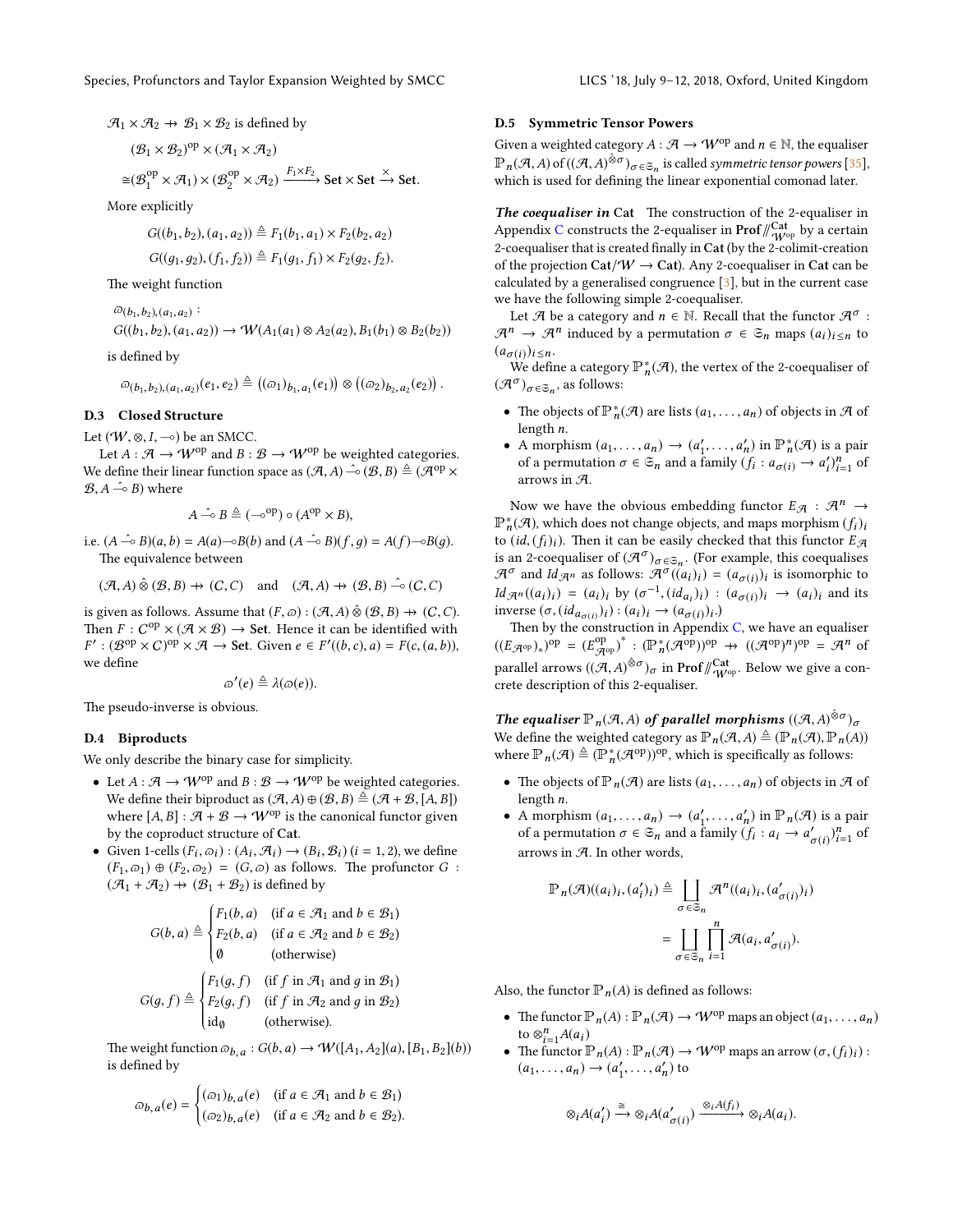$$
\mathcal{A}_1 \times \mathcal{A}_2 \rightarrow \mathcal{B}_1 \times \mathcal{B}_2
$$
 is defined by

$$
(\mathcal{B}_1 \times \mathcal{B}_2)^{\text{op}} \times (\mathcal{A}_1 \times \mathcal{A}_2)
$$

$$
\cong(\mathcal{B}_1^{\text{op}}\times\mathcal{A}_1)\times(\mathcal{B}_2^{\text{op}}\times\mathcal{A}_2)\xrightarrow{F_1\times F_2}\text{Set}\times\text{Set}\xrightarrow{\times}\text{Set}.
$$

More explicitly

$$
G((b_1, b_2), (a_1, a_2)) \triangleq F_1(b_1, a_1) \times F_2(b_2, a_2)
$$

$$
G((g_1,g_2),(f_1,f_2)) \triangleq F_1(g_1,f_1) \times F_2(g_2,f_2).
$$

The weight function

 $\omega_{(b_1,b_2),(a_1,a_2)}$ :  $G((b_1, b_2), (a_1, a_2)) \to \mathcal{W}(A_1(a_1) \otimes A_2(a_2), B_1(b_1) \otimes B_2(b_2))$ 

is defined by

$$
\varpi_{(b_1,b_2),(a_1,a_2)}(e_1,e_2) \triangleq ((\varpi_1)_{b_1,a_1}(e_1)) \otimes ((\varpi_2)_{b_2,a_2}(e_2)) .
$$

# D.3 Closed Structure

Let  $(W, \otimes, I, \neg o)$  be an SMCC.

Let  $A : \mathcal{A} \to W^{op}$  and  $B : \mathcal{B} \to W^{op}$  be weighted categories. We define their linear function space as  $(\mathcal{A}, A) \hat{\multimap} (\mathcal{B}, B) \triangleq (\mathcal{A}^{op} \times$  $(B, A \xrightarrow{\sim} B)$  where

$$
A \xrightarrow{\hat{}} B \triangleq (-\circ^{op}) \circ (A^{op} \times B),
$$

i.e.  $(A \xrightarrow{\hat{}} B)(a, b) = A(a) \rightarrow B(b)$  and  $(A \xrightarrow{\hat{}} B)(f, q) = A(f) \rightarrow B(q)$ . The equivalence between

$$
(\mathcal{A}, A) \hat{\otimes} (\mathcal{B}, B) \to (C, C) \quad \text{and} \quad (\mathcal{A}, A) \to (\mathcal{B}, B) \hat{\multimap} (C, C)
$$

is given as follows. Assume that  $(F, \varpi) : (\mathcal{A}, A) \hat{\otimes} (\mathcal{B}, B) \rightarrow (C, C)$ . Then  $F: C^{op} \times (\mathcal{A} \times \mathcal{B}) \rightarrow$  Set. Hence it can be identified with  $F' : (\mathcal{B}^{op} \times C)^{op} \times \mathcal{A} \to \mathsf{Set}.$  Given  $e \in F'((b,c), a) = F(c, (a, b)),$ we define

$$
\varpi'(e) \triangleq \lambda(\varpi(e)).
$$

The pseudo-inverse is obvious.

## D.4 Biproducts

We only describe the binary case for simplicity.

- Let  $A : \mathcal{A} \to W^{op}$  and  $B : \mathcal{B} \to W^{op}$  be weighted categories. We define their biproduct as  $(\mathcal{A}, A) \oplus (\mathcal{B}, B) \triangleq (\mathcal{A} + \mathcal{B}, [A, B])$ where  $[A, B] : \mathcal{A} + \mathcal{B} \rightarrow W^{op}$  is the canonical functor given by the coproduct structure of Cat.
- Given 1-cells  $(F_i, \varpi_i) : (A_i, \mathcal{A}_i) \to (B_i, \mathcal{B}_i)$   $(i = 1, 2)$ , we define  $(F_1, \varpi_1) \oplus (F_2, \varpi_2) = (G, \varpi)$  as follows. The profunctor  $G$ :  $(\mathcal{A}_1 + \mathcal{A}_2) \rightarrow (\mathcal{B}_1 + \mathcal{B}_2)$  is defined by

$$
G(b, a) \triangleq \begin{cases} F_1(b, a) & \text{if } a \in \mathcal{A}_1 \text{ and } b \in \mathcal{B}_1 \\ F_2(b, a) & \text{if } a \in \mathcal{A}_2 \text{ and } b \in \mathcal{B}_2 \end{cases}
$$
\n
$$
(a, b) \in \mathcal{A} \text{ and } b \in \mathcal{B}_1
$$
\n
$$
(b, b) \in \mathcal{A} \text{ and } b \in \mathcal{B}_2
$$

$$
G(g, f) \triangleq \begin{cases} F_1(g, f) & \text{if } f \text{ in } \mathcal{A}_1 \text{ and } g \text{ in } \mathcal{B}_1 \\ F_2(g, f) & \text{if } f \text{ in } \mathcal{A}_2 \text{ and } g \text{ in } \mathcal{B}_2 \\ \text{id}_{\emptyset} & \text{(otherwise). \end{cases}
$$

J. The weight function  $\omega_{b,a}: G(b,a) \to \mathcal{W}([A_1,A_2](a), [B_1,B_2](b))$ <br>is defined by is defined by

$$
\varpi_{b,a}(e) = \begin{cases}\n(\varpi_1)_{b,a}(e) & \text{if } a \in \mathcal{A}_1 \text{ and } b \in \mathcal{B}_1 \\
(\varpi_2)_{b,a}(e) & \text{if } a \in \mathcal{A}_2 \text{ and } b \in \mathcal{B}_2.\n\end{cases}
$$

#### D.5 Symmetric Tensor Powers

Given a weighted category  $A: \mathcal{A} \rightarrow \mathcal{W}^{\mathrm{op}}$  and  $n \in \mathbb{N}$ , the equaliser  $\mathbb{P}_n(\mathcal{A}, A)$  of  $((\mathcal{A}, A)^{\hat{\otimes}\sigma})_{\sigma \in \mathfrak{S}_n}$  is called symmetric tensor powers [\[35\]](#page-10-13), which is used for defining the linear exponential comonad later.

The coequaliser in Cat The construction of the 2-equaliser in Appendix [C](#page-15-0) constructs the 2-equaliser in  $\mathbf{Prof}/_{\mathcal{W}^{\mathrm{op}}}^{\mathbf{Cat}}$  by a certain 2-coequaliser that is created finally in Cat (by the 2-colimit-creation of the projection Cat/ $W \rightarrow$  Cat). Any 2-coequaliser in Cat can be calculated by a generalised congruence [\[3\]](#page-9-25), but in the current case we have the following simple 2-coequaliser.

Let  $\mathcal A$  be a category and  $n \in \mathbb N$ . Recall that the functor  $\mathcal A^\sigma$ :  $\mathcal{A}^n \to \mathcal{A}^n$  induced by a permutation  $\sigma \in \mathfrak{S}_n$  maps  $(a_i)_{i \leq n}$  to  $(a_{\sigma(i)})_{i \leq n}.$ 

We define a category  $\mathbb{P}_n^*(\mathcal{A})$ , the vertex of the 2-coequaliser of  $(\mathcal{A}^{\sigma})_{\sigma \in \mathfrak{S}_n}$ , as follows:

- The objects of  $\mathbb{P}_n^*(\mathcal{A})$  are lists  $(a_1, \ldots, a_n)$  of objects in  $\mathcal{A}$  of length n length n.
- A morphism  $(a_1, \ldots, a_n) \to (a'_1, \ldots, a'_n)$  in  $\mathbb{P}_n^*(\mathcal{A})$  is a pair<br>of a permutation  $\sigma \in \mathcal{A}$  and a family  $(f : a_1 \circ \sigma \to a')^n$  of of a permutation  $\sigma \in \mathfrak{S}_n$  and a family  $(f_i : a_{\sigma(i)} \to a'_i)_{i=1}^n$  of arrows in A.

Now we have the obvious embedding functor  $E_{\mathcal{A}} : \mathcal{A}^n \to$  $\mathbb{P}^*_n(\mathcal{A})$ , which does not change objects, and maps morphism  $(f_i)_i$ to  $(id,(f_i)_i)$ . Then it can be easily checked that this functor  $E_{\mathcal{A}}$ is an 2-coequaliser of  $(\mathcal{A}^{\sigma})_{\sigma \in \mathfrak{S}_n}$ . (For example, this coequalises  $\mathcal{A}^{\sigma}$  and  $\mathcal{A}_{\sigma}$  are follows:  $\mathcal{A}^{\sigma}((a, b)) = (a, a, b)$  is isomorphic to  $\mathcal{A}^{\sigma}$  and  $Id_{\mathcal{A}^n}$  as follows:  $\mathcal{A}^{\sigma}((a_i)_i) = (a_{\sigma(i)})_i$  is isomorphic to  $Id_{\mathcal{A}^n}((a_i)_i) = (a_i)_i$  by  $(\sigma^{-1}, (id_{a_i})_i) : (a_{\sigma(i)})_i \rightarrow (a_i)_i$  and its<br>inverse  $(\sigma_i(id_{\sigma(i)})_i) \cdot (a_i) \rightarrow (a_{\sigma(i)})_i$ inverse  $(\sigma, (id_{a_{\sigma(i)}})_i) : (a_i)_i \to (a_{\sigma(i)})_i$ .<br>Then by the construction in Appendi

Then by the construction in Appendix  $C$ , we have an equaliser  $((E_{\mathcal{A}^{op}})_*)^{op} = (E_{\mathcal{A}^{op}}^{op})^* : (\mathbb{P}_n^* (\mathcal{A}^{op}))^{op} \rightarrow ((\mathcal{A}^{op})^n)^{op} = \mathcal{A}^n$  of parallel arrows  $((\mathcal{A}, A)^{\hat{\otimes} \sigma})_{\sigma}$  in Prof/ $\mathcal{W}_{W^{\text{op}}}^{\text{Cat}}$ . Below we give a concrete description of this 2-equaliser.

**The equaliser**  $\mathbb{P}_n(\mathcal{A}, A)$  of parallel morphisms  $((\mathcal{A}, A)^{\hat{\otimes}\sigma})_{\sigma}$ <br>We define the weighted ectorery as  $\mathbb{P}_n(\mathcal{A}, A) \triangleq (\mathbb{P}_n(\mathcal{A}) \mathbb{P}_n(A))$ We define the weighted category as  $\mathbb{P}_n(\mathcal{A}, A) \triangleq (\mathbb{P}_n(\mathcal{A}), \mathbb{P}_n(A))$ where  $\mathbb{P}_n(\mathcal{A}) \triangleq (\mathbb{P}_n^*(\mathcal{A}^{op}))^{op}$ , which is specifically as follows:

- The objects of  $\mathbb{P}_n(\mathcal{A})$  are lists  $(a_1, \ldots, a_n)$  of objects in  $\mathcal{A}$  of length n.
- A morphism  $(a_1, ..., a_n) \rightarrow (a'_1, ..., a'_n)$  in  $\mathbb{P}_n(\mathcal{A})$  is a pair<br>of a permutation  $\sigma \in \mathcal{A}$  and a family  $(f : a \rightarrow a' \rightarrow n$ of a permutation  $\sigma \in \mathfrak{S}_n$  and a family  $(f_i : a_i \to a'_{\sigma(i)})_{i=1}^n$  of arrows in  $A$ . In other words,

$$
\mathbb{P}_n(\mathcal{A})((a_i)_i,(a'_i)_i) \triangleq \coprod_{\sigma \in \mathfrak{S}_n} \mathcal{A}^n((a_i)_i,(a'_{\sigma(i)})_i)
$$

$$
= \coprod_{\sigma \in \mathfrak{S}_n} \prod_{i=1}^n \mathcal{A}(a_i,a'_{\sigma(i)}).
$$

Also, the functor  $\mathbb{P}_n(A)$  is defined as follows:

- The functor  $\mathbb{P}_n(A) : \mathbb{P}_n(\mathcal{A}) \to \mathcal{W}^{\text{op}}$  maps an object  $(a_1, \ldots, a_n)$ to  $\otimes_{i=1}^n A(a_i)$
- The functor  $\mathbb{P}_n(A) : \mathbb{P}_n(\mathcal{A}) \to \mathcal{W}^{\text{op}}$  maps an arrow  $(\sigma, (f_i)_i)$ :  $(a_1, \ldots, a_n) \rightarrow (a'_1, \ldots, a'_n)$  to

$$
\otimes_i A(a'_i) \xrightarrow{\cong} \otimes_i A(a'_{\sigma(i)}) \xrightarrow{\otimes_i A(f_i)} \otimes_i A(a_i).
$$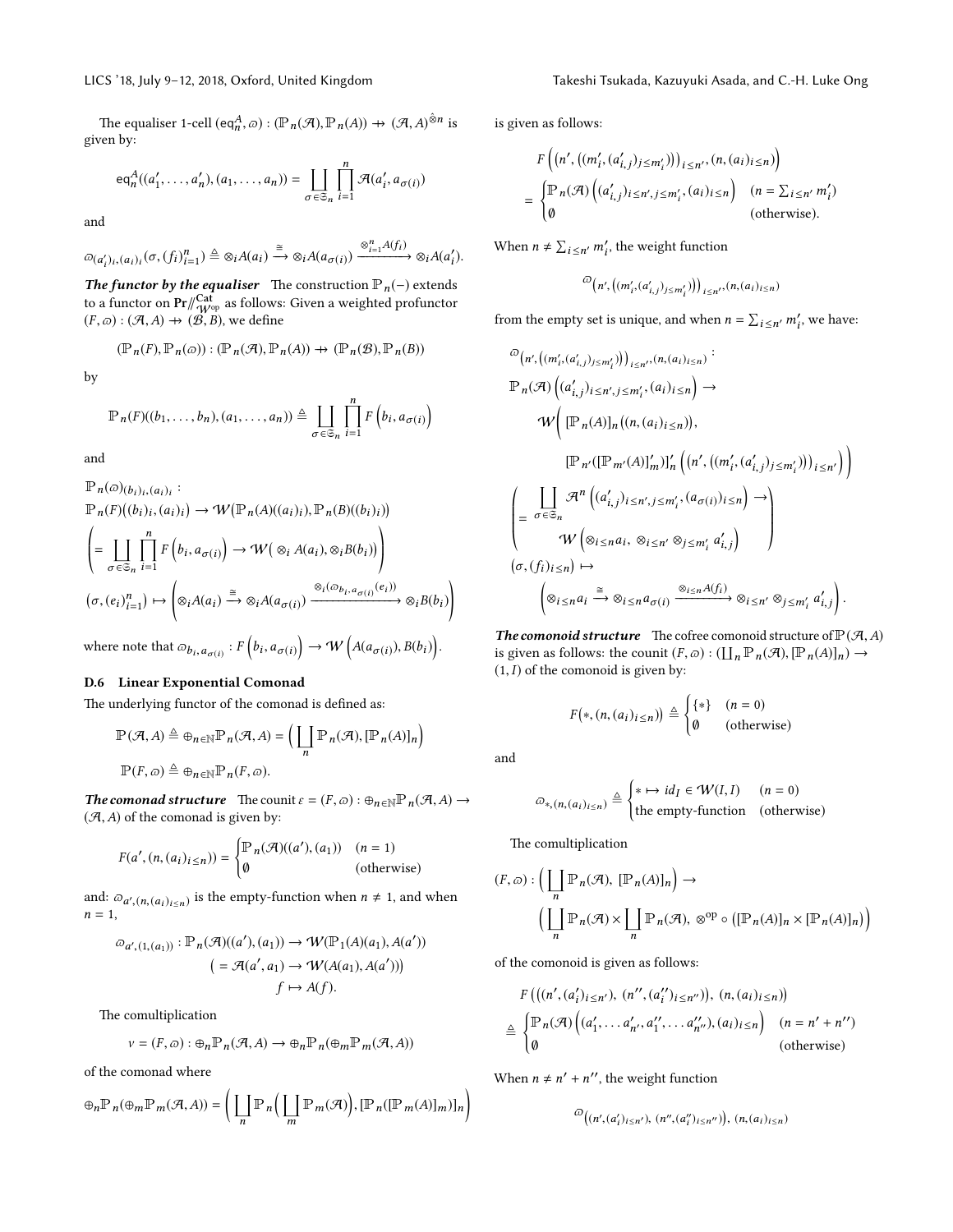The equaliser 1-cell  $(\text{eq}_n^A, \varpi) : (\mathbb{P}_n(\mathcal{A}), \mathbb{P}_n(A)) \to (\mathcal{A}, A)^{\hat{\otimes}n}$  is given by:

$$
eq_n^A((a'_1, \ldots, a'_n), (a_1, \ldots, a_n)) = \coprod_{\sigma \in \mathfrak{S}_n} \prod_{i=1}^n \mathcal{A}(a'_i, a_{\sigma(i)})
$$

and

$$
\omega_{(a'_i)_i,(a_i)_i}(\sigma,(f_i)_{i=1}^n) \triangleq \otimes_i A(a_i) \xrightarrow{\cong} \otimes_i A(a_{\sigma(i)}) \xrightarrow{\otimes_{i=1}^n A(f_i)} \otimes_i A(a'_i).
$$

The functor by the equaliser The construction  $\mathbb{P}_n(-)$  extends to a functor on  $\Pr/\!\!\mathop{\mathrm{Cat}}\limits^{\mathbf{Cat}}_{\mathcal{W}^{\mathrm{op}}}$  as follows: Given a weighted profunctor  $(F, \varpi) : (\mathcal{A}, A) \to (\mathcal{B}, B)$ , we define

$$
(\mathbb{P}_n(F), \mathbb{P}_n(\varpi)) : (\mathbb{P}_n(\mathcal{A}), \mathbb{P}_n(A)) \to (\mathbb{P}_n(\mathcal{B}), \mathbb{P}_n(B))
$$

by

$$
\mathbb{P}_n(F)((b_1,\ldots,b_n),(a_1,\ldots,a_n))\triangleq \coprod_{\sigma\in\mathfrak{S}_n}\prod_{i=1}^n F\left(b_i,a_{\sigma(i)}\right)
$$

and

$$
\mathbb{P}_n(\varpi)(b_i)_i, (a_i)_i : \n\mathbb{P}_n(F)((b_i)_i, (a_i)_i) \to \mathcal{W}(\mathbb{P}_n(A)((a_i)_i), \mathbb{P}_n(B)((b_i)_i)) \n\left( = \coprod_{\sigma \in \mathfrak{S}_n} \prod_{i=1}^n F(b_i, a_{\sigma(i)}) \to \mathcal{W}(\otimes_i A(a_i), \otimes_i B(b_i)) \right) \n(\sigma, (e_i)_{i=1}^n) \mapsto \left( \otimes_i A(a_i) \xrightarrow{\cong} \otimes_i A(a_{\sigma(i)}) \xrightarrow{\otimes_i (\otimes_{b_i, a_{\sigma(i)}} (e_i))} \otimes_i B(b_i) \right)
$$

where note that  $\varpi_{b_i, a_{\sigma(i)}} : F\left(b_i, a_{\sigma(i)}\right) \to W\left(A(a_{\sigma(i)}), B(b_i)\right)$ .

# D.6 Linear Exponential Comonad

The underlying functor of the comonad is defined as:

$$
\mathbb{P}(\mathcal{A}, A) \triangleq \bigoplus_{n \in \mathbb{N}} \mathbb{P}_n(\mathcal{A}, A) = \Big( \coprod_n \mathbb{P}_n(\mathcal{A}), [\mathbb{P}_n(A)]_n \Big)
$$

$$
\mathbb{P}(F, \varpi) \triangleq \bigoplus_{n \in \mathbb{N}} \mathbb{P}_n(F, \varpi).
$$

**The comonad structure** The counit  $\varepsilon = (F, \varpi) : \bigoplus_{n \in \mathbb{N}} \mathbb{P}_n(\mathcal{A}, A) \to$  $(A, A)$  of the comonad is given by:

$$
F(a', (n, (a_i)_{i \le n})) = \begin{cases} \mathbb{P}_n(\mathcal{A})((a'), (a_1)) & (n = 1) \\ \emptyset & \text{(otherwise)} \end{cases}
$$

and:  $\varpi_{a',(n,(a_i)_{i\leq n})}$  is the empty-function when  $n \neq 1$ , and when  $n-1$  $n = 1$ ,

$$
\varpi_{a', (1, (a_1))} : \mathbb{P}_n(\mathcal{A})((a'), (a_1)) \to \mathcal{W}(\mathbb{P}_1(A)(a_1), A(a'))
$$

$$
= \mathcal{A}(a', a_1) \to \mathcal{W}(A(a_1), A(a'))
$$

$$
f \mapsto A(f).
$$

The comultiplication

$$
v = (F, \varpi) : \oplus_n \mathbb{P}_n(\mathcal{A}, A) \to \oplus_n \mathbb{P}_n(\oplus_m \mathbb{P}_m(\mathcal{A}, A))
$$

of the comonad where

$$
\oplus_n \mathbb{P}_n(\oplus_m \mathbb{P}_m(\mathcal{A}, A)) = \left( \coprod_n \mathbb{P}_n\left( \coprod_m \mathbb{P}_m(\mathcal{A}) \right), [\mathbb{P}_n([\mathbb{P}_m(A)]_m)]_n \right)
$$

is given as follows:

$$
F\left((n', ((m'_i, (a'_{i,j})_{j \le m'_i})))_{i \le n'}, (n, (a_i)_{i \le n})\right)
$$
  
= 
$$
\begin{cases} \mathbb{P}_n(\mathcal{A})\left((a'_{i,j})_{i \le n', j \le m'_i}, (a_i)_{i \le n}\right) & (n = \sum_{i \le n'} m'_i) \\ \emptyset & \text{(otherwise)}. \end{cases}
$$

When  $n \neq \sum_{i \leq n'} m'_i$ , the weight function

$$
^{\textcircled{\tiny \it D}}\big(n',\big((m'_i,(a'_{i,j})_{j\leq m'_i})\big)\big)_{i\leq n'},(n,(a_i)_{i\leq n})
$$

from the empty set is unique, and when  $n = \sum_{i \leq n'} m'_i$ , we have:

$$
\begin{split}\n&\stackrel{\bigtriangleup}{=} \left(n', \left((m'_i, (a'_{i,j})_{j \leq m'_i})\right)\right)_{i \leq n'}, (n, (a_i)_{i \leq n}) : \\
&\mathbb{P}_n(\mathcal{A})\left((a'_{i,j})_{i \leq n', j \leq m'_i}, (a_i)_{i \leq n}\right) \to \\
&\qquad \qquad W\bigg(\big[\mathbb{P}_n(A)\big]_n\big((n, (a_i)_{i \leq n})\big), \\
&\qquad \qquad \big[\mathbb{P}_{n'}(\big[\mathbb{P}_{m'}(A)\big]_m'\big)\big]_n'\big(\big(n', \big((m'_i, (a'_{i,j})_{j \leq m'_i})\big)\big)_{i \leq n'}\big)\bigg) \\
&\qquad \qquad \bigg(\bigoplus_{\sigma \in \mathfrak{S}_n} \mathcal{A}^n\left((a'_{i,j})_{i \leq n', j \leq m'_i}, (a_{\sigma(i)})_{i \leq n}\right) \to \\
&\qquad \qquad \qquad W\bigg(\otimes_{i \leq n} a_i, \otimes_{i \leq n'} \otimes_{j \leq m'_i} a'_{i,j}\bigg) \\
&\qquad \qquad \big(\sigma, (f_i)_{i \leq n}\big) \mapsto \\
&\qquad \qquad \left(\otimes_{i \leq n} a_i \xrightarrow{\cong} \otimes_{i \leq n} a_{\sigma(i)} \xrightarrow{\otimes_{i \leq n} A(f_i)} \otimes_{i \leq n'} \otimes_{j \leq m'_i} a'_{i,j}\right).\n\end{split}
$$

The comonoid structure The cofree comonoid structure of  $P(\mathcal{A}, A)$ is given as follows: the counit  $(F, \varpi) : (\coprod_n \mathbb{P}_n(\mathcal{A}), [\mathbb{P}_n(A)]_n) \to$ <br>(1 I) of the comonoid is given by:  $(1, I)$  of the comonoid is given by:

$$
F(*,(n,(a_i)_{i\leq n}))\triangleq\begin{cases} {*} & (n=0) \\ \emptyset & (\text{otherwise}) \end{cases}
$$

and

$$
\varpi_{*,(n,(a_i)_{i\leq n})} \triangleq \begin{cases} * \mapsto id_I \in \mathcal{W}(I,I) & (n = 0) \\ \text{the empty-function} & (\text{otherwise}) \end{cases}
$$

The comultiplication

$$
(F, \varpi) : \left( \coprod_{n} \mathbb{P}_{n}(\mathcal{A}), [\mathbb{P}_{n}(A)]_{n} \right) \to
$$

$$
\left( \coprod_{n} \mathbb{P}_{n}(\mathcal{A}) \times \coprod_{n} \mathbb{P}_{n}(\mathcal{A}), \otimes^{\mathrm{op}} \circ ([\mathbb{P}_{n}(A)]_{n} \times [\mathbb{P}_{n}(A)]_{n}) \right)
$$

of the comonoid is given as follows:

$$
F\left(\left((n', (a'_i)_{i \leq n'}, (n'', (a''_i)_{i \leq n'})\right), (n, (a_i)_{i \leq n})\right)
$$

$$
\triangleq \begin{cases} \mathbb{P}_n(\mathcal{A})\left((a'_1, \dots, a'_{n'}, a''_1, \dots, a''_{n''}), (a_i)_{i \leq n}\right) & (n = n' + n'')\\ 0 & \text{(otherwise)} \end{cases}
$$

When  $n \neq n' + n''$ , the weight function

$$
\omega((n', (a'_i)_{i \le n'}), (n'', (a''_i)_{i \le n''})\big), (n, (a_i)_{i \le n})
$$